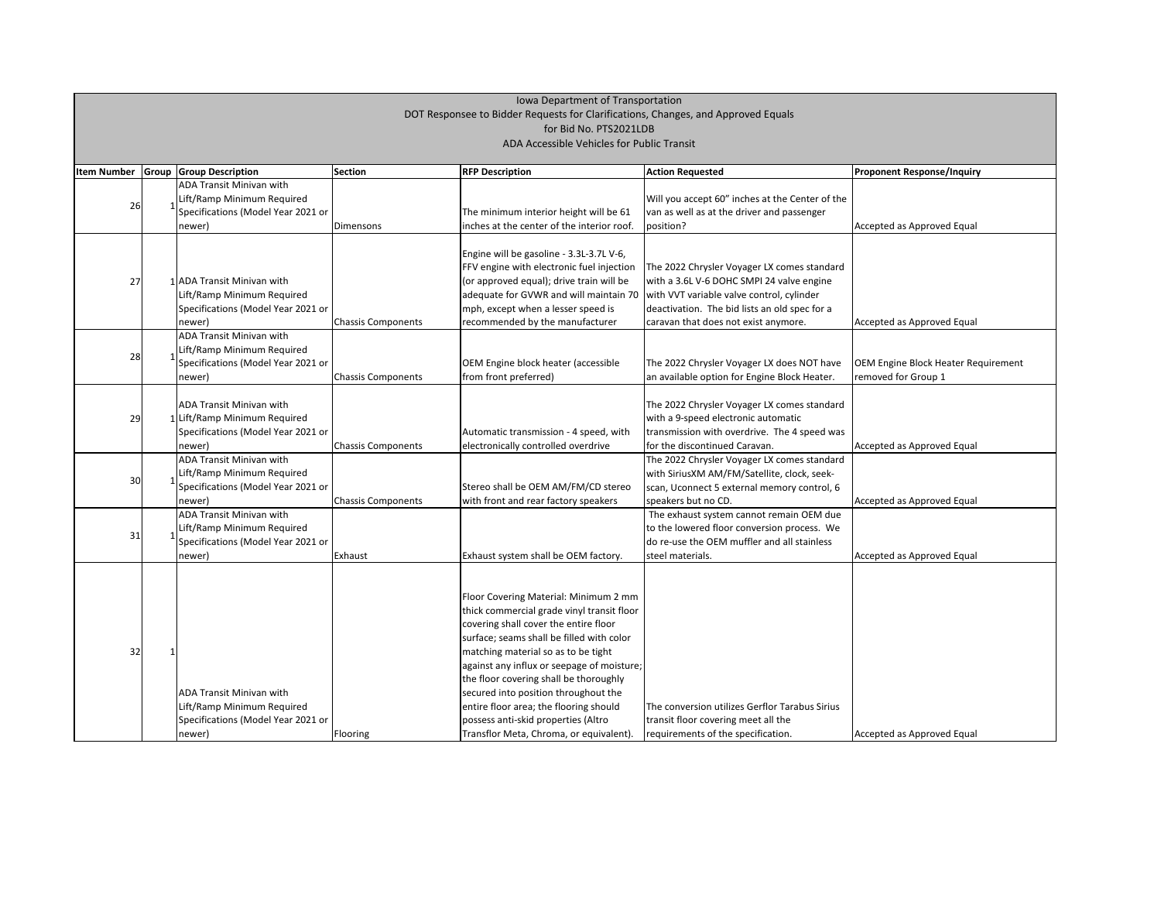|                    | Iowa Department of Transportation                                                 |                                                                  |                           |                                                                                    |                                                                                        |                                     |  |  |  |
|--------------------|-----------------------------------------------------------------------------------|------------------------------------------------------------------|---------------------------|------------------------------------------------------------------------------------|----------------------------------------------------------------------------------------|-------------------------------------|--|--|--|
|                    | DOT Responsee to Bidder Requests for Clarifications, Changes, and Approved Equals |                                                                  |                           |                                                                                    |                                                                                        |                                     |  |  |  |
|                    |                                                                                   |                                                                  |                           | for Bid No. PTS2021LDB                                                             |                                                                                        |                                     |  |  |  |
|                    | ADA Accessible Vehicles for Public Transit                                        |                                                                  |                           |                                                                                    |                                                                                        |                                     |  |  |  |
|                    |                                                                                   |                                                                  |                           |                                                                                    |                                                                                        |                                     |  |  |  |
| <b>Item Number</b> |                                                                                   | <b>Group Group Description</b>                                   | <b>Section</b>            | <b>RFP Description</b>                                                             | <b>Action Requested</b>                                                                | <b>Proponent Response/Inquiry</b>   |  |  |  |
|                    |                                                                                   | ADA Transit Minivan with                                         |                           |                                                                                    |                                                                                        |                                     |  |  |  |
| 26                 |                                                                                   | Lift/Ramp Minimum Required                                       |                           |                                                                                    | Will you accept 60" inches at the Center of the                                        |                                     |  |  |  |
|                    |                                                                                   | Specifications (Model Year 2021 or                               |                           | The minimum interior height will be 61                                             | van as well as at the driver and passenger                                             |                                     |  |  |  |
|                    |                                                                                   | newer)                                                           | Dimensons                 | inches at the center of the interior roof.                                         | position?                                                                              | Accepted as Approved Equal          |  |  |  |
|                    |                                                                                   |                                                                  |                           |                                                                                    |                                                                                        |                                     |  |  |  |
|                    |                                                                                   |                                                                  |                           | Engine will be gasoline - 3.3L-3.7L V-6,                                           |                                                                                        |                                     |  |  |  |
|                    |                                                                                   | 1 ADA Transit Minivan with                                       |                           | FFV engine with electronic fuel injection                                          | The 2022 Chrysler Voyager LX comes standard                                            |                                     |  |  |  |
| 27                 |                                                                                   |                                                                  |                           | (or approved equal); drive train will be<br>adequate for GVWR and will maintain 70 | with a 3.6L V-6 DOHC SMPI 24 valve engine<br>with VVT variable valve control, cylinder |                                     |  |  |  |
|                    |                                                                                   | Lift/Ramp Minimum Required<br>Specifications (Model Year 2021 or |                           | mph, except when a lesser speed is                                                 | deactivation. The bid lists an old spec for a                                          |                                     |  |  |  |
|                    |                                                                                   |                                                                  |                           | recommended by the manufacturer                                                    | caravan that does not exist anymore.                                                   |                                     |  |  |  |
|                    |                                                                                   | newer)<br><b>ADA Transit Minivan with</b>                        | <b>Chassis Components</b> |                                                                                    |                                                                                        | Accepted as Approved Equal          |  |  |  |
|                    |                                                                                   | Lift/Ramp Minimum Required                                       |                           |                                                                                    |                                                                                        |                                     |  |  |  |
| 28                 |                                                                                   | Specifications (Model Year 2021 or                               |                           | OEM Engine block heater (accessible                                                | The 2022 Chrysler Voyager LX does NOT have                                             | OEM Engine Block Heater Requirement |  |  |  |
|                    |                                                                                   | newer)                                                           | <b>Chassis Components</b> | from front preferred)                                                              | an available option for Engine Block Heater.                                           | removed for Group 1                 |  |  |  |
|                    |                                                                                   |                                                                  |                           |                                                                                    |                                                                                        |                                     |  |  |  |
|                    |                                                                                   | ADA Transit Minivan with                                         |                           |                                                                                    | The 2022 Chrysler Voyager LX comes standard                                            |                                     |  |  |  |
| 29                 |                                                                                   | 1 Lift/Ramp Minimum Required                                     |                           |                                                                                    | with a 9-speed electronic automatic                                                    |                                     |  |  |  |
|                    |                                                                                   | Specifications (Model Year 2021 or                               |                           | Automatic transmission - 4 speed, with                                             | transmission with overdrive. The 4 speed was                                           |                                     |  |  |  |
|                    |                                                                                   | newer)                                                           | <b>Chassis Components</b> | electronically controlled overdrive                                                | for the discontinued Caravan.                                                          | Accepted as Approved Equal          |  |  |  |
|                    |                                                                                   | <b>ADA Transit Minivan with</b>                                  |                           |                                                                                    | The 2022 Chrysler Voyager LX comes standard                                            |                                     |  |  |  |
|                    |                                                                                   | Lift/Ramp Minimum Required                                       |                           |                                                                                    | with SiriusXM AM/FM/Satellite, clock, seek-                                            |                                     |  |  |  |
| 30                 |                                                                                   | Specifications (Model Year 2021 or                               |                           | Stereo shall be OEM AM/FM/CD stereo                                                | scan, Uconnect 5 external memory control, 6                                            | Accepted as Approved Equal          |  |  |  |
|                    |                                                                                   | newer)                                                           | <b>Chassis Components</b> | with front and rear factory speakers                                               | speakers but no CD.                                                                    |                                     |  |  |  |
|                    |                                                                                   | ADA Transit Minivan with                                         |                           |                                                                                    | The exhaust system cannot remain OEM due                                               |                                     |  |  |  |
|                    |                                                                                   | Lift/Ramp Minimum Required                                       |                           |                                                                                    | to the lowered floor conversion process. We                                            |                                     |  |  |  |
| 31                 |                                                                                   | Specifications (Model Year 2021 or                               |                           |                                                                                    | do re-use the OEM muffler and all stainless                                            |                                     |  |  |  |
|                    |                                                                                   | newer)                                                           | Exhaust                   | Exhaust system shall be OEM factory.                                               | steel materials.                                                                       | Accepted as Approved Equal          |  |  |  |
|                    |                                                                                   |                                                                  |                           |                                                                                    |                                                                                        |                                     |  |  |  |
|                    |                                                                                   |                                                                  |                           |                                                                                    |                                                                                        |                                     |  |  |  |
|                    |                                                                                   |                                                                  |                           | Floor Covering Material: Minimum 2 mm                                              |                                                                                        |                                     |  |  |  |
|                    |                                                                                   |                                                                  |                           | thick commercial grade vinyl transit floor                                         |                                                                                        |                                     |  |  |  |
|                    |                                                                                   |                                                                  |                           | covering shall cover the entire floor                                              |                                                                                        |                                     |  |  |  |
|                    |                                                                                   |                                                                  |                           | surface; seams shall be filled with color                                          |                                                                                        |                                     |  |  |  |
| 32                 |                                                                                   |                                                                  |                           | matching material so as to be tight                                                |                                                                                        |                                     |  |  |  |
|                    |                                                                                   |                                                                  |                           | against any influx or seepage of moisture;                                         |                                                                                        |                                     |  |  |  |
|                    |                                                                                   |                                                                  |                           | the floor covering shall be thoroughly                                             |                                                                                        |                                     |  |  |  |
|                    |                                                                                   | ADA Transit Minivan with                                         |                           | secured into position throughout the                                               |                                                                                        |                                     |  |  |  |
|                    |                                                                                   | Lift/Ramp Minimum Required                                       |                           | entire floor area; the flooring should                                             | The conversion utilizes Gerflor Tarabus Sirius                                         |                                     |  |  |  |
|                    |                                                                                   | Specifications (Model Year 2021 or                               |                           | possess anti-skid properties (Altro                                                | transit floor covering meet all the                                                    |                                     |  |  |  |
|                    |                                                                                   | newer)                                                           | Flooring                  | Transflor Meta, Chroma, or equivalent).                                            | requirements of the specification.                                                     | Accepted as Approved Equal          |  |  |  |

# Iowa Department of Transportation DOT Responsee to Bidder Requests for Clarifications, Changes, and Approved Equals for Bid No. PTS2021LDB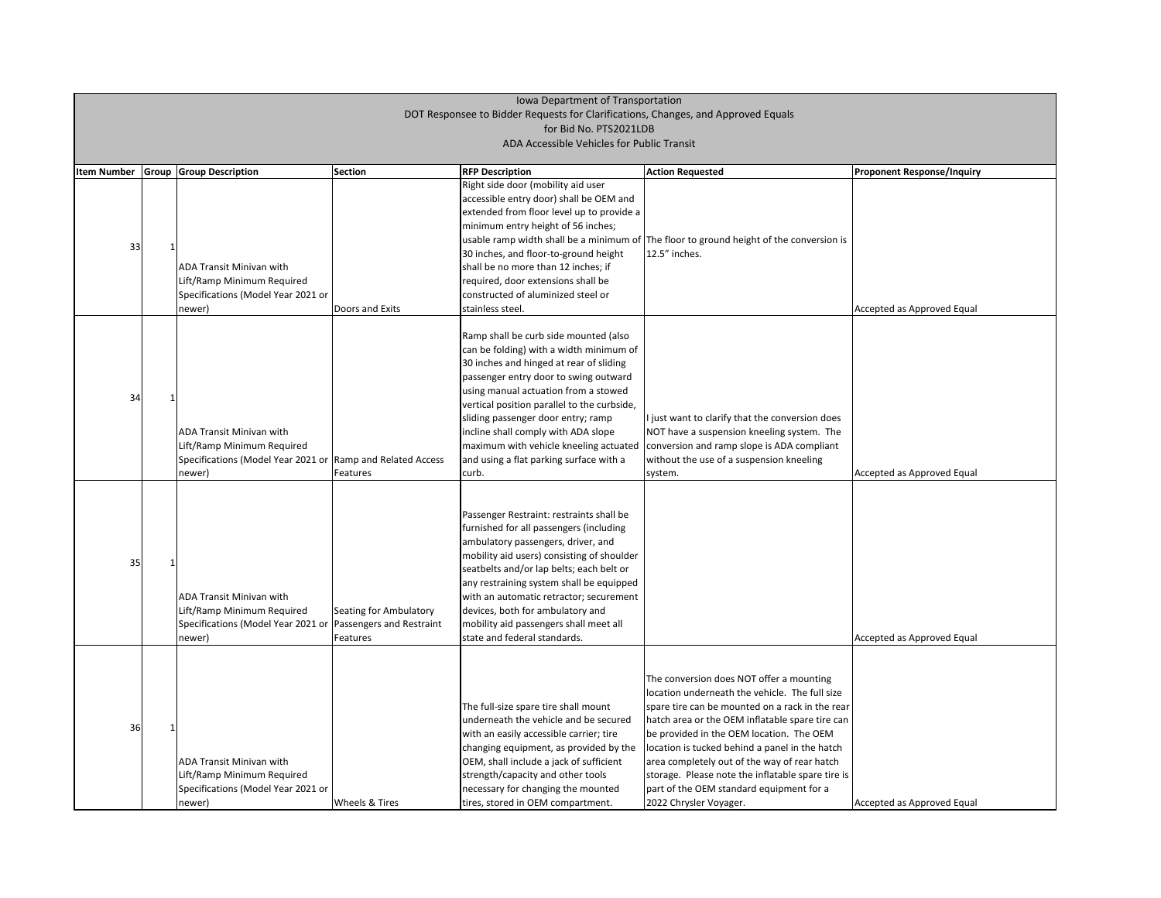| <b>Proponent Response/Inquiry</b> |
|-----------------------------------|
|                                   |
|                                   |
|                                   |
|                                   |
|                                   |
|                                   |
|                                   |
|                                   |
|                                   |
|                                   |
|                                   |
| Accepted as Approved Equal        |
|                                   |
|                                   |
|                                   |
|                                   |
|                                   |
|                                   |
|                                   |
|                                   |
|                                   |
|                                   |
|                                   |
|                                   |
| Accepted as Approved Equal        |
|                                   |
|                                   |
|                                   |
|                                   |
|                                   |
|                                   |
|                                   |
|                                   |
|                                   |
|                                   |
|                                   |
|                                   |
|                                   |
| Accepted as Approved Equal        |
|                                   |
|                                   |
|                                   |
|                                   |
|                                   |
|                                   |
|                                   |
|                                   |
|                                   |
|                                   |
|                                   |
|                                   |
|                                   |
| Accepted as Approved Equal        |

| <b>Item Number</b> | Group | <b>Group Description</b>                                                                                                               | Section                            | <b>RFP Description</b>                                                                                                                                                                                                                                                                                                                                                                                                                  | <b>Action Requested</b>                                                                                                                                                                                                                                                                                                                                                                                                                                                   | <b>Proponent Response/Inquiry</b> |
|--------------------|-------|----------------------------------------------------------------------------------------------------------------------------------------|------------------------------------|-----------------------------------------------------------------------------------------------------------------------------------------------------------------------------------------------------------------------------------------------------------------------------------------------------------------------------------------------------------------------------------------------------------------------------------------|---------------------------------------------------------------------------------------------------------------------------------------------------------------------------------------------------------------------------------------------------------------------------------------------------------------------------------------------------------------------------------------------------------------------------------------------------------------------------|-----------------------------------|
| 33                 |       | <b>ADA Transit Minivan with</b><br>Lift/Ramp Minimum Required<br>Specifications (Model Year 2021 or<br>newer)                          | Doors and Exits                    | Right side door (mobility aid user<br>accessible entry door) shall be OEM and<br>extended from floor level up to provide a<br>minimum entry height of 56 inches;<br>30 inches, and floor-to-ground height<br>shall be no more than 12 inches; if<br>required, door extensions shall be<br>constructed of aluminized steel or<br>stainless steel.                                                                                        | usable ramp width shall be a minimum of The floor to ground height of the conversion is<br>12.5" inches.                                                                                                                                                                                                                                                                                                                                                                  | Accepted as Approved Equal        |
| 34                 |       | <b>ADA Transit Minivan with</b><br>Lift/Ramp Minimum Required<br>Specifications (Model Year 2021 or Ramp and Related Access<br>newer)  | Features                           | Ramp shall be curb side mounted (also<br>can be folding) with a width minimum of<br>30 inches and hinged at rear of sliding<br>passenger entry door to swing outward<br>using manual actuation from a stowed<br>vertical position parallel to the curbside,<br>sliding passenger door entry; ramp<br>incline shall comply with ADA slope<br>maximum with vehicle kneeling actuated<br>and using a flat parking surface with a<br> curb. | I just want to clarify that the conversion does<br>NOT have a suspension kneeling system. The<br>conversion and ramp slope is ADA compliant<br>without the use of a suspension kneeling<br>system.                                                                                                                                                                                                                                                                        | Accepted as Approved Equal        |
| 35                 |       | <b>ADA Transit Minivan with</b><br>Lift/Ramp Minimum Required<br>Specifications (Model Year 2021 or Passengers and Restraint<br>newer) | Seating for Ambulatory<br>Features | Passenger Restraint: restraints shall be<br>furnished for all passengers (including<br>ambulatory passengers, driver, and<br>mobility aid users) consisting of shoulder<br>seatbelts and/or lap belts; each belt or<br>any restraining system shall be equipped<br>with an automatic retractor; securement<br>devices, both for ambulatory and<br>mobility aid passengers shall meet all<br>state and federal standards.                |                                                                                                                                                                                                                                                                                                                                                                                                                                                                           | Accepted as Approved Equal        |
| 36                 |       | <b>ADA Transit Minivan with</b><br>Lift/Ramp Minimum Required<br>Specifications (Model Year 2021 or<br>newer)                          | <b>Wheels &amp; Tires</b>          | The full-size spare tire shall mount<br>underneath the vehicle and be secured<br>with an easily accessible carrier; tire<br>changing equipment, as provided by the<br>OEM, shall include a jack of sufficient<br>strength/capacity and other tools<br>necessary for changing the mounted<br>tires, stored in OEM compartment.                                                                                                           | The conversion does NOT offer a mounting<br>location underneath the vehicle. The full size<br>spare tire can be mounted on a rack in the rear<br>hatch area or the OEM inflatable spare tire can<br>be provided in the OEM location. The OEM<br>location is tucked behind a panel in the hatch<br>area completely out of the way of rear hatch<br>storage. Please note the inflatable spare tire is<br>part of the OEM standard equipment for a<br>2022 Chrysler Voyager. | Accepted as Approved Equal        |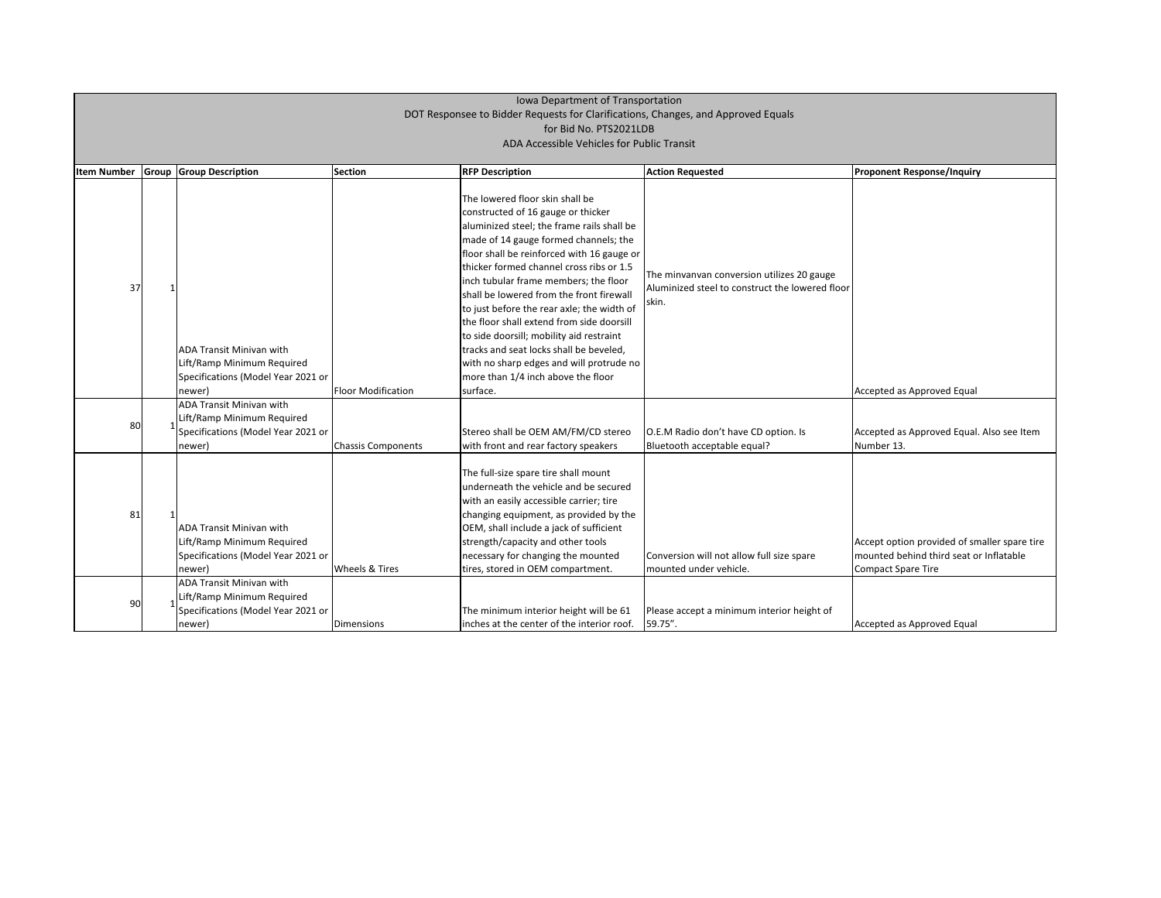| <b>Item Number</b> | Group | <b>Group Description</b>                                                                                      | <b>Section</b>            | <b>RFP Description</b>                                                                                                                                                                                                                                                                                                                                                                                                                                                                                                                                                                                                      | <b>Action Requested</b>                                                                                | <b>Proponent Response/Inquiry</b>                                                         |
|--------------------|-------|---------------------------------------------------------------------------------------------------------------|---------------------------|-----------------------------------------------------------------------------------------------------------------------------------------------------------------------------------------------------------------------------------------------------------------------------------------------------------------------------------------------------------------------------------------------------------------------------------------------------------------------------------------------------------------------------------------------------------------------------------------------------------------------------|--------------------------------------------------------------------------------------------------------|-------------------------------------------------------------------------------------------|
| 37                 |       | ADA Transit Minivan with<br>Lift/Ramp Minimum Required<br>Specifications (Model Year 2021 or<br>newer)        | <b>Floor Modification</b> | The lowered floor skin shall be<br>constructed of 16 gauge or thicker<br>aluminized steel; the frame rails shall be<br>made of 14 gauge formed channels; the<br>floor shall be reinforced with 16 gauge or<br>thicker formed channel cross ribs or 1.5<br>inch tubular frame members; the floor<br>shall be lowered from the front firewall<br>to just before the rear axle; the width of<br>the floor shall extend from side doorsill<br>to side doorsill; mobility aid restraint<br>tracks and seat locks shall be beveled,<br>with no sharp edges and will protrude no<br>more than 1/4 inch above the floor<br>surface. | The minvanvan conversion utilizes 20 gauge<br>Aluminized steel to construct the lowered floor<br>skin. | Accepted as Approved Equal                                                                |
| 80                 |       | ADA Transit Minivan with<br>Lift/Ramp Minimum Required<br>Specifications (Model Year 2021 or<br>newer)        | <b>Chassis Components</b> | Stereo shall be OEM AM/FM/CD stereo<br>with front and rear factory speakers                                                                                                                                                                                                                                                                                                                                                                                                                                                                                                                                                 | O.E.M Radio don't have CD option. Is<br>Bluetooth acceptable equal?                                    | Accepted as Approved Equal.<br>Number 13.                                                 |
| 81                 |       | ADA Transit Minivan with<br>Lift/Ramp Minimum Required<br>Specifications (Model Year 2021 or<br>newer)        | Wheels & Tires            | The full-size spare tire shall mount<br>underneath the vehicle and be secured<br>with an easily accessible carrier; tire<br>changing equipment, as provided by the<br>OEM, shall include a jack of sufficient<br>strength/capacity and other tools<br>necessary for changing the mounted<br>tires, stored in OEM compartment.                                                                                                                                                                                                                                                                                               | Conversion will not allow full size spare<br>mounted under vehicle.                                    | Accept option provided of sm<br>mounted behind third seat of<br><b>Compact Spare Tire</b> |
| 90                 |       | <b>ADA Transit Minivan with</b><br>Lift/Ramp Minimum Required<br>Specifications (Model Year 2021 or<br>newer) | Dimensions                | The minimum interior height will be 61<br>inches at the center of the interior roof.                                                                                                                                                                                                                                                                                                                                                                                                                                                                                                                                        | Please accept a minimum interior height of<br>59.75".                                                  | Accepted as Approved Equal                                                                |

| <b>Proponent Response/Inquiry</b>                                                       |
|-----------------------------------------------------------------------------------------|
|                                                                                         |
|                                                                                         |
|                                                                                         |
|                                                                                         |
|                                                                                         |
|                                                                                         |
|                                                                                         |
| Accepted as Approved Equal                                                              |
|                                                                                         |
| Accepted as Approved Equal. Also see Item<br>Number 13.                                 |
|                                                                                         |
|                                                                                         |
|                                                                                         |
| Accept option provided of smaller spare tire<br>mounted behind third seat or Inflatable |
| <b>Compact Spare Tire</b>                                                               |
|                                                                                         |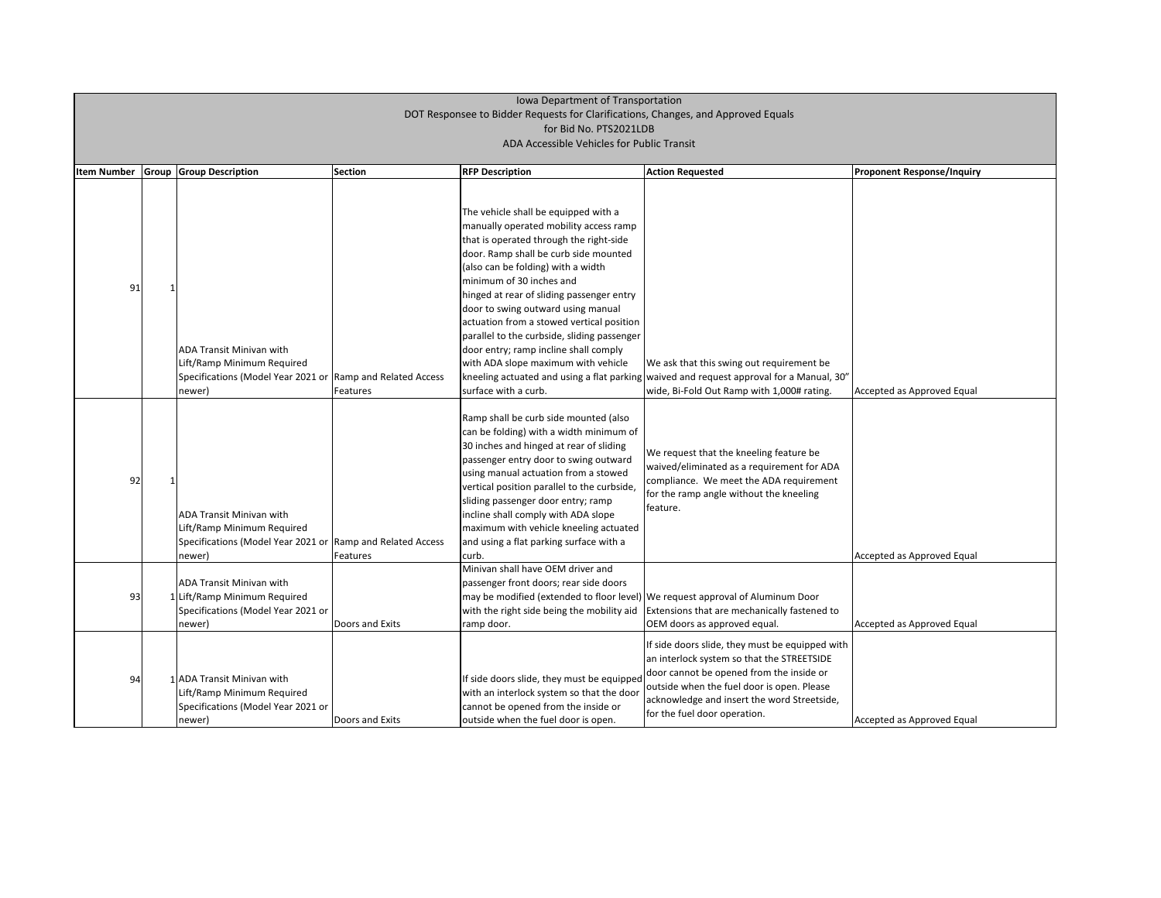| <b>Item Number</b> | <b>Group Group Description</b>                                                                                                        | <b>Section</b>  | <b>RFP Description</b>                                                                                                                                                                                                                                                                                                                                                                                                                                                                                                      | <b>Action Requested</b>                                                                                                                                                                                                                                                | <b>Proponent Response/Inquiry</b> |
|--------------------|---------------------------------------------------------------------------------------------------------------------------------------|-----------------|-----------------------------------------------------------------------------------------------------------------------------------------------------------------------------------------------------------------------------------------------------------------------------------------------------------------------------------------------------------------------------------------------------------------------------------------------------------------------------------------------------------------------------|------------------------------------------------------------------------------------------------------------------------------------------------------------------------------------------------------------------------------------------------------------------------|-----------------------------------|
| 91                 | <b>ADA Transit Minivan with</b><br>Lift/Ramp Minimum Required<br>Specifications (Model Year 2021 or Ramp and Related Access<br>newer) | Features        | The vehicle shall be equipped with a<br>manually operated mobility access ramp<br>that is operated through the right-side<br>door. Ramp shall be curb side mounted<br>(also can be folding) with a width<br>minimum of 30 inches and<br>hinged at rear of sliding passenger entry<br>door to swing outward using manual<br>actuation from a stowed vertical position<br>parallel to the curbside, sliding passenger<br>door entry; ramp incline shall comply<br>with ADA slope maximum with vehicle<br>surface with a curb. | We ask that this swing out requirement be<br>kneeling actuated and using a flat parking waived and request approval for a Manual, 30"<br>wide, Bi-Fold Out Ramp with 1,000# rating.                                                                                    | Accepted as Approved Equal        |
| 92                 | <b>ADA Transit Minivan with</b><br>Lift/Ramp Minimum Required<br>Specifications (Model Year 2021 or Ramp and Related Access<br>newer) | <b>Features</b> | Ramp shall be curb side mounted (also<br>can be folding) with a width minimum of<br>30 inches and hinged at rear of sliding<br>passenger entry door to swing outward<br>using manual actuation from a stowed<br>vertical position parallel to the curbside,<br>sliding passenger door entry; ramp<br>incline shall comply with ADA slope<br>maximum with vehicle kneeling actuated<br>and using a flat parking surface with a<br>lcurb.                                                                                     | We request that the kneeling feature be<br>waived/eliminated as a requirement for ADA<br>compliance. We meet the ADA requirement<br>for the ramp angle without the kneeling<br>feature.                                                                                | Accepted as Approved Equal        |
| 93                 | <b>ADA Transit Minivan with</b><br>1 Lift/Ramp Minimum Required<br>Specifications (Model Year 2021 or<br>newer)                       | Doors and Exits | Minivan shall have OEM driver and<br>passenger front doors; rear side doors<br>may be modified (extended to floor level) We request approval of Aluminum Door<br>ramp door.                                                                                                                                                                                                                                                                                                                                                 | with the right side being the mobility aid Extensions that are mechanically fastened to<br>OEM doors as approved equal.                                                                                                                                                | Accepted as Approved Equal        |
| 94                 | 1 ADA Transit Minivan with<br>Lift/Ramp Minimum Required<br>Specifications (Model Year 2021 or<br>newer)                              | Doors and Exits | If side doors slide, they must be equipped<br>with an interlock system so that the door<br>cannot be opened from the inside or<br>outside when the fuel door is open.                                                                                                                                                                                                                                                                                                                                                       | If side doors slide, they must be equipped with<br>an interlock system so that the STREETSIDE<br>door cannot be opened from the inside or<br>outside when the fuel door is open. Please<br>acknowledge and insert the word Streetside,<br>for the fuel door operation. | Accepted as Approved Equal        |

| <b>Proponent Response/Inquiry</b> |
|-----------------------------------|
|                                   |
|                                   |
|                                   |
|                                   |
|                                   |
|                                   |
|                                   |
|                                   |
|                                   |
| Accepted as Approved Equal        |
|                                   |
|                                   |
|                                   |
|                                   |
|                                   |
|                                   |
| Accepted as Approved Equal        |
|                                   |
|                                   |
| Accepted as Approved Equal        |
|                                   |
|                                   |
|                                   |
| Accepted as Approved Equal        |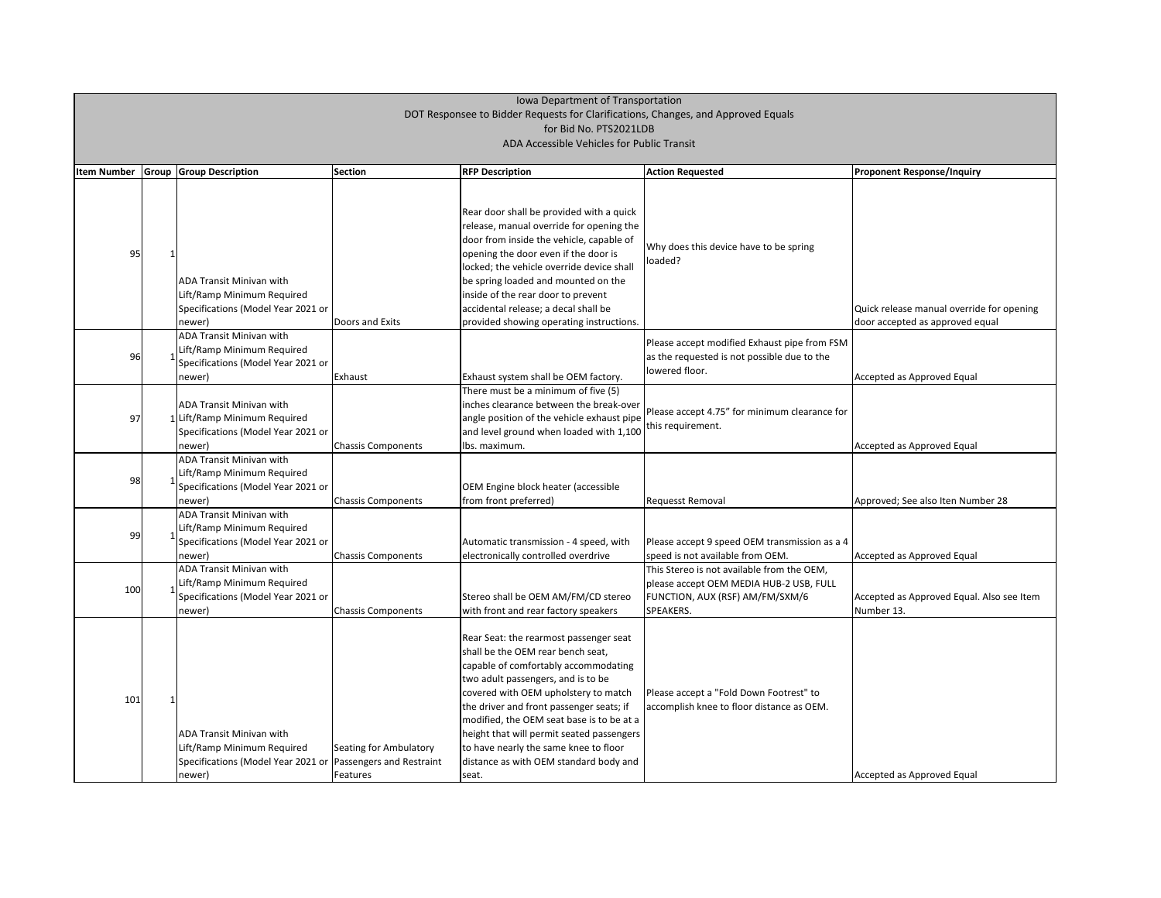| <b>Item Number</b> | Group | <b>Group Description</b>                                                                                       | <b>Section</b>                                                 | <b>RFP Description</b>                                                                                                                                                                                                                                                                                                                                                                                                              | <b>Action Requested</b>                                                                                                               | <b>Proponent Response/Inquiry</b>                                      |
|--------------------|-------|----------------------------------------------------------------------------------------------------------------|----------------------------------------------------------------|-------------------------------------------------------------------------------------------------------------------------------------------------------------------------------------------------------------------------------------------------------------------------------------------------------------------------------------------------------------------------------------------------------------------------------------|---------------------------------------------------------------------------------------------------------------------------------------|------------------------------------------------------------------------|
| 95                 |       | ADA Transit Minivan with<br>Lift/Ramp Minimum Required<br>Specifications (Model Year 2021 or<br>newer)         | Doors and Exits                                                | Rear door shall be provided with a quick<br>release, manual override for opening the<br>door from inside the vehicle, capable of<br>opening the door even if the door is<br>locked; the vehicle override device shall<br>be spring loaded and mounted on the<br>inside of the rear door to prevent<br>accidental release; a decal shall be<br>provided showing operating instructions.                                              | Why does this device have to be spring<br>loaded?                                                                                     | Quick release manual override for c<br>door accepted as approved equal |
| 96                 |       | ADA Transit Minivan with<br>ift/Ramp Minimum Required<br>Specifications (Model Year 2021 or<br>newer)          | Exhaust                                                        | Exhaust system shall be OEM factory.                                                                                                                                                                                                                                                                                                                                                                                                | Please accept modified Exhaust pipe from FSM<br>as the requested is not possible due to the<br>lowered floor.                         | Accepted as Approved Equal                                             |
| 97                 |       | <b>ADA Transit Minivan with</b><br>LLift/Ramp Minimum Required<br>Specifications (Model Year 2021 or<br>newer) | <b>Chassis Components</b>                                      | There must be a minimum of five (5)<br>inches clearance between the break-over<br>angle position of the vehicle exhaust pipe<br>and level ground when loaded with 1,100<br>lbs. maximum.                                                                                                                                                                                                                                            | Please accept 4.75" for minimum clearance for<br>this requirement.                                                                    | Accepted as Approved Equal                                             |
| 98                 |       | <b>ADA Transit Minivan with</b><br>Lift/Ramp Minimum Required<br>Specifications (Model Year 2021 or<br>newer)  | <b>Chassis Components</b>                                      | OEM Engine block heater (accessible<br>from front preferred)                                                                                                                                                                                                                                                                                                                                                                        | <b>Requesst Removal</b>                                                                                                               | Approved; See also Iten Number 28                                      |
| 99                 |       | ADA Transit Minivan with<br>Lift/Ramp Minimum Required<br>Specifications (Model Year 2021 or<br>newer)         | <b>Chassis Components</b>                                      | Automatic transmission - 4 speed, with<br>electronically controlled overdrive                                                                                                                                                                                                                                                                                                                                                       | Please accept 9 speed OEM transmission as a 4<br>speed is not available from OEM.                                                     | Accepted as Approved Equal                                             |
| 100                |       | ADA Transit Minivan with<br>Lift/Ramp Minimum Required<br>Specifications (Model Year 2021 or<br>newer)         | <b>Chassis Components</b>                                      | Stereo shall be OEM AM/FM/CD stereo<br>with front and rear factory speakers                                                                                                                                                                                                                                                                                                                                                         | This Stereo is not available from the OEM,<br>please accept OEM MEDIA HUB-2 USB, FULL<br>FUNCTION, AUX (RSF) AM/FM/SXM/6<br>SPEAKERS. | Accepted as Approved Equal. Also s<br>Number 13.                       |
| 101                |       | <b>ADA Transit Minivan with</b><br>Lift/Ramp Minimum Required<br>Specifications (Model Year 2021 or<br>newer)  | Seating for Ambulatory<br>Passengers and Restraint<br>Features | Rear Seat: the rearmost passenger seat<br>shall be the OEM rear bench seat,<br>capable of comfortably accommodating<br>two adult passengers, and is to be<br>covered with OEM upholstery to match<br>the driver and front passenger seats; if<br>modified, the OEM seat base is to be at a<br>height that will permit seated passengers<br>to have nearly the same knee to floor<br>distance as with OEM standard body and<br>seat. | Please accept a "Fold Down Footrest" to<br>accomplish knee to floor distance as OEM.                                                  | Accepted as Approved Equal                                             |

| <b>Proponent Response/Inquiry</b>         |
|-------------------------------------------|
|                                           |
|                                           |
|                                           |
|                                           |
|                                           |
| Quick release manual override for opening |
| door accepted as approved equal           |
|                                           |
| Accepted as Approved Equal                |
|                                           |
|                                           |
| Accepted as Approved Equal                |
|                                           |
|                                           |
| Approved; See also Iten Number 28         |
|                                           |
| Accepted as Approved Equal                |
|                                           |
| Accepted as Approved Equal. Also see Item |
| Number 13.                                |
|                                           |
|                                           |
|                                           |
|                                           |
|                                           |
|                                           |
| Accepted as Approved Equal                |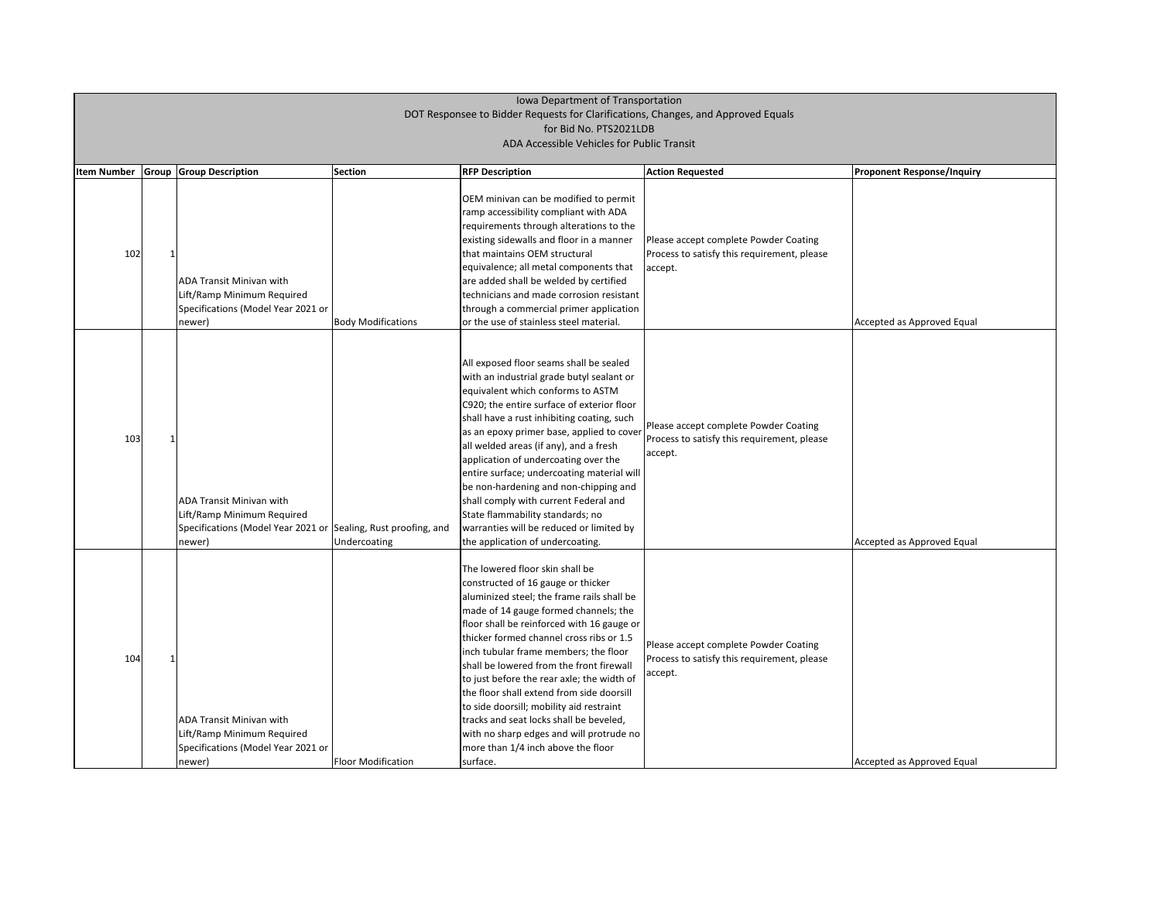| <b>Item Number</b> | Group | <b>Group Description</b>                                                                                                                  | <b>Section</b>            | <b>RFP Description</b>                                                                                                                                                                                                                                                                                                                                                                                                                                                                                                                                                                                                      | <b>Action Requested</b>                                                                         | <b>Proponent Response/Inquiry</b> |
|--------------------|-------|-------------------------------------------------------------------------------------------------------------------------------------------|---------------------------|-----------------------------------------------------------------------------------------------------------------------------------------------------------------------------------------------------------------------------------------------------------------------------------------------------------------------------------------------------------------------------------------------------------------------------------------------------------------------------------------------------------------------------------------------------------------------------------------------------------------------------|-------------------------------------------------------------------------------------------------|-----------------------------------|
| 102                |       | <b>ADA Transit Minivan with</b><br>Lift/Ramp Minimum Required<br>Specifications (Model Year 2021 or<br>newer)                             | <b>Body Modifications</b> | OEM minivan can be modified to permit<br>ramp accessibility compliant with ADA<br>requirements through alterations to the<br>existing sidewalls and floor in a manner<br>that maintains OEM structural<br>equivalence; all metal components that<br>are added shall be welded by certified<br>technicians and made corrosion resistant<br>through a commercial primer application<br>or the use of stainless steel material.                                                                                                                                                                                                | Please accept complete Powder Coating<br>Process to satisfy this requirement, please<br>accept. | Accepted as Approved Equal        |
| 103                |       | <b>ADA Transit Minivan with</b><br>Lift/Ramp Minimum Required<br>Specifications (Model Year 2021 or Sealing, Rust proofing, and<br>newer) | Undercoating              | All exposed floor seams shall be sealed<br>with an industrial grade butyl sealant or<br>equivalent which conforms to ASTM<br>C920; the entire surface of exterior floor<br>shall have a rust inhibiting coating, such<br>as an epoxy primer base, applied to cover<br>all welded areas (if any), and a fresh<br>application of undercoating over the<br>entire surface; undercoating material will<br>be non-hardening and non-chipping and<br>shall comply with current Federal and<br>State flammability standards; no<br>warranties will be reduced or limited by<br>the application of undercoating.                    | Please accept complete Powder Coating<br>Process to satisfy this requirement, please<br>accept. | Accepted as Approved Equal        |
| 104                |       | <b>ADA Transit Minivan with</b><br>Lift/Ramp Minimum Required<br>Specifications (Model Year 2021 or<br>newer)                             | <b>Floor Modification</b> | The lowered floor skin shall be<br>constructed of 16 gauge or thicker<br>aluminized steel; the frame rails shall be<br>made of 14 gauge formed channels; the<br>floor shall be reinforced with 16 gauge or<br>thicker formed channel cross ribs or 1.5<br>inch tubular frame members; the floor<br>shall be lowered from the front firewall<br>to just before the rear axle; the width of<br>the floor shall extend from side doorsill<br>to side doorsill; mobility aid restraint<br>tracks and seat locks shall be beveled,<br>with no sharp edges and will protrude no<br>more than 1/4 inch above the floor<br>surface. | Please accept complete Powder Coating<br>Process to satisfy this requirement, please<br>accept. | Accepted as Approved Equal        |

| <b>Proponent Response/Inquiry</b> |
|-----------------------------------|
|                                   |
| Accepted as Approved Equal        |
|                                   |
|                                   |
| Accepted as Approved Equal        |
|                                   |
|                                   |
| Accepted as Approved Equal        |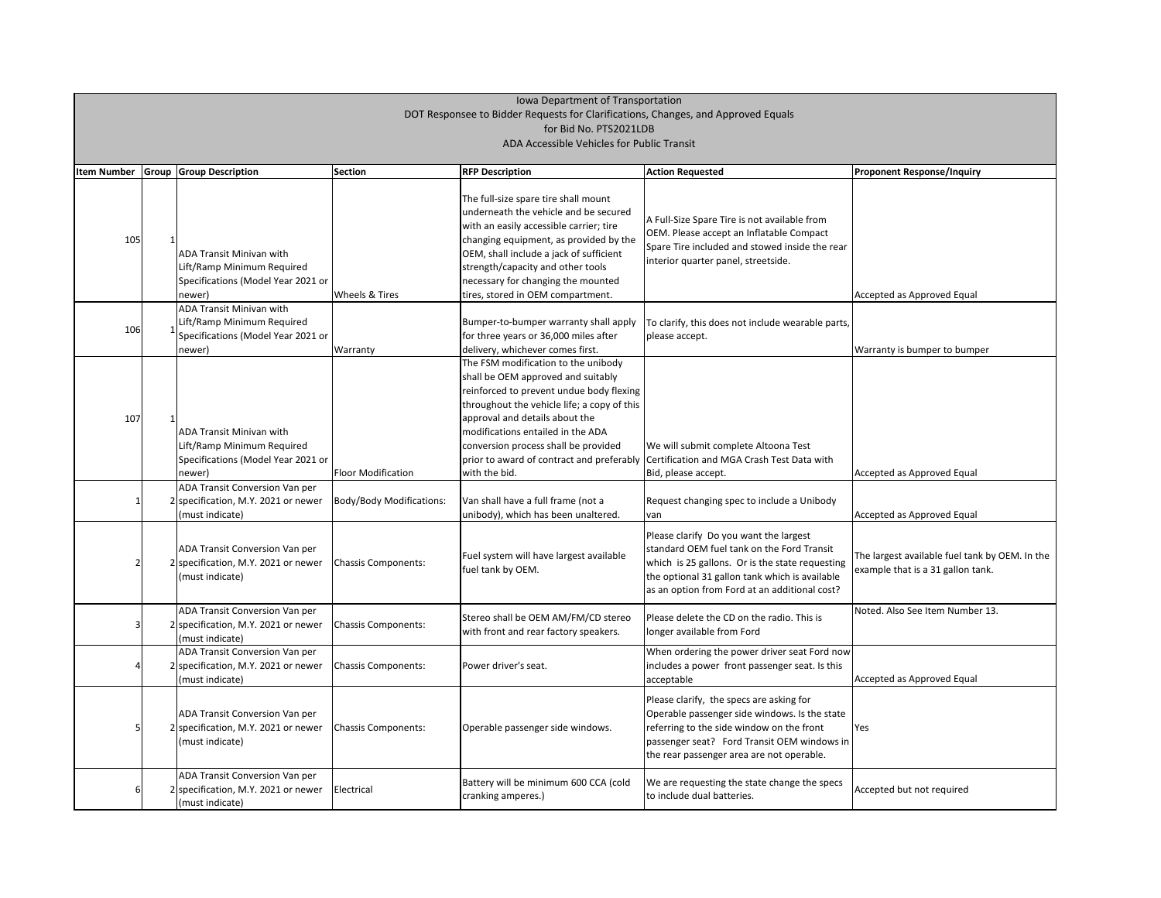| <b>Item Number</b> | <b>Group Group Description</b>                                                                                | Section                    | <b>RFP Description</b>                                                                                                                                                                                                                                                                                                                            | <b>Action Requested</b>                                                                                                                                                                                                                    | <b>Proponent Response/Inquiry</b>                                 |
|--------------------|---------------------------------------------------------------------------------------------------------------|----------------------------|---------------------------------------------------------------------------------------------------------------------------------------------------------------------------------------------------------------------------------------------------------------------------------------------------------------------------------------------------|--------------------------------------------------------------------------------------------------------------------------------------------------------------------------------------------------------------------------------------------|-------------------------------------------------------------------|
| 105                | <b>ADA Transit Minivan with</b><br>Lift/Ramp Minimum Required<br>Specifications (Model Year 2021 or<br>newer) | <b>Wheels &amp; Tires</b>  | The full-size spare tire shall mount<br>underneath the vehicle and be secured<br>with an easily accessible carrier; tire<br>changing equipment, as provided by the<br>OEM, shall include a jack of sufficient<br>strength/capacity and other tools<br>necessary for changing the mounted<br>tires, stored in OEM compartment.                     | A Full-Size Spare Tire is not available from<br>OEM. Please accept an Inflatable Compact<br>Spare Tire included and stowed inside the rear<br>interior quarter panel, streetside.                                                          | Accepted as Approved Equal                                        |
| 106                | <b>ADA Transit Minivan with</b><br>ift/Ramp Minimum Required<br>Specifications (Model Year 2021 or<br>newer)  | <b>Warranty</b>            | Bumper-to-bumper warranty shall apply<br>for three years or 36,000 miles after<br>delivery, whichever comes first.                                                                                                                                                                                                                                | To clarify, this does not include wearable parts,<br>please accept.                                                                                                                                                                        | Warranty is bumper to bump                                        |
| 107                | <b>ADA Transit Minivan with</b><br>Lift/Ramp Minimum Required<br>Specifications (Model Year 2021 or<br>newer) | <b>Floor Modification</b>  | The FSM modification to the unibody<br>shall be OEM approved and suitably<br>reinforced to prevent undue body flexing<br>throughout the vehicle life; a copy of this<br>approval and details about the<br>modifications entailed in the ADA<br>conversion process shall be provided<br>prior to award of contract and preferably<br>with the bid. | We will submit complete Altoona Test<br>Certification and MGA Crash Test Data with<br>Bid, please accept.                                                                                                                                  | Accepted as Approved Equal                                        |
|                    | ADA Transit Conversion Van per<br>2 specification, M.Y. 2021 or newer<br>(must indicate)                      | Body/Body Modifications:   | Van shall have a full frame (not a<br>unibody), which has been unaltered.                                                                                                                                                                                                                                                                         | Request changing spec to include a Unibody<br><b>I</b> van                                                                                                                                                                                 | Accepted as Approved Equal                                        |
|                    | ADA Transit Conversion Van per<br>2 specification, M.Y. 2021 or newer<br>(must indicate)                      | <b>Chassis Components:</b> | Fuel system will have largest available<br>fuel tank by OEM.                                                                                                                                                                                                                                                                                      | Please clarify Do you want the largest<br>standard OEM fuel tank on the Ford Transit<br>which is 25 gallons. Or is the state requesting<br>the optional 31 gallon tank which is available<br>as an option from Ford at an additional cost? | The largest available fuel tanl<br>example that is a 31 gallon ta |
|                    | <b>ADA Transit Conversion Van per</b><br>2 specification, M.Y. 2021 or newer<br>(must indicate)               | Chassis Components:        | Stereo shall be OEM AM/FM/CD stereo<br>with front and rear factory speakers.                                                                                                                                                                                                                                                                      | Please delete the CD on the radio. This is<br>longer available from Ford                                                                                                                                                                   | Noted. Also See Item Numbe                                        |
|                    | ADA Transit Conversion Van per<br>2 specification, M.Y. 2021 or newer<br>(must indicate)                      | <b>Chassis Components:</b> | Power driver's seat.                                                                                                                                                                                                                                                                                                                              | When ordering the power driver seat Ford now<br>includes a power front passenger seat. Is this<br>acceptable                                                                                                                               | Accepted as Approved Equal                                        |
|                    | ADA Transit Conversion Van per<br>2 specification, M.Y. 2021 or newer<br>(must indicate)                      | Chassis Components:        | Operable passenger side windows.                                                                                                                                                                                                                                                                                                                  | Please clarify, the specs are asking for<br>Operable passenger side windows. Is the state<br>referring to the side window on the front<br>passenger seat? Ford Transit OEM windows in<br>the rear passenger area are not operable.         | Yes                                                               |
|                    | ADA Transit Conversion Van per<br>2 specification, M.Y. 2021 or newer<br>(must indicate)                      | Electrical                 | Battery will be minimum 600 CCA (cold<br>cranking amperes.)                                                                                                                                                                                                                                                                                       | We are requesting the state change the specs<br>to include dual batteries.                                                                                                                                                                 | Accepted but not required                                         |

| <b>Proponent Response/Inquiry</b>                                                   |
|-------------------------------------------------------------------------------------|
|                                                                                     |
|                                                                                     |
|                                                                                     |
|                                                                                     |
|                                                                                     |
| Accepted as Approved Equal                                                          |
|                                                                                     |
| Warranty is bumper to bumper                                                        |
|                                                                                     |
|                                                                                     |
|                                                                                     |
|                                                                                     |
|                                                                                     |
| Accepted as Approved Equal                                                          |
|                                                                                     |
| Accepted as Approved Equal                                                          |
|                                                                                     |
| The largest available fuel tank by OEM. In the<br>example that is a 31 gallon tank. |
|                                                                                     |
| Noted. Also See Item Number 13.                                                     |
|                                                                                     |
|                                                                                     |
| Accepted as Approved Equal                                                          |
|                                                                                     |
| Yes                                                                                 |
|                                                                                     |
|                                                                                     |
| Accepted but not required                                                           |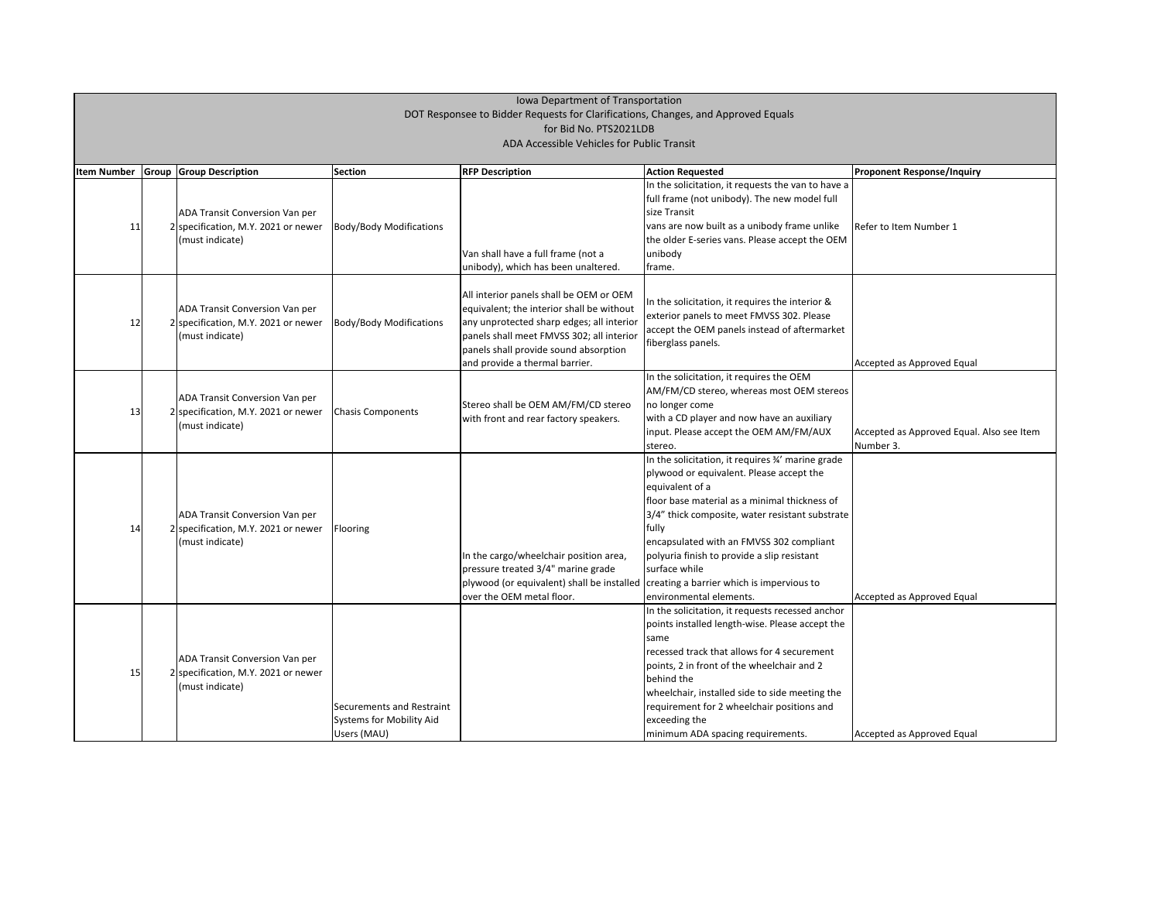| <b>Proponent Response/Inquiry</b>         |
|-------------------------------------------|
|                                           |
|                                           |
| Refer to Item Number 1                    |
|                                           |
|                                           |
|                                           |
|                                           |
|                                           |
|                                           |
|                                           |
| Accepted as Approved Equal                |
|                                           |
|                                           |
| Accepted as Approved Equal. Also see Item |
| Number 3.                                 |
|                                           |
|                                           |
|                                           |
|                                           |
|                                           |
|                                           |
|                                           |
| Accepted as Approved Equal                |
|                                           |
|                                           |
|                                           |
|                                           |
|                                           |
|                                           |
|                                           |

| <b>Item Number</b> | <b>Group Group Description</b>        | <b>Section</b>                 | <b>RFP Description</b>                                                               | <b>Action Requested</b>                            | <b>Proponent Response/Inquiry</b> |
|--------------------|---------------------------------------|--------------------------------|--------------------------------------------------------------------------------------|----------------------------------------------------|-----------------------------------|
|                    |                                       |                                |                                                                                      | In the solicitation, it requests the van to have a |                                   |
|                    |                                       |                                |                                                                                      | full frame (not unibody). The new model full       |                                   |
|                    | ADA Transit Conversion Van per        |                                |                                                                                      | size Transit                                       |                                   |
| 11                 | 2 specification, M.Y. 2021 or newer   | <b>Body/Body Modifications</b> |                                                                                      | vans are now built as a unibody frame unlike       | Refer to Item Number 1            |
|                    | (must indicate)                       |                                |                                                                                      | the older E-series vans. Please accept the OEM     |                                   |
|                    |                                       |                                | Van shall have a full frame (not a                                                   | unibody                                            |                                   |
|                    |                                       |                                | unibody), which has been unaltered.                                                  | frame.                                             |                                   |
|                    |                                       |                                |                                                                                      |                                                    |                                   |
|                    |                                       |                                | All interior panels shall be OEM or OEM                                              |                                                    |                                   |
|                    | <b>ADA Transit Conversion Van per</b> |                                | equivalent; the interior shall be without                                            | In the solicitation, it requires the interior &    |                                   |
| 12                 | 2 specification, M.Y. 2021 or newer   | <b>Body/Body Modifications</b> | any unprotected sharp edges; all interior                                            | exterior panels to meet FMVSS 302. Please          |                                   |
|                    | (must indicate)                       |                                | panels shall meet FMVSS 302; all interior                                            | accept the OEM panels instead of aftermarket       |                                   |
|                    |                                       |                                | panels shall provide sound absorption                                                | fiberglass panels.                                 |                                   |
|                    |                                       |                                | and provide a thermal barrier.                                                       |                                                    | Accepted as Approved Equal        |
|                    |                                       |                                |                                                                                      | In the solicitation, it requires the OEM           |                                   |
|                    |                                       |                                |                                                                                      | AM/FM/CD stereo, whereas most OEM stereos          |                                   |
|                    | ADA Transit Conversion Van per        |                                | Stereo shall be OEM AM/FM/CD stereo                                                  | no longer come                                     |                                   |
| 13                 | 2 specification, M.Y. 2021 or newer   | Chasis Components              | with front and rear factory speakers.                                                | with a CD player and now have an auxiliary         |                                   |
|                    | (must indicate)                       |                                |                                                                                      | input. Please accept the OEM AM/FM/AUX             | Accepted as Approved Equal.       |
|                    |                                       |                                |                                                                                      | stereo.                                            | Number 3.                         |
|                    |                                       |                                |                                                                                      | In the solicitation, it requires 3/4' marine grade |                                   |
|                    |                                       |                                |                                                                                      | plywood or equivalent. Please accept the           |                                   |
|                    |                                       |                                |                                                                                      | equivalent of a                                    |                                   |
|                    |                                       |                                |                                                                                      | floor base material as a minimal thickness of      |                                   |
|                    | <b>ADA Transit Conversion Van per</b> |                                |                                                                                      | 3/4" thick composite, water resistant substrate    |                                   |
| 14                 | 2 specification, M.Y. 2021 or newer   | Flooring                       |                                                                                      | fully                                              |                                   |
|                    | (must indicate)                       |                                |                                                                                      | encapsulated with an FMVSS 302 compliant           |                                   |
|                    |                                       |                                | In the cargo/wheelchair position area,                                               | polyuria finish to provide a slip resistant        |                                   |
|                    |                                       |                                | pressure treated 3/4" marine grade                                                   | surface while                                      |                                   |
|                    |                                       |                                | plywood (or equivalent) shall be installed creating a barrier which is impervious to |                                                    |                                   |
|                    |                                       |                                | lover the OEM metal floor.                                                           | environmental elements.                            | Accepted as Approved Equal        |
|                    |                                       |                                |                                                                                      | In the solicitation, it requests recessed anchor   |                                   |
|                    |                                       |                                |                                                                                      | points installed length-wise. Please accept the    |                                   |
|                    |                                       |                                |                                                                                      | same                                               |                                   |
|                    | ADA Transit Conversion Van per        |                                |                                                                                      | recessed track that allows for 4 securement        |                                   |
| 15                 | 2 specification, M.Y. 2021 or newer   |                                |                                                                                      | points, 2 in front of the wheelchair and 2         |                                   |
|                    | (must indicate)                       |                                |                                                                                      | behind the                                         |                                   |
|                    |                                       |                                |                                                                                      | wheelchair, installed side to side meeting the     |                                   |
|                    |                                       | Securements and Restraint      |                                                                                      | requirement for 2 wheelchair positions and         |                                   |
|                    |                                       | Systems for Mobility Aid       |                                                                                      | exceeding the                                      |                                   |
|                    |                                       | Users (MAU)                    |                                                                                      | minimum ADA spacing requirements.                  | Accepted as Approved Equal        |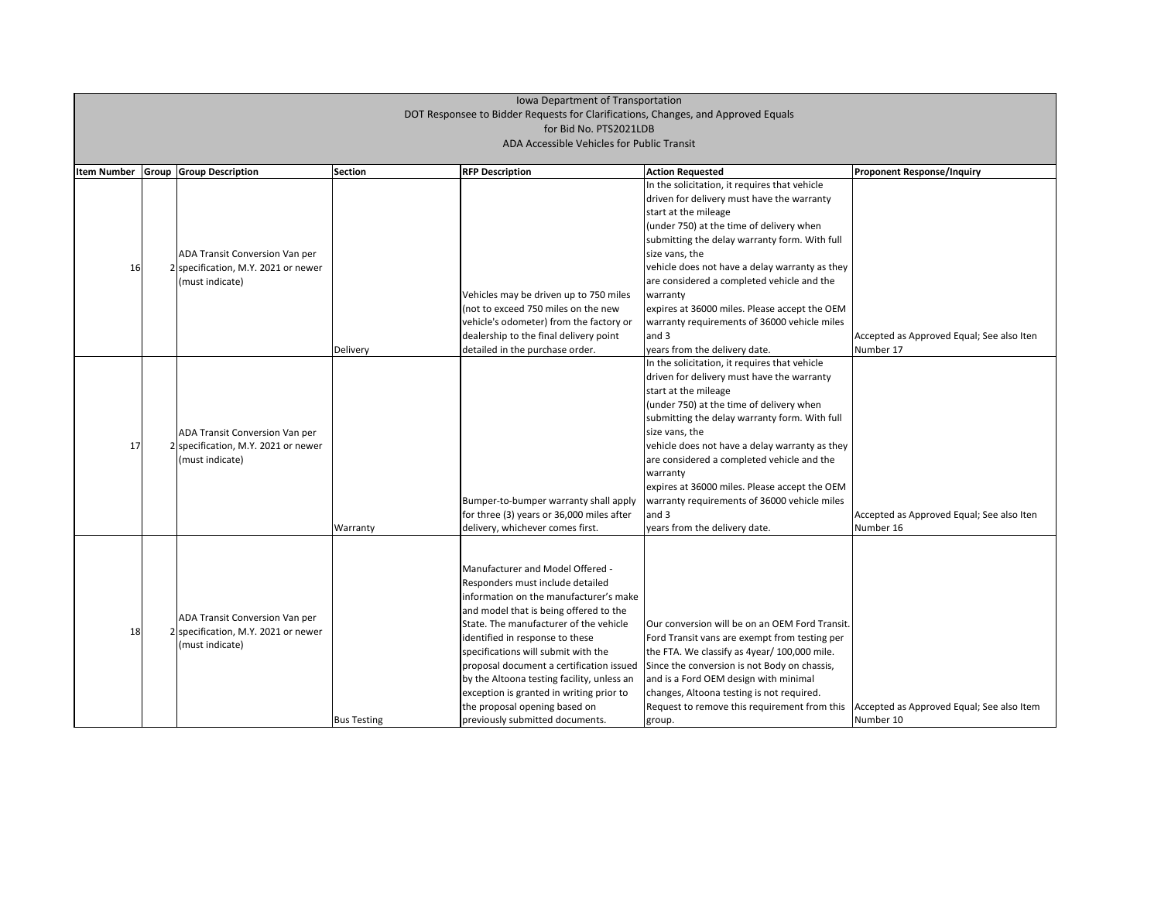#### Accepted as Approved Equal; See also Iten Number 17

| <b>Item Number</b> | Group | <b>Group Description</b>            | <b>Section</b>     | <b>RFP Description</b>                                                     | <b>Action Requested</b>                                                                       |
|--------------------|-------|-------------------------------------|--------------------|----------------------------------------------------------------------------|-----------------------------------------------------------------------------------------------|
|                    |       |                                     |                    |                                                                            | In the solicitation, it requires that vehicle                                                 |
|                    |       |                                     |                    |                                                                            | driven for delivery must have the warranty                                                    |
|                    |       |                                     |                    |                                                                            | start at the mileage                                                                          |
|                    |       |                                     |                    |                                                                            | (under 750) at the time of delivery when                                                      |
|                    |       |                                     |                    |                                                                            | submitting the delay warranty form. With full                                                 |
|                    |       | ADA Transit Conversion Van per      |                    |                                                                            | size vans, the                                                                                |
| 16                 |       | 2 specification, M.Y. 2021 or newer |                    |                                                                            | vehicle does not have a delay warranty as they                                                |
|                    |       | (must indicate)                     |                    |                                                                            | are considered a completed vehicle and the                                                    |
|                    |       |                                     |                    | Vehicles may be driven up to 750 miles                                     | warranty                                                                                      |
|                    |       |                                     |                    | (not to exceed 750 miles on the new                                        | expires at 36000 miles. Please accept the OEM                                                 |
|                    |       |                                     |                    | vehicle's odometer) from the factory or                                    | warranty requirements of 36000 vehicle miles                                                  |
|                    |       |                                     |                    | dealership to the final delivery point                                     | and 3                                                                                         |
|                    |       |                                     | Delivery           | detailed in the purchase order.                                            | years from the delivery date.                                                                 |
|                    |       |                                     |                    |                                                                            | In the solicitation, it requires that vehicle                                                 |
|                    |       |                                     |                    |                                                                            | driven for delivery must have the warranty                                                    |
|                    |       |                                     |                    |                                                                            | start at the mileage                                                                          |
|                    |       |                                     |                    |                                                                            | (under 750) at the time of delivery when                                                      |
|                    |       | ADA Transit Conversion Van per      |                    |                                                                            | submitting the delay warranty form. With full                                                 |
|                    |       |                                     |                    |                                                                            | size vans, the                                                                                |
| 17                 |       | 2 specification, M.Y. 2021 or newer |                    |                                                                            | vehicle does not have a delay warranty as they                                                |
|                    |       | (must indicate)                     |                    |                                                                            | are considered a completed vehicle and the                                                    |
|                    |       |                                     |                    |                                                                            | warranty                                                                                      |
|                    |       |                                     |                    |                                                                            | expires at 36000 miles. Please accept the OEM                                                 |
|                    |       |                                     |                    | Bumper-to-bumper warranty shall apply                                      | warranty requirements of 36000 vehicle miles                                                  |
|                    |       |                                     |                    | for three (3) years or 36,000 miles after                                  | and 3                                                                                         |
|                    |       |                                     | Warranty           | delivery, whichever comes first.                                           | years from the delivery date.                                                                 |
|                    |       |                                     |                    |                                                                            |                                                                                               |
|                    |       |                                     |                    |                                                                            |                                                                                               |
|                    |       |                                     |                    | Manufacturer and Model Offered -                                           |                                                                                               |
|                    |       |                                     |                    | Responders must include detailed<br>Information on the manufacturer's make |                                                                                               |
|                    |       |                                     |                    | and model that is being offered to the                                     |                                                                                               |
|                    |       | ADA Transit Conversion Van per      |                    | State. The manufacturer of the vehicle                                     | Our conversion will be on an OEM Ford Transit.                                                |
| 18                 |       | 2 specification, M.Y. 2021 or newer |                    | identified in response to these                                            |                                                                                               |
|                    |       | (must indicate)                     |                    |                                                                            | Ford Transit vans are exempt from testing per<br>the FTA. We classify as 4year/ 100,000 mile. |
|                    |       |                                     |                    | specifications will submit with the                                        |                                                                                               |
|                    |       |                                     |                    | proposal document a certification issued                                   | Since the conversion is not Body on chassis,<br>and is a Ford OEM design with minimal         |
|                    |       |                                     |                    | by the Altoona testing facility, unless an                                 |                                                                                               |
|                    |       |                                     |                    | exception is granted in writing prior to<br>the proposal opening based on  | changes, Altoona testing is not required.                                                     |
|                    |       |                                     |                    |                                                                            | Request to remove this requirement from this                                                  |
|                    |       |                                     | <b>Bus Testing</b> | previously submitted documents.                                            | group.                                                                                        |

#### **Proponent Response/Inquiry**

Accepted as Approved Equal; See also Iten Number 16

Accepted as Approved Equal; See also Item Number 10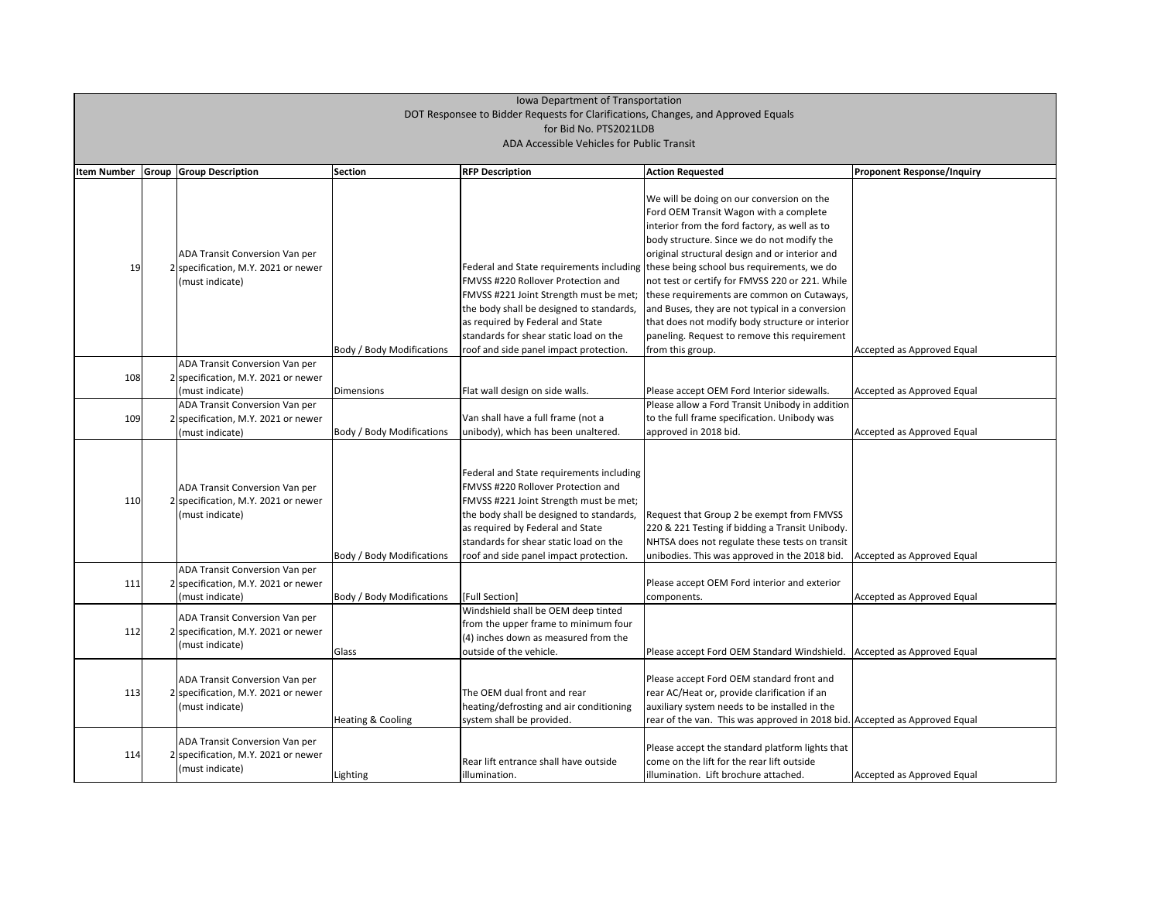| <b>Item Number</b> | Group | <b>Group Description</b>                                                                                  | <b>Section</b>                                 | <b>RFP Description</b>                                                                                                                                                                                                                                                                       | <b>Action Requested</b>                                                                                                                                                                                                                                                                                                                                                                                                                                                                                                                                                                                | <b>Proponent Response/Inquiry</b>                        |
|--------------------|-------|-----------------------------------------------------------------------------------------------------------|------------------------------------------------|----------------------------------------------------------------------------------------------------------------------------------------------------------------------------------------------------------------------------------------------------------------------------------------------|--------------------------------------------------------------------------------------------------------------------------------------------------------------------------------------------------------------------------------------------------------------------------------------------------------------------------------------------------------------------------------------------------------------------------------------------------------------------------------------------------------------------------------------------------------------------------------------------------------|----------------------------------------------------------|
| 19                 |       | ADA Transit Conversion Van per<br>2 specification, M.Y. 2021 or newer<br>(must indicate)                  | <b>Body / Body Modifications</b>               | FMVSS #220 Rollover Protection and<br>FMVSS #221 Joint Strength must be met;<br>the body shall be designed to standards,<br>as required by Federal and State<br>standards for shear static load on the<br>roof and side panel impact protection.                                             | We will be doing on our conversion on the<br>Ford OEM Transit Wagon with a complete<br>interior from the ford factory, as well as to<br>body structure. Since we do not modify the<br>original structural design and or interior and<br>Federal and State requirements including these being school bus requirements, we do<br>not test or certify for FMVSS 220 or 221. While<br>these requirements are common on Cutaways,<br>and Buses, they are not typical in a conversion<br>that does not modify body structure or interior<br>paneling. Request to remove this requirement<br>from this group. | Accepted as Approved Equal                               |
| 108                |       | <b>ADA Transit Conversion Van per</b><br>2 specification, M.Y. 2021 or newer                              |                                                |                                                                                                                                                                                                                                                                                              |                                                                                                                                                                                                                                                                                                                                                                                                                                                                                                                                                                                                        |                                                          |
| 109                |       | (must indicate)<br>ADA Transit Conversion Van per<br>specification, M.Y. 2021 or newer<br>(must indicate) | Dimensions<br><b>Body / Body Modifications</b> | Flat wall design on side walls.<br>Van shall have a full frame (not a<br>unibody), which has been unaltered.                                                                                                                                                                                 | Please accept OEM Ford Interior sidewalls.<br>Please allow a Ford Transit Unibody in addition<br>to the full frame specification. Unibody was<br>approved in 2018 bid.                                                                                                                                                                                                                                                                                                                                                                                                                                 | Accepted as Approved Equal<br>Accepted as Approved Equal |
| 110                |       | <b>ADA Transit Conversion Van per</b><br>2 specification, M.Y. 2021 or newer<br>(must indicate)           | <b>Body / Body Modifications</b>               | Federal and State requirements including<br>FMVSS #220 Rollover Protection and<br>FMVSS #221 Joint Strength must be met;<br>the body shall be designed to standards,<br>as required by Federal and State<br>standards for shear static load on the<br>roof and side panel impact protection. | Request that Group 2 be exempt from FMVSS<br>220 & 221 Testing if bidding a Transit Unibody.<br>NHTSA does not regulate these tests on transit<br>unibodies. This was approved in the 2018 bid.                                                                                                                                                                                                                                                                                                                                                                                                        | Accepted as Approved Equal                               |
| 111                |       | ADA Transit Conversion Van per<br>2 specification, M.Y. 2021 or newer<br>(must indicate)                  | <b>Body / Body Modifications</b>               | [Full Section]                                                                                                                                                                                                                                                                               | Please accept OEM Ford interior and exterior<br>components.                                                                                                                                                                                                                                                                                                                                                                                                                                                                                                                                            | Accepted as Approved Equal                               |
| 112                |       | ADA Transit Conversion Van per<br>2 specification, M.Y. 2021 or newer<br>(must indicate)                  | Glass                                          | Windshield shall be OEM deep tinted<br>from the upper frame to minimum four<br>$(4)$ inches down as measured from the<br>outside of the vehicle.                                                                                                                                             | Please accept Ford OEM Standard Windshield.                                                                                                                                                                                                                                                                                                                                                                                                                                                                                                                                                            | Accepted as Approved Equal                               |
| 113                |       | <b>ADA Transit Conversion Van per</b><br>2 specification, M.Y. 2021 or newer<br>(must indicate)           | Heating & Cooling                              | The OEM dual front and rear<br>heating/defrosting and air conditioning<br>system shall be provided.                                                                                                                                                                                          | Please accept Ford OEM standard front and<br>rear AC/Heat or, provide clarification if an<br>auxiliary system needs to be installed in the<br>rear of the van. This was approved in 2018 bid. Accepted as Approved Equal                                                                                                                                                                                                                                                                                                                                                                               |                                                          |
| 114                |       | ADA Transit Conversion Van per<br>2 specification, M.Y. 2021 or newer<br>(must indicate)                  | Lighting                                       | Rear lift entrance shall have outside<br>illumination.                                                                                                                                                                                                                                       | Please accept the standard platform lights that<br>come on the lift for the rear lift outside<br>illumination. Lift brochure attached.                                                                                                                                                                                                                                                                                                                                                                                                                                                                 | Accepted as Approved Equal                               |

| <b>Proponent Response/Inquiry</b> |
|-----------------------------------|
|                                   |
|                                   |
|                                   |
|                                   |
|                                   |
| Accepted as Approved Equal        |
| Accepted as Approved Equal        |
| Accepted as Approved Equal        |
|                                   |
|                                   |
|                                   |
| Accepted as Approved Equal        |
|                                   |
| Accepted as Approved Equal        |
| Accepted as Approved Equal        |
|                                   |
| Accepted as Approved Equal        |
|                                   |
| Accepted as Approved Equal        |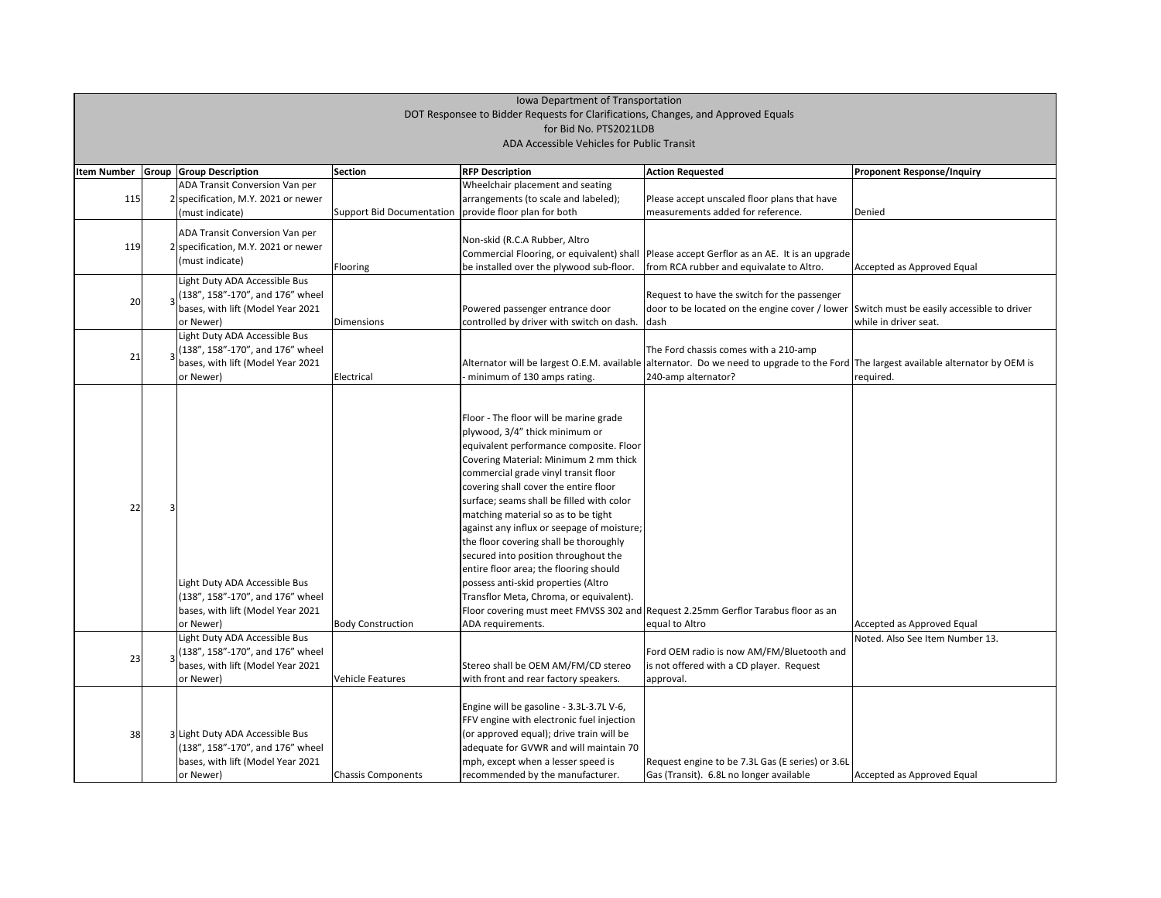| <b>Proponent Response/Inquiry</b>                             |
|---------------------------------------------------------------|
|                                                               |
|                                                               |
| Denied                                                        |
|                                                               |
|                                                               |
| Accepted as Approved Equal                                    |
|                                                               |
| Switch must be easily accessible to driver                    |
| while in driver seat.                                         |
|                                                               |
| The largest available alternator by OEM is<br>required.       |
|                                                               |
|                                                               |
|                                                               |
|                                                               |
|                                                               |
|                                                               |
|                                                               |
|                                                               |
|                                                               |
|                                                               |
|                                                               |
|                                                               |
|                                                               |
| Accepted as Approved Equal<br>Noted. Also See Item Number 13. |
|                                                               |
|                                                               |
|                                                               |
|                                                               |
|                                                               |
|                                                               |
|                                                               |
| Accepted as Approved Equal                                    |

| <b>Item Number</b> | <b>Group Group Description</b>                 | <b>Section</b>                                        | <b>RFP Description</b>                     | <b>Action Requested</b>                                                                                                  | <b>Proponent Response/Inquiry</b> |
|--------------------|------------------------------------------------|-------------------------------------------------------|--------------------------------------------|--------------------------------------------------------------------------------------------------------------------------|-----------------------------------|
|                    | <b>ADA Transit Conversion Van per</b>          |                                                       | Wheelchair placement and seating           |                                                                                                                          |                                   |
| 115                | 2 specification, M.Y. 2021 or newer            |                                                       | arrangements (to scale and labeled);       | Please accept unscaled floor plans that have                                                                             |                                   |
|                    | (must indicate)                                | Support Bid Documentation provide floor plan for both |                                            | measurements added for reference.                                                                                        | Denied                            |
|                    | ADA Transit Conversion Van per                 |                                                       |                                            |                                                                                                                          |                                   |
| 119                | 2 specification, M.Y. 2021 or newer            |                                                       | Non-skid (R.C.A Rubber, Altro              |                                                                                                                          |                                   |
|                    | (must indicate)                                |                                                       | Commercial Flooring, or equivalent) shall  | Please accept Gerflor as an AE. It is an upgrade                                                                         |                                   |
|                    |                                                | Flooring                                              | be installed over the plywood sub-floor.   | from RCA rubber and equivalate to Altro.                                                                                 | Accepted as Approved Equal        |
|                    | Light Duty ADA Accessible Bus                  |                                                       |                                            |                                                                                                                          |                                   |
| 20                 | (138", 158"-170", and 176" wheel               |                                                       |                                            | Request to have the switch for the passenger                                                                             |                                   |
|                    | bases, with lift (Model Year 2021              |                                                       | Powered passenger entrance door            | door to be located on the engine cover / lower Switch must be easily accessi                                             |                                   |
|                    | or Newer)                                      | Dimensions                                            | controlled by driver with switch on dash.  | dash                                                                                                                     | while in driver seat.             |
|                    | Light Duty ADA Accessible Bus                  |                                                       |                                            |                                                                                                                          |                                   |
| 21                 | (138", 158"-170", and 176" wheel               |                                                       |                                            | The Ford chassis comes with a 210-amp                                                                                    |                                   |
|                    | bases, with lift (Model Year 2021              |                                                       |                                            | Alternator will be largest O.E.M. available alternator. Do we need to upgrade to the Ford The largest available alternat |                                   |
|                    | or Newer)                                      | Electrical                                            | minimum of 130 amps rating.                | 240-amp alternator?                                                                                                      | required.                         |
|                    |                                                |                                                       |                                            |                                                                                                                          |                                   |
|                    |                                                |                                                       | Floor - The floor will be marine grade     |                                                                                                                          |                                   |
|                    |                                                |                                                       | plywood, 3/4" thick minimum or             |                                                                                                                          |                                   |
|                    |                                                |                                                       | equivalent performance composite. Floor    |                                                                                                                          |                                   |
|                    |                                                |                                                       | Covering Material: Minimum 2 mm thick      |                                                                                                                          |                                   |
|                    |                                                |                                                       | commercial grade vinyl transit floor       |                                                                                                                          |                                   |
|                    |                                                |                                                       | covering shall cover the entire floor      |                                                                                                                          |                                   |
|                    |                                                |                                                       | surface; seams shall be filled with color  |                                                                                                                          |                                   |
| 22                 |                                                |                                                       | matching material so as to be tight        |                                                                                                                          |                                   |
|                    |                                                |                                                       | against any influx or seepage of moisture; |                                                                                                                          |                                   |
|                    |                                                |                                                       | the floor covering shall be thoroughly     |                                                                                                                          |                                   |
|                    |                                                |                                                       | secured into position throughout the       |                                                                                                                          |                                   |
|                    |                                                |                                                       | entire floor area; the flooring should     |                                                                                                                          |                                   |
|                    | Light Duty ADA Accessible Bus                  |                                                       | possess anti-skid properties (Altro        |                                                                                                                          |                                   |
|                    | (138", 158"-170", and 176" wheel               |                                                       | Transflor Meta, Chroma, or equivalent).    |                                                                                                                          |                                   |
|                    | bases, with lift (Model Year 2021              |                                                       |                                            | Floor covering must meet FMVSS 302 and Request 2.25mm Gerflor Tarabus floor as an                                        |                                   |
|                    | or Newer)                                      | <b>Body Construction</b>                              | ADA requirements.                          | equal to Altro                                                                                                           | Accepted as Approved Equal        |
|                    | Light Duty ADA Accessible Bus                  |                                                       |                                            |                                                                                                                          | Noted. Also See Item Numbe        |
|                    | $\frac{1}{3}$ (138", 158"-170", and 176" wheel |                                                       |                                            | Ford OEM radio is now AM/FM/Bluetooth and                                                                                |                                   |
| 23                 | bases, with lift (Model Year 2021              |                                                       | Stereo shall be OEM AM/FM/CD stereo        | is not offered with a CD player. Request                                                                                 |                                   |
|                    | or Newer)                                      | <b>Vehicle Features</b>                               | with front and rear factory speakers.      | approval.                                                                                                                |                                   |
|                    |                                                |                                                       |                                            |                                                                                                                          |                                   |
|                    |                                                |                                                       | Engine will be gasoline - 3.3L-3.7L V-6,   |                                                                                                                          |                                   |
|                    |                                                |                                                       | FFV engine with electronic fuel injection  |                                                                                                                          |                                   |
| 38                 | 3 Light Duty ADA Accessible Bus                |                                                       | (or approved equal); drive train will be   |                                                                                                                          |                                   |
|                    | (138", 158"-170", and 176" wheel               |                                                       | adequate for GVWR and will maintain 70     |                                                                                                                          |                                   |
|                    | bases, with lift (Model Year 2021              |                                                       | mph, except when a lesser speed is         | Request engine to be 7.3L Gas (E series) or 3.6L                                                                         |                                   |
|                    | or Newer)                                      | <b>Chassis Components</b>                             | recommended by the manufacturer.           | Gas (Transit). 6.8L no longer available                                                                                  | Accepted as Approved Equal        |
|                    |                                                |                                                       |                                            |                                                                                                                          |                                   |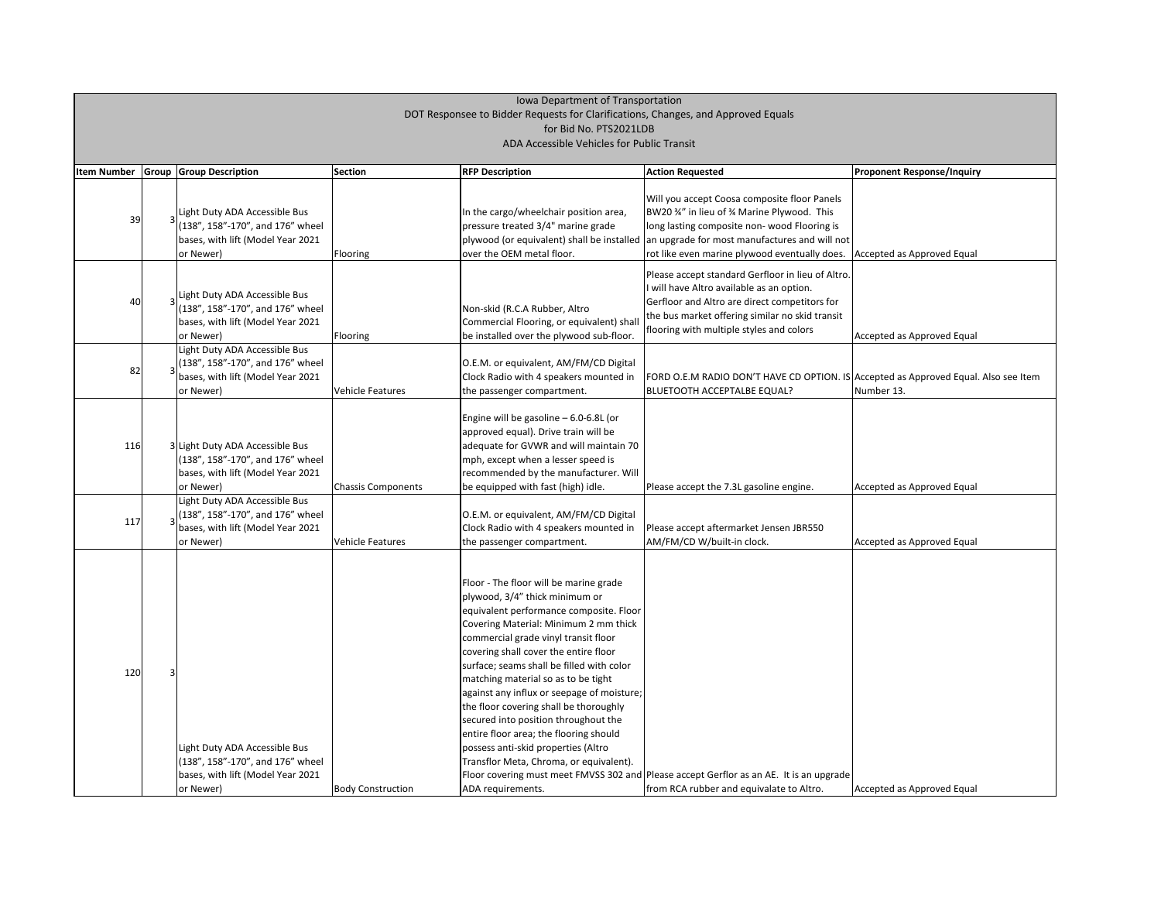| <b>Item Number</b> | <b>Group Group Description</b>                                                                                                    | <b>Section</b>            | <b>RFP Description</b>                                                                                                                                                                                                                                                                                                                                                                                                                                                                                                                                                                                             | <b>Action Requested</b>                                                                                                                                                                                                                        | <b>Proponent Response/Inquiry</b> |
|--------------------|-----------------------------------------------------------------------------------------------------------------------------------|---------------------------|--------------------------------------------------------------------------------------------------------------------------------------------------------------------------------------------------------------------------------------------------------------------------------------------------------------------------------------------------------------------------------------------------------------------------------------------------------------------------------------------------------------------------------------------------------------------------------------------------------------------|------------------------------------------------------------------------------------------------------------------------------------------------------------------------------------------------------------------------------------------------|-----------------------------------|
| 39                 | Light Duty ADA Accessible Bus<br>(138", 158"-170", and 176" wheel<br>bases, with lift (Model Year 2021<br>or Newer)               | Flooring                  | In the cargo/wheelchair position area,<br>pressure treated 3/4" marine grade<br>plywood (or equivalent) shall be installed<br>lover the OEM metal floor.                                                                                                                                                                                                                                                                                                                                                                                                                                                           | Will you accept Coosa composite floor Panels<br>BW20 34" in lieu of 34 Marine Plywood. This<br>long lasting composite non-wood Flooring is<br>an upgrade for most manufactures and will not<br>rot like even marine plywood eventually does.   | Accepted as Approved Equal        |
| 40                 | Light Duty ADA Accessible Bus<br>(138", 158"-170", and 176" wheel<br>bases, with lift (Model Year 2021<br>or Newer)               | Flooring                  | Non-skid (R.C.A Rubber, Altro<br>Commercial Flooring, or equivalent) shall<br>be installed over the plywood sub-floor.                                                                                                                                                                                                                                                                                                                                                                                                                                                                                             | Please accept standard Gerfloor in lieu of Altro.<br>I will have Altro available as an option.<br>Gerfloor and Altro are direct competitors for<br>the bus market offering similar no skid transit<br>flooring with multiple styles and colors | Accepted as Approved Equal        |
| 82                 | Light Duty ADA Accessible Bus<br>(138", 158"-170", and 176" wheel<br>bases, with lift (Model Year 2021<br>or Newer)               | <b>Vehicle Features</b>   | O.E.M. or equivalent, AM/FM/CD Digital<br>Clock Radio with 4 speakers mounted in<br>the passenger compartment.                                                                                                                                                                                                                                                                                                                                                                                                                                                                                                     | FORD O.E.M RADIO DON'T HAVE CD OPTION. IS Accepted as Approved Equal.<br><b>BLUETOOTH ACCEPTALBE EQUAL?</b>                                                                                                                                    | Number 13.                        |
| 116                | 3 Light Duty ADA Accessible Bus<br>(138", 158"-170", and 176" wheel<br>bases, with lift (Model Year 2021<br>or Newer)             | <b>Chassis Components</b> | Engine will be gasoline - 6.0-6.8L (or<br>approved equal). Drive train will be<br>adequate for GVWR and will maintain 70<br>mph, except when a lesser speed is<br>recommended by the manufacturer. Will<br>be equipped with fast (high) idle.                                                                                                                                                                                                                                                                                                                                                                      | Please accept the 7.3L gasoline engine.                                                                                                                                                                                                        | Accepted as Approved Equal        |
| 117                | Light Duty ADA Accessible Bus<br>$\frac{1}{2}$ (138", 158"-170", and 176" wheel<br>bases, with lift (Model Year 2021<br>or Newer) | <b>Vehicle Features</b>   | O.E.M. or equivalent, AM/FM/CD Digital<br>Clock Radio with 4 speakers mounted in<br>the passenger compartment.                                                                                                                                                                                                                                                                                                                                                                                                                                                                                                     | Please accept aftermarket Jensen JBR550<br>AM/FM/CD W/built-in clock.                                                                                                                                                                          | Accepted as Approved Equal        |
| 120                | Light Duty ADA Accessible Bus<br>(138", 158"-170", and 176" wheel<br>bases, with lift (Model Year 2021<br>or Newer)               | <b>Body Construction</b>  | Floor - The floor will be marine grade<br>plywood, 3/4" thick minimum or<br>equivalent performance composite. Floor<br>Covering Material: Minimum 2 mm thick<br>commercial grade vinyl transit floor<br>covering shall cover the entire floor<br>surface; seams shall be filled with color<br>matching material so as to be tight<br>against any influx or seepage of moisture;<br>the floor covering shall be thoroughly<br>secured into position throughout the<br>entire floor area; the flooring should<br>possess anti-skid properties (Altro<br>Transflor Meta, Chroma, or equivalent).<br>ADA requirements. | Floor covering must meet FMVSS 302 and Please accept Gerflor as an AE. It is an upgrade<br>from RCA rubber and equivalate to Altro.                                                                                                            | Accepted as Approved Equal        |

| <b>Proponent Response/Inquiry</b>         |
|-------------------------------------------|
|                                           |
|                                           |
|                                           |
|                                           |
|                                           |
| Accepted as Approved Equal                |
|                                           |
|                                           |
|                                           |
|                                           |
|                                           |
| Accepted as Approved Equal                |
|                                           |
|                                           |
| Accepted as Approved Equal. Also see Item |
| Number 13.                                |
|                                           |
|                                           |
|                                           |
|                                           |
|                                           |
| Accepted as Approved Equal                |
|                                           |
|                                           |
|                                           |
| Accepted as Approved Equal                |
|                                           |
|                                           |
|                                           |
|                                           |
|                                           |
|                                           |
|                                           |
|                                           |
|                                           |
|                                           |
|                                           |
|                                           |
|                                           |
|                                           |
|                                           |
|                                           |
|                                           |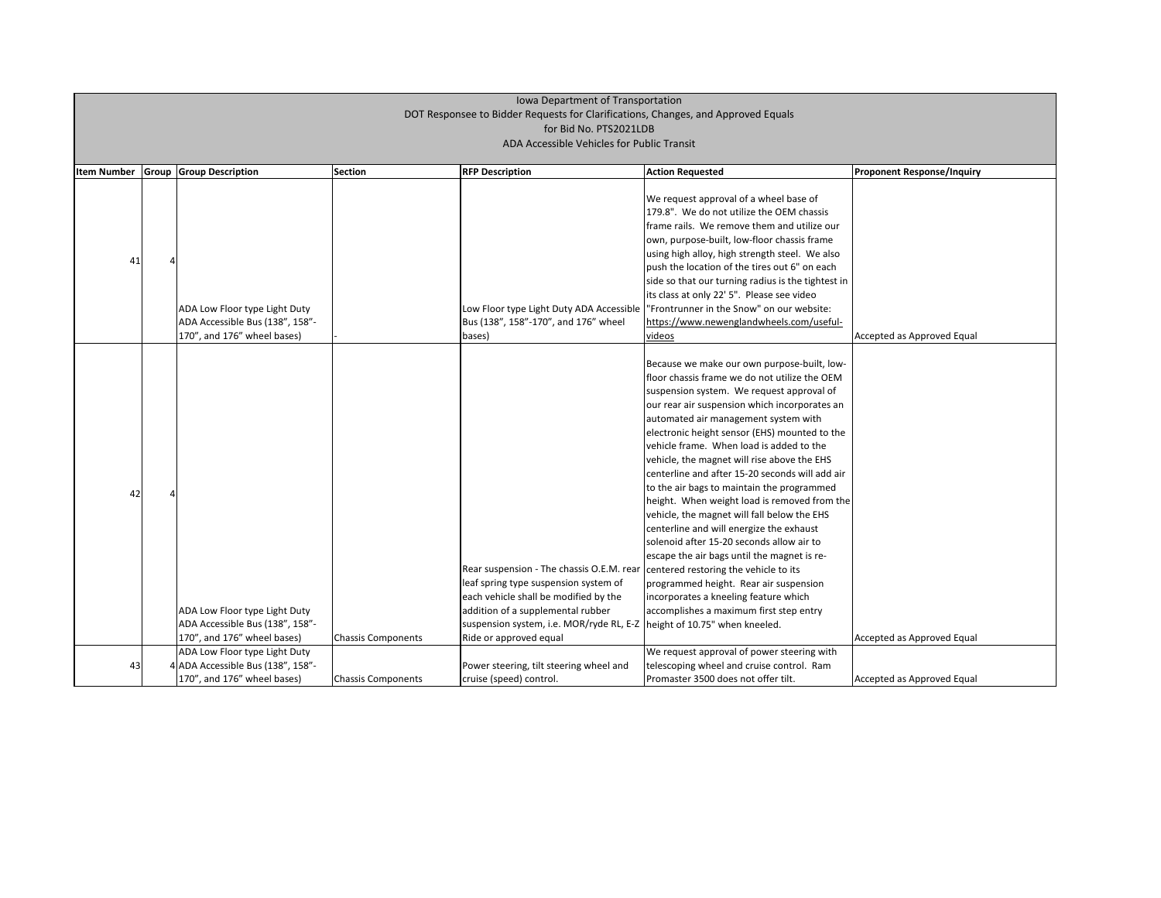| <b>Item Number</b> | <b>Group Group Description</b>                                                                  | Section                   | <b>RFP Description</b>                                                                                                                                                                                                                                                                                        | <b>Action Requested</b>                                                                                                                                                                                                                                                                                                                                                                                                                                                                                                                                                                                                                                                                                                                                                                                                                              | <b>Proponent Response/Inquiry</b> |
|--------------------|-------------------------------------------------------------------------------------------------|---------------------------|---------------------------------------------------------------------------------------------------------------------------------------------------------------------------------------------------------------------------------------------------------------------------------------------------------------|------------------------------------------------------------------------------------------------------------------------------------------------------------------------------------------------------------------------------------------------------------------------------------------------------------------------------------------------------------------------------------------------------------------------------------------------------------------------------------------------------------------------------------------------------------------------------------------------------------------------------------------------------------------------------------------------------------------------------------------------------------------------------------------------------------------------------------------------------|-----------------------------------|
| 41                 | ADA Low Floor type Light Duty<br>ADA Accessible Bus (138", 158"-                                |                           | Bus (138", 158"-170", and 176" wheel                                                                                                                                                                                                                                                                          | We request approval of a wheel base of<br>179.8". We do not utilize the OEM chassis<br>frame rails. We remove them and utilize our<br>own, purpose-built, low-floor chassis frame<br>using high alloy, high strength steel. We also<br>push the location of the tires out 6" on each<br>side so that our turning radius is the tightest in<br>its class at only 22' 5". Please see video<br>Low Floor type Light Duty ADA Accessible  "Frontrunner in the Snow" on our website:<br>https://www.newenglandwheels.com/useful-                                                                                                                                                                                                                                                                                                                          |                                   |
|                    | 170", and 176" wheel bases)                                                                     |                           | bases)                                                                                                                                                                                                                                                                                                        | videos                                                                                                                                                                                                                                                                                                                                                                                                                                                                                                                                                                                                                                                                                                                                                                                                                                               | Accepted as Approved Equal        |
| 42                 | ADA Low Floor type Light Duty<br>ADA Accessible Bus (138", 158"-<br>170", and 176" wheel bases) | <b>Chassis Components</b> | Rear suspension - The chassis O.E.M. rear centered restoring the vehicle to its<br>leaf spring type suspension system of<br>each vehicle shall be modified by the<br>addition of a supplemental rubber<br>suspension system, i.e. MOR/ryde RL, E-Z   height of 10.75" when kneeled.<br>Ride or approved equal | Because we make our own purpose-built, low-<br>floor chassis frame we do not utilize the OEM<br>suspension system. We request approval of<br>our rear air suspension which incorporates an<br>automated air management system with<br>electronic height sensor (EHS) mounted to the<br>vehicle frame. When load is added to the<br>vehicle, the magnet will rise above the EHS<br>centerline and after 15-20 seconds will add air<br>to the air bags to maintain the programmed<br>height. When weight load is removed from the<br>vehicle, the magnet will fall below the EHS<br>centerline and will energize the exhaust<br>solenoid after 15-20 seconds allow air to<br>escape the air bags until the magnet is re-<br>programmed height. Rear air suspension<br>incorporates a kneeling feature which<br>accomplishes a maximum first step entry | Accepted as Approved Equal        |
| 43                 | ADA Low Floor type Light Duty<br>4 ADA Accessible Bus (138", 158"-                              |                           | Power steering, tilt steering wheel and                                                                                                                                                                                                                                                                       | We request approval of power steering with<br>telescoping wheel and cruise control. Ram                                                                                                                                                                                                                                                                                                                                                                                                                                                                                                                                                                                                                                                                                                                                                              |                                   |
|                    | 170", and 176" wheel bases)                                                                     | <b>Chassis Components</b> | cruise (speed) control.                                                                                                                                                                                                                                                                                       | Promaster 3500 does not offer tilt.                                                                                                                                                                                                                                                                                                                                                                                                                                                                                                                                                                                                                                                                                                                                                                                                                  | Accepted as Approved Equal        |

| <b>Proponent Response/Inquiry</b> |
|-----------------------------------|
|                                   |
|                                   |
|                                   |
|                                   |
|                                   |
|                                   |
| Accepted as Approved Equal        |
|                                   |
|                                   |
|                                   |
|                                   |
|                                   |
|                                   |
|                                   |
|                                   |
|                                   |
|                                   |
|                                   |
|                                   |
|                                   |
| Accepted as Approved Equal        |
|                                   |
| Accepted as Approved Equal        |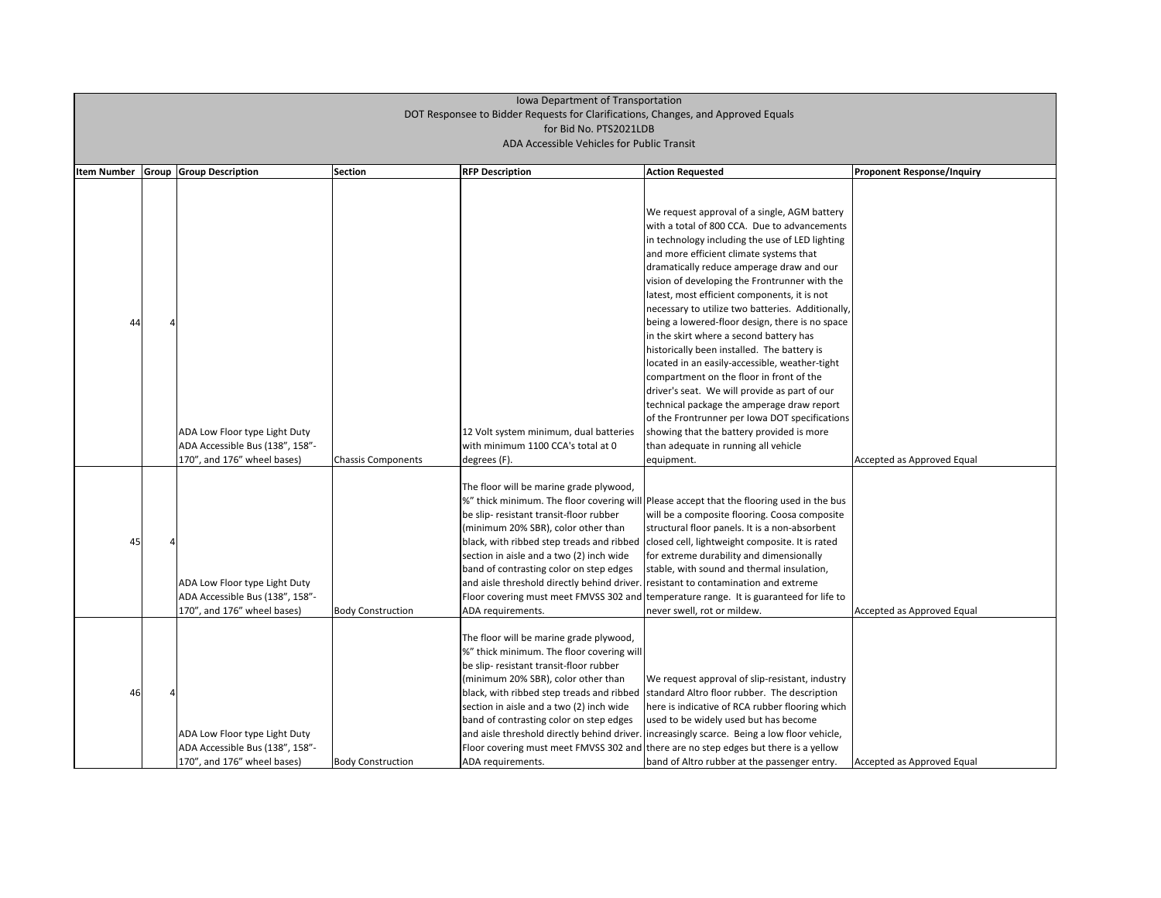| <b>Item Number</b> | Group | <b>Group Description</b>                                                                        | <b>Section</b>            | <b>RFP Description</b>                                                                                                                                                                                                                                                                                                      |                                                                                                                                                                                                                                                                                                                                                                                                                                                                                                                                                                                                                                                                                                                                                                                                                                                                                                                         | <b>Proponent Response/Inquiry</b> |
|--------------------|-------|-------------------------------------------------------------------------------------------------|---------------------------|-----------------------------------------------------------------------------------------------------------------------------------------------------------------------------------------------------------------------------------------------------------------------------------------------------------------------------|-------------------------------------------------------------------------------------------------------------------------------------------------------------------------------------------------------------------------------------------------------------------------------------------------------------------------------------------------------------------------------------------------------------------------------------------------------------------------------------------------------------------------------------------------------------------------------------------------------------------------------------------------------------------------------------------------------------------------------------------------------------------------------------------------------------------------------------------------------------------------------------------------------------------------|-----------------------------------|
| 44                 |       | ADA Low Floor type Light Duty<br>ADA Accessible Bus (138", 158"-<br>170", and 176" wheel bases) | <b>Chassis Components</b> | 12 Volt system minimum, dual batteries<br>with minimum 1100 CCA's total at 0<br>degrees (F).                                                                                                                                                                                                                                | <b>Action Requested</b><br>We request approval of a single, AGM battery<br>with a total of 800 CCA. Due to advancements<br>in technology including the use of LED lighting<br>and more efficient climate systems that<br>dramatically reduce amperage draw and our<br>vision of developing the Frontrunner with the<br>latest, most efficient components, it is not<br>necessary to utilize two batteries. Additionally,<br>being a lowered-floor design, there is no space<br>in the skirt where a second battery has<br>historically been installed. The battery is<br>located in an easily-accessible, weather-tight<br>compartment on the floor in front of the<br>driver's seat. We will provide as part of our<br>technical package the amperage draw report<br>of the Frontrunner per Iowa DOT specifications<br>showing that the battery provided is more<br>than adequate in running all vehicle<br>equipment. | Accepted as Approved Equal        |
| 45                 |       | ADA Low Floor type Light Duty<br>ADA Accessible Bus (138", 158"-<br>170", and 176" wheel bases) | <b>Body Construction</b>  | The floor will be marine grade plywood,<br>be slip- resistant transit-floor rubber<br>(minimum 20% SBR), color other than<br>section in aisle and a two (2) inch wide<br>band of contrasting color on step edges<br>and aisle threshold directly behind driver. resistant to contamination and extreme<br>ADA requirements. | %" thick minimum. The floor covering will Please accept that the flooring used in the bus<br>will be a composite flooring. Coosa composite<br>structural floor panels. It is a non-absorbent<br>black, with ribbed step treads and ribbed closed cell, lightweight composite. It is rated<br>for extreme durability and dimensionally<br>stable, with sound and thermal insulation,<br>Floor covering must meet FMVSS 302 and temperature range. It is guaranteed for life to<br>never swell, rot or mildew.                                                                                                                                                                                                                                                                                                                                                                                                            | Accepted as Approved Equal        |
| 46                 |       | ADA Low Floor type Light Duty<br>ADA Accessible Bus (138", 158"-<br>170", and 176" wheel bases) | <b>Body Construction</b>  | The floor will be marine grade plywood,<br>%" thick minimum. The floor covering will<br>be slip- resistant transit-floor rubber<br>(minimum 20% SBR), color other than<br>section in aisle and a two (2) inch wide<br>band of contrasting color on step edges<br>ADA requirements.                                          | We request approval of slip-resistant, industry<br>black, with ribbed step treads and ribbed standard Altro floor rubber. The description<br>here is indicative of RCA rubber flooring which<br>used to be widely used but has become<br>and aisle threshold directly behind driver. lincreasingly scarce. Being a low floor vehicle,<br>Floor covering must meet FMVSS 302 and there are no step edges but there is a yellow<br>band of Altro rubber at the passenger entry.                                                                                                                                                                                                                                                                                                                                                                                                                                           | Accepted as Approved Equal        |

| Proponent Response/Inquiry |
|----------------------------|
|                            |
|                            |
|                            |
|                            |
|                            |
|                            |
|                            |
|                            |
|                            |
|                            |
| Accepted as Approved Equal |
|                            |
|                            |
|                            |
|                            |
| Accepted as Approved Equal |
|                            |
|                            |
|                            |
|                            |
|                            |
| Accepted as Approved Equal |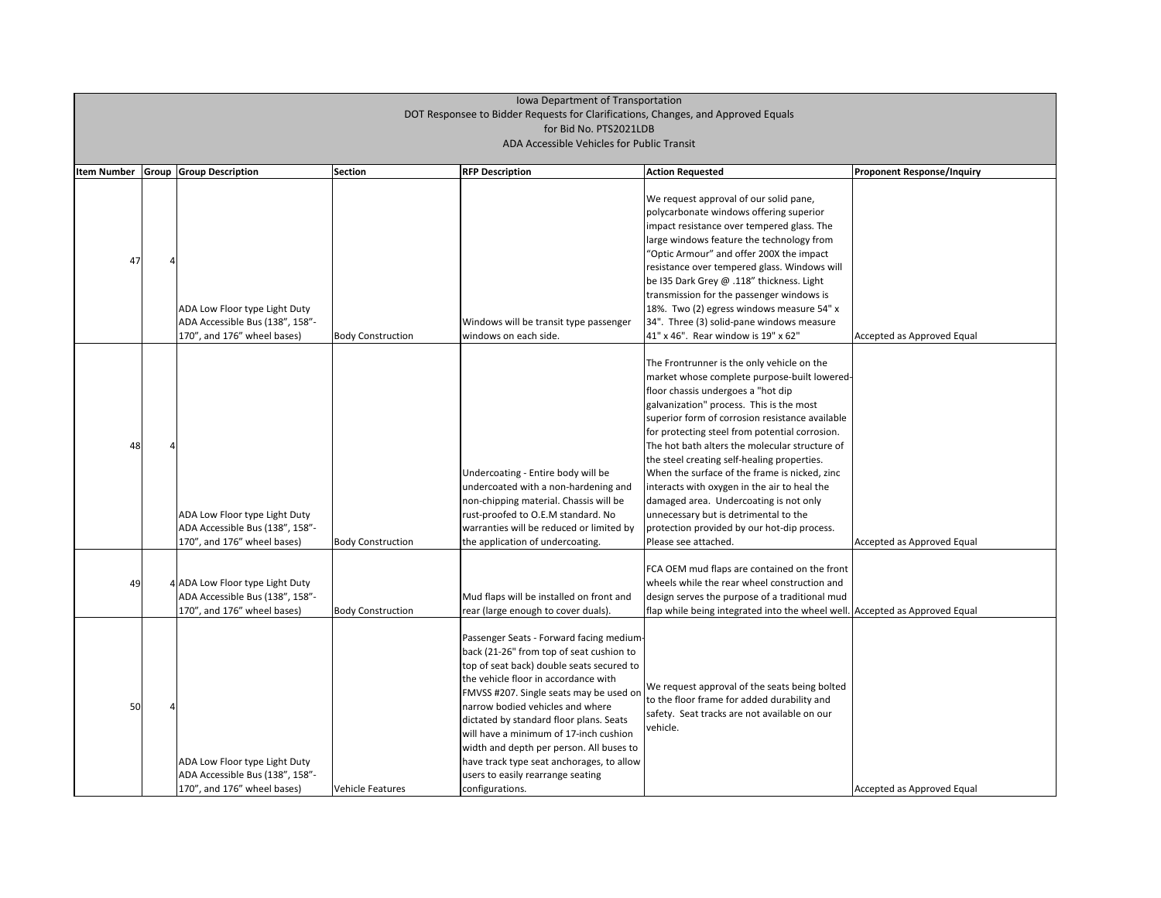| <b>Item Number</b> | <b>Group Group Description</b>                                                                    | <b>Section</b>           | <b>RFP Description</b>                                                                                                                                                                                                                                                                                                                                                                                                                                                                         | <b>Action Requested</b>                                                                                                                                                                                                                                                                                                                                                                                                                                                                                                                                                                                                                       | <b>Proponent Response/Inquiry</b> |
|--------------------|---------------------------------------------------------------------------------------------------|--------------------------|------------------------------------------------------------------------------------------------------------------------------------------------------------------------------------------------------------------------------------------------------------------------------------------------------------------------------------------------------------------------------------------------------------------------------------------------------------------------------------------------|-----------------------------------------------------------------------------------------------------------------------------------------------------------------------------------------------------------------------------------------------------------------------------------------------------------------------------------------------------------------------------------------------------------------------------------------------------------------------------------------------------------------------------------------------------------------------------------------------------------------------------------------------|-----------------------------------|
| 47                 | ADA Low Floor type Light Duty<br>ADA Accessible Bus (138", 158"-<br>170", and 176" wheel bases)   | <b>Body Construction</b> | Windows will be transit type passenger<br>windows on each side.                                                                                                                                                                                                                                                                                                                                                                                                                                | We request approval of our solid pane,<br>polycarbonate windows offering superior<br>impact resistance over tempered glass. The<br>large windows feature the technology from<br>"Optic Armour" and offer 200X the impact<br>resistance over tempered glass. Windows will<br>be I35 Dark Grey @ .118" thickness. Light<br>transmission for the passenger windows is<br>18%. Two (2) egress windows measure 54" x<br>34". Three (3) solid-pane windows measure<br>41" x 46". Rear window is 19" x 62"                                                                                                                                           | Accepted as Approved Equal        |
| 48                 | ADA Low Floor type Light Duty<br>ADA Accessible Bus (138", 158"-<br>170", and 176" wheel bases)   | <b>Body Construction</b> | Undercoating - Entire body will be<br>undercoated with a non-hardening and<br>non-chipping material. Chassis will be<br>rust-proofed to O.E.M standard. No<br>warranties will be reduced or limited by<br>the application of undercoating.                                                                                                                                                                                                                                                     | The Frontrunner is the only vehicle on the<br>market whose complete purpose-built lowered-<br>floor chassis undergoes a "hot dip<br>galvanization" process. This is the most<br>superior form of corrosion resistance available<br>for protecting steel from potential corrosion.<br>The hot bath alters the molecular structure of<br>the steel creating self-healing properties.<br>When the surface of the frame is nicked, zinc<br>interacts with oxygen in the air to heal the<br>damaged area. Undercoating is not only<br>unnecessary but is detrimental to the<br>protection provided by our hot-dip process.<br>Please see attached. | Accepted as Approved Equal        |
| 49                 | 4 ADA Low Floor type Light Duty<br>ADA Accessible Bus (138", 158"-<br>170", and 176" wheel bases) | <b>Body Construction</b> | Mud flaps will be installed on front and<br>rear (large enough to cover duals).                                                                                                                                                                                                                                                                                                                                                                                                                | FCA OEM mud flaps are contained on the front<br>wheels while the rear wheel construction and<br>design serves the purpose of a traditional mud<br>flap while being integrated into the wheel well. Accepted as Approved Equal                                                                                                                                                                                                                                                                                                                                                                                                                 |                                   |
| 50                 | ADA Low Floor type Light Duty<br>ADA Accessible Bus (138", 158"-<br>170", and 176" wheel bases)   | <b>Vehicle Features</b>  | Passenger Seats - Forward facing medium-<br>back (21-26" from top of seat cushion to<br>top of seat back) double seats secured to<br>the vehicle floor in accordance with<br>FMVSS #207. Single seats may be used on<br>narrow bodied vehicles and where<br>dictated by standard floor plans. Seats<br>will have a minimum of 17-inch cushion<br>width and depth per person. All buses to<br>have track type seat anchorages, to allow<br>users to easily rearrange seating<br>configurations. | We request approval of the seats being bolted<br>to the floor frame for added durability and<br>safety. Seat tracks are not available on our<br>vehicle.                                                                                                                                                                                                                                                                                                                                                                                                                                                                                      | Accepted as Approved Equal        |

| <b>Proponent Response/Inquiry</b> |
|-----------------------------------|
|                                   |
|                                   |
|                                   |
|                                   |
|                                   |
|                                   |
|                                   |
| Accepted as Approved Equal        |
|                                   |
|                                   |
|                                   |
|                                   |
|                                   |
|                                   |
|                                   |
|                                   |
| Accepted as Approved Equal        |
|                                   |
|                                   |
|                                   |
| Accepted as Approved Equal        |
|                                   |
|                                   |
|                                   |
|                                   |
|                                   |
|                                   |
|                                   |
| Accepted as Approved Equal        |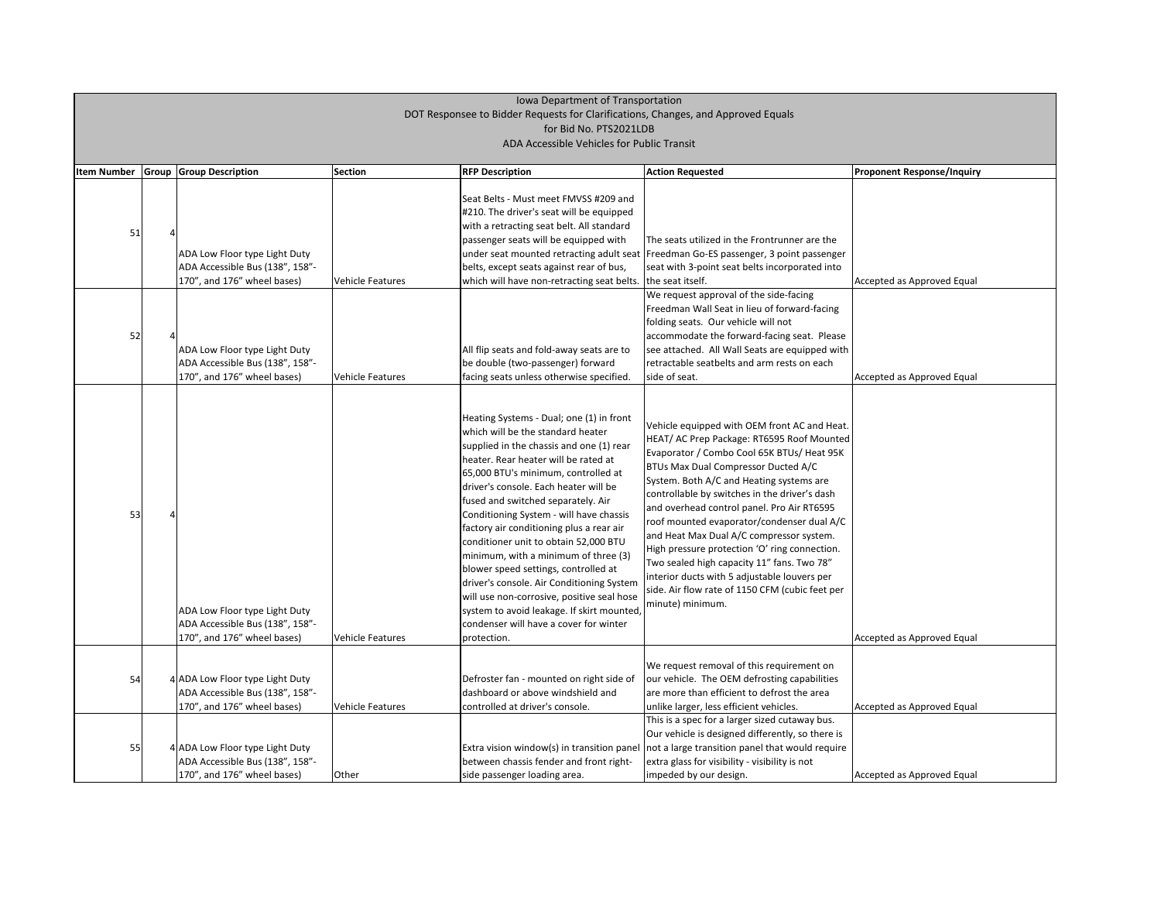| <b>Item Number</b> | Group | <b>Group Description</b>                                                                                                                                            | <b>Section</b>                              | <b>RFP Description</b>                                                                                                                                                                                                                                                                                                                                                                                                                                                                                                                                                                                                                                                                                                                                | <b>Action Requested</b>                                                                                                                                                                                                                                                                                                                                                                                                                                                                                                                                                                                                                                            | <b>Proponent Response/Inquiry</b>                        |
|--------------------|-------|---------------------------------------------------------------------------------------------------------------------------------------------------------------------|---------------------------------------------|-------------------------------------------------------------------------------------------------------------------------------------------------------------------------------------------------------------------------------------------------------------------------------------------------------------------------------------------------------------------------------------------------------------------------------------------------------------------------------------------------------------------------------------------------------------------------------------------------------------------------------------------------------------------------------------------------------------------------------------------------------|--------------------------------------------------------------------------------------------------------------------------------------------------------------------------------------------------------------------------------------------------------------------------------------------------------------------------------------------------------------------------------------------------------------------------------------------------------------------------------------------------------------------------------------------------------------------------------------------------------------------------------------------------------------------|----------------------------------------------------------|
| 51<br>52           |       | ADA Low Floor type Light Duty<br>ADA Accessible Bus (138", 158"-<br>170", and 176" wheel bases)<br>ADA Low Floor type Light Duty<br>ADA Accessible Bus (138", 158"- | <b>Vehicle Features</b>                     | Seat Belts - Must meet FMVSS #209 and<br>#210. The driver's seat will be equipped<br>with a retracting seat belt. All standard<br>passenger seats will be equipped with<br>belts, except seats against rear of bus,<br>which will have non-retracting seat belts. the seat itself.<br>All flip seats and fold-away seats are to<br>be double (two-passenger) forward                                                                                                                                                                                                                                                                                                                                                                                  | The seats utilized in the Frontrunner are the<br>under seat mounted retracting adult seat   Freedman Go-ES passenger, 3 point passenger<br>seat with 3-point seat belts incorporated into<br>We request approval of the side-facing<br>Freedman Wall Seat in lieu of forward-facing<br>folding seats. Our vehicle will not<br>accommodate the forward-facing seat. Please<br>see attached. All Wall Seats are equipped with<br>retractable seatbelts and arm rests on each                                                                                                                                                                                         | Accepted as Approved Equal                               |
| 53                 |       | 170", and 176" wheel bases)<br>ADA Low Floor type Light Duty<br>ADA Accessible Bus (138", 158"-<br>170", and 176" wheel bases)                                      | <b>Vehicle Features</b><br>Vehicle Features | facing seats unless otherwise specified.<br>Heating Systems - Dual; one (1) in front<br>which will be the standard heater<br>supplied in the chassis and one (1) rear<br>heater. Rear heater will be rated at<br>65,000 BTU's minimum, controlled at<br>driver's console. Each heater will be<br>fused and switched separately. Air<br>Conditioning System - will have chassis<br>factory air conditioning plus a rear air<br>conditioner unit to obtain 52,000 BTU<br>minimum, with a minimum of three (3)<br>blower speed settings, controlled at<br>driver's console. Air Conditioning System<br>will use non-corrosive, positive seal hose<br>system to avoid leakage. If skirt mounted,<br>condenser will have a cover for winter<br>protection. | side of seat.<br>Vehicle equipped with OEM front AC and Heat.<br>HEAT/ AC Prep Package: RT6595 Roof Mounted<br>Evaporator / Combo Cool 65K BTUs/ Heat 95K<br><b>BTUs Max Dual Compressor Ducted A/C</b><br>System. Both A/C and Heating systems are<br>controllable by switches in the driver's dash<br>and overhead control panel. Pro Air RT6595<br>roof mounted evaporator/condenser dual A/C<br>and Heat Max Dual A/C compressor system.<br>High pressure protection 'O' ring connection.<br>Two sealed high capacity 11" fans. Two 78"<br>interior ducts with 5 adjustable louvers per<br>side. Air flow rate of 1150 CFM (cubic feet per<br>minute) minimum. | Accepted as Approved Equal<br>Accepted as Approved Equal |
| 54                 |       | 4 ADA Low Floor type Light Duty<br>ADA Accessible Bus (138", 158"-<br>170", and 176" wheel bases)                                                                   | Vehicle Features                            | Defroster fan - mounted on right side of<br>dashboard or above windshield and<br>controlled at driver's console.                                                                                                                                                                                                                                                                                                                                                                                                                                                                                                                                                                                                                                      | We request removal of this requirement on<br>our vehicle. The OEM defrosting capabilities<br>are more than efficient to defrost the area<br>unlike larger, less efficient vehicles.                                                                                                                                                                                                                                                                                                                                                                                                                                                                                | Accepted as Approved Equal                               |
| 55                 |       | 4 ADA Low Floor type Light Duty<br>ADA Accessible Bus (138", 158"-<br>170", and 176" wheel bases)                                                                   | Other                                       | Extra vision window(s) in transition panel<br>between chassis fender and front right-<br>side passenger loading area.                                                                                                                                                                                                                                                                                                                                                                                                                                                                                                                                                                                                                                 | This is a spec for a larger sized cutaway bus.<br>Our vehicle is designed differently, so there is<br>not a large transition panel that would require<br>extra glass for visibility - visibility is not<br>impeded by our design.                                                                                                                                                                                                                                                                                                                                                                                                                                  | Accepted as Approved Equal                               |

| <b>Proponent Response/Inquiry</b> |
|-----------------------------------|
|                                   |
|                                   |
|                                   |
|                                   |
|                                   |
|                                   |
| Accepted as Approved Equal        |
|                                   |
|                                   |
|                                   |
|                                   |
|                                   |
| Accepted as Approved Equal        |
|                                   |
|                                   |
|                                   |
|                                   |
|                                   |
|                                   |
|                                   |
|                                   |
|                                   |
|                                   |
|                                   |
|                                   |
|                                   |
|                                   |
| Accepted as Approved Equal        |
|                                   |
|                                   |
|                                   |
| Accepted as Approved Equal        |
|                                   |
|                                   |
|                                   |
| <b>Accepted as Approved Equal</b> |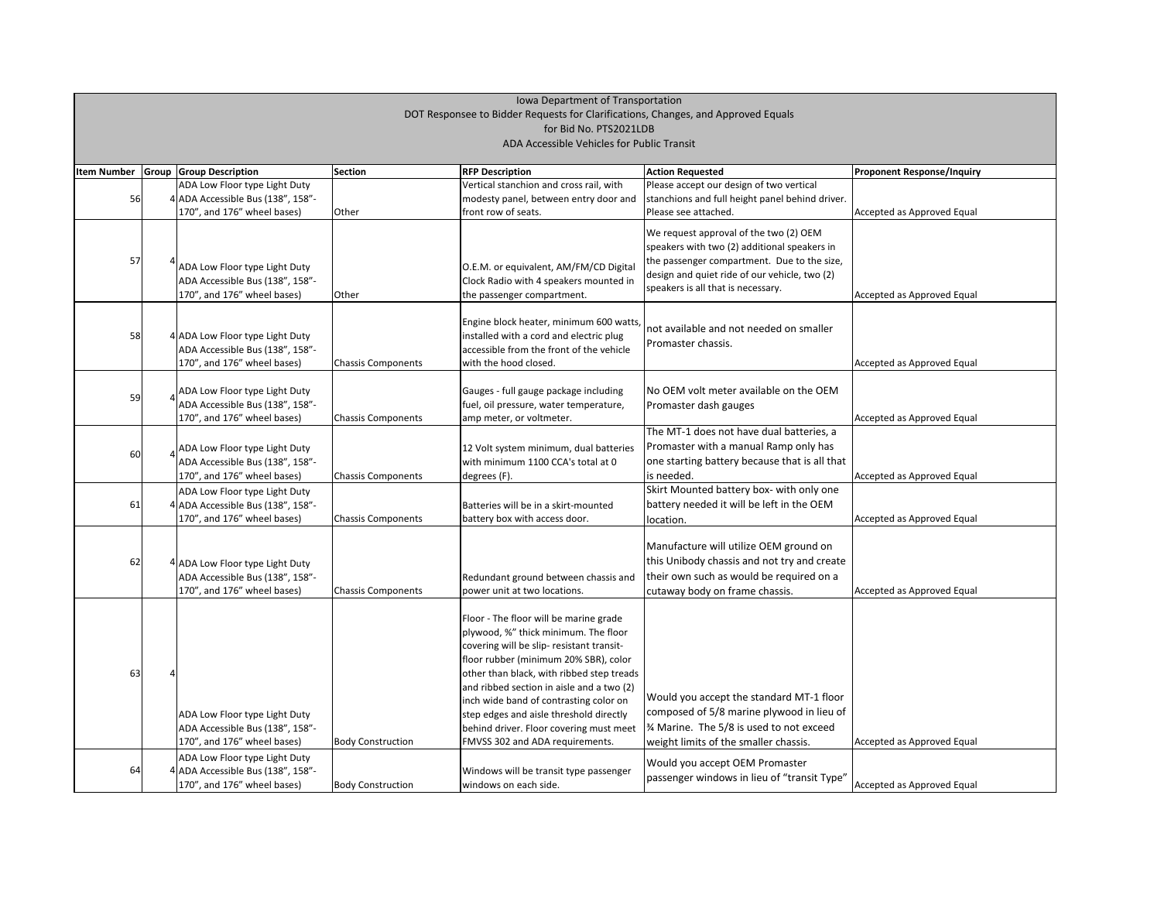# Iowa Department of Transportation DOT Responsee to Bidder Requests for Clarifications, Changes, and Approved Equals for Bid No. PTS2021LDB

|                                            |  |                                   |                           | Iowa Department of Transportation                                                   |                                                 |                                   |  |  |  |
|--------------------------------------------|--|-----------------------------------|---------------------------|-------------------------------------------------------------------------------------|-------------------------------------------------|-----------------------------------|--|--|--|
|                                            |  |                                   |                           | DOT Responsee to Bidder Requests for Clarifications, Changes, and Approved Equals   |                                                 |                                   |  |  |  |
|                                            |  |                                   |                           | for Bid No. PTS2021LDB                                                              |                                                 |                                   |  |  |  |
| ADA Accessible Vehicles for Public Transit |  |                                   |                           |                                                                                     |                                                 |                                   |  |  |  |
| <b>Item Number</b>                         |  | <b>Group Group Description</b>    | Section                   | <b>RFP Description</b>                                                              | <b>Action Requested</b>                         | <b>Proponent Response/Inquiry</b> |  |  |  |
|                                            |  | ADA Low Floor type Light Duty     |                           | Vertical stanchion and cross rail, with                                             | Please accept our design of two vertical        |                                   |  |  |  |
| 56                                         |  | 4 ADA Accessible Bus (138", 158"- |                           | modesty panel, between entry door and                                               | stanchions and full height panel behind driver. |                                   |  |  |  |
|                                            |  | 170", and 176" wheel bases)       | <b>Other</b>              | front row of seats.                                                                 | Please see attached.                            | Accepted as Approved Equal        |  |  |  |
|                                            |  |                                   |                           |                                                                                     | We request approval of the two (2) OEM          |                                   |  |  |  |
|                                            |  |                                   |                           |                                                                                     | speakers with two (2) additional speakers in    |                                   |  |  |  |
| 57                                         |  | ADA Low Floor type Light Duty     |                           | O.E.M. or equivalent, AM/FM/CD Digital                                              | the passenger compartment. Due to the size,     |                                   |  |  |  |
|                                            |  | ADA Accessible Bus (138", 158"-   |                           | Clock Radio with 4 speakers mounted in                                              | design and quiet ride of our vehicle, two (2)   |                                   |  |  |  |
|                                            |  | 170", and 176" wheel bases)       | <b>Other</b>              | the passenger compartment.                                                          | speakers is all that is necessary.              | Accepted as Approved Equal        |  |  |  |
|                                            |  |                                   |                           |                                                                                     |                                                 |                                   |  |  |  |
|                                            |  |                                   |                           | Engine block heater, minimum 600 watts,                                             |                                                 |                                   |  |  |  |
| 58                                         |  | 4 ADA Low Floor type Light Duty   |                           | installed with a cord and electric plug                                             | not available and not needed on smaller         |                                   |  |  |  |
|                                            |  | ADA Accessible Bus (138", 158"-   |                           | accessible from the front of the vehicle                                            | Promaster chassis.                              |                                   |  |  |  |
|                                            |  | 170", and 176" wheel bases)       | <b>Chassis Components</b> | with the hood closed.                                                               |                                                 | Accepted as Approved Equal        |  |  |  |
|                                            |  |                                   |                           |                                                                                     |                                                 |                                   |  |  |  |
|                                            |  | ADA Low Floor type Light Duty     |                           | Gauges - full gauge package including                                               | No OEM volt meter available on the OEM          |                                   |  |  |  |
| 59                                         |  | ADA Accessible Bus (138", 158"-   |                           | fuel, oil pressure, water temperature,                                              | Promaster dash gauges                           |                                   |  |  |  |
|                                            |  | 170", and 176" wheel bases)       | <b>Chassis Components</b> | amp meter, or voltmeter.                                                            |                                                 | Accepted as Approved Equal        |  |  |  |
|                                            |  |                                   |                           |                                                                                     | The MT-1 does not have dual batteries, a        |                                   |  |  |  |
| 60                                         |  | ADA Low Floor type Light Duty     |                           | 12 Volt system minimum, dual batteries                                              | Promaster with a manual Ramp only has           |                                   |  |  |  |
|                                            |  | ADA Accessible Bus (138", 158"-   |                           | with minimum 1100 CCA's total at 0                                                  | one starting battery because that is all that   |                                   |  |  |  |
|                                            |  | 170", and 176" wheel bases)       | Chassis Components        | degrees (F).                                                                        | is needed.                                      | Accepted as Approved Equal        |  |  |  |
|                                            |  | ADA Low Floor type Light Duty     |                           |                                                                                     | Skirt Mounted battery box- with only one        |                                   |  |  |  |
| 61                                         |  | 4 ADA Accessible Bus (138", 158"- |                           | Batteries will be in a skirt-mounted                                                | battery needed it will be left in the OEM       |                                   |  |  |  |
|                                            |  | 170", and 176" wheel bases)       | Chassis Components        | battery box with access door.                                                       | location.                                       | Accepted as Approved Equal        |  |  |  |
|                                            |  |                                   |                           |                                                                                     |                                                 |                                   |  |  |  |
|                                            |  |                                   |                           |                                                                                     | Manufacture will utilize OEM ground on          |                                   |  |  |  |
| 62                                         |  | 4 ADA Low Floor type Light Duty   |                           |                                                                                     | this Unibody chassis and not try and create     |                                   |  |  |  |
|                                            |  | ADA Accessible Bus (138", 158"-   |                           | Redundant ground between chassis and                                                | their own such as would be required on a        |                                   |  |  |  |
|                                            |  | 170", and 176" wheel bases)       | <b>Chassis Components</b> | power unit at two locations.                                                        | cutaway body on frame chassis.                  | Accepted as Approved Equal        |  |  |  |
|                                            |  |                                   |                           |                                                                                     |                                                 |                                   |  |  |  |
|                                            |  |                                   |                           | Floor - The floor will be marine grade                                              |                                                 |                                   |  |  |  |
|                                            |  |                                   |                           | plywood, %" thick minimum. The floor                                                |                                                 |                                   |  |  |  |
|                                            |  |                                   |                           | covering will be slip- resistant transit-                                           |                                                 |                                   |  |  |  |
|                                            |  |                                   |                           | floor rubber (minimum 20% SBR), color                                               |                                                 |                                   |  |  |  |
| 63                                         |  |                                   |                           | other than black, with ribbed step treads                                           |                                                 |                                   |  |  |  |
|                                            |  |                                   |                           | and ribbed section in aisle and a two (2)<br>inch wide band of contrasting color on | Would you accept the standard MT-1 floor        |                                   |  |  |  |
|                                            |  | ADA Low Floor type Light Duty     |                           | step edges and aisle threshold directly                                             | composed of 5/8 marine plywood in lieu of       |                                   |  |  |  |
|                                            |  | ADA Accessible Bus (138", 158"-   |                           | behind driver. Floor covering must meet                                             | 3⁄4 Marine. The 5/8 is used to not exceed       |                                   |  |  |  |
|                                            |  | 170", and 176" wheel bases)       | <b>Body Construction</b>  | FMVSS 302 and ADA requirements.                                                     | weight limits of the smaller chassis.           | Accepted as Approved Equal        |  |  |  |
|                                            |  | ADA Low Floor type Light Duty     |                           |                                                                                     |                                                 |                                   |  |  |  |
| 64                                         |  | 4 ADA Accessible Bus (138", 158"- |                           | Windows will be transit type passenger                                              | Would you accept OEM Promaster                  |                                   |  |  |  |
|                                            |  | 170", and 176" wheel bases)       | <b>Body Construction</b>  | windows on each side.                                                               | passenger windows in lieu of "transit Type"     | Accepted as Approved Equal        |  |  |  |
|                                            |  |                                   |                           |                                                                                     |                                                 |                                   |  |  |  |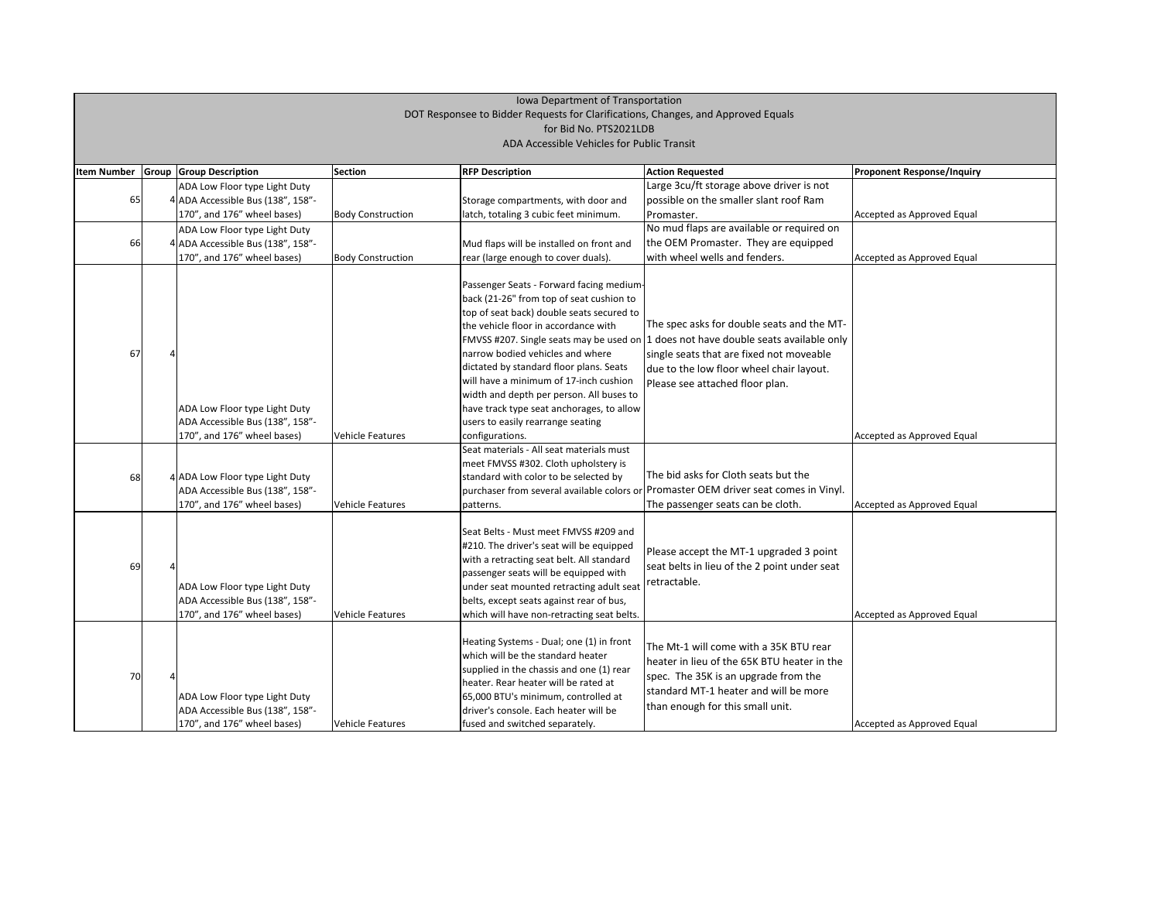| <b>Item Number</b> | Group | <b>Group Description</b>                                                                          | <b>Section</b>           | <b>RFP Description</b>                                                                                                                                                                                                                                                                                                                                                                                                           | <b>Action Requested</b>                                                                                                                                                                                                                                       | <b>Proponent Response/Inquiry</b> |
|--------------------|-------|---------------------------------------------------------------------------------------------------|--------------------------|----------------------------------------------------------------------------------------------------------------------------------------------------------------------------------------------------------------------------------------------------------------------------------------------------------------------------------------------------------------------------------------------------------------------------------|---------------------------------------------------------------------------------------------------------------------------------------------------------------------------------------------------------------------------------------------------------------|-----------------------------------|
|                    |       | ADA Low Floor type Light Duty                                                                     |                          |                                                                                                                                                                                                                                                                                                                                                                                                                                  | Large 3cu/ft storage above driver is not                                                                                                                                                                                                                      |                                   |
| 65                 |       | 4 ADA Accessible Bus (138", 158"-                                                                 |                          | Storage compartments, with door and                                                                                                                                                                                                                                                                                                                                                                                              | possible on the smaller slant roof Ram                                                                                                                                                                                                                        |                                   |
|                    |       | 170", and 176" wheel bases)                                                                       | <b>Body Construction</b> | latch, totaling 3 cubic feet minimum.                                                                                                                                                                                                                                                                                                                                                                                            | Promaster.                                                                                                                                                                                                                                                    | Accepted as Approved Equal        |
|                    |       | ADA Low Floor type Light Duty                                                                     |                          |                                                                                                                                                                                                                                                                                                                                                                                                                                  | No mud flaps are available or required on                                                                                                                                                                                                                     |                                   |
| 66                 |       | 4 ADA Accessible Bus (138", 158"-                                                                 |                          | Mud flaps will be installed on front and                                                                                                                                                                                                                                                                                                                                                                                         | the OEM Promaster. They are equipped                                                                                                                                                                                                                          |                                   |
|                    |       | 170", and 176" wheel bases)                                                                       | <b>Body Construction</b> | rear (large enough to cover duals).                                                                                                                                                                                                                                                                                                                                                                                              | with wheel wells and fenders.                                                                                                                                                                                                                                 | Accepted as Approved Equal        |
| 67                 |       | ADA Low Floor type Light Duty<br>ADA Accessible Bus (138", 158"-<br>170", and 176" wheel bases)   |                          | Passenger Seats - Forward facing medium-<br>back (21-26" from top of seat cushion to<br>top of seat back) double seats secured to<br>the vehicle floor in accordance with<br>narrow bodied vehicles and where<br>dictated by standard floor plans. Seats<br>will have a minimum of 17-inch cushion<br>width and depth per person. All buses to<br>have track type seat anchorages, to allow<br>users to easily rearrange seating | The spec asks for double seats and the MT-<br>FMVSS #207. Single seats may be used on  1 does not have double seats available only<br>single seats that are fixed not moveable<br>due to the low floor wheel chair layout.<br>Please see attached floor plan. |                                   |
|                    |       |                                                                                                   | Vehicle Features         | configurations.                                                                                                                                                                                                                                                                                                                                                                                                                  |                                                                                                                                                                                                                                                               | Accepted as Approved Equal        |
| 68                 |       | 4 ADA Low Floor type Light Duty<br>ADA Accessible Bus (138", 158"-<br>170", and 176" wheel bases) | Vehicle Features         | Seat materials - All seat materials must<br>meet FMVSS #302. Cloth upholstery is<br>standard with color to be selected by<br>patterns.                                                                                                                                                                                                                                                                                           | The bid asks for Cloth seats but the<br>purchaser from several available colors or Promaster OEM driver seat comes in Vinyl.<br>The passenger seats can be cloth.                                                                                             | Accepted as Approved Equal        |
| 69                 |       | ADA Low Floor type Light Duty<br>ADA Accessible Bus (138", 158"-<br>170", and 176" wheel bases)   | Vehicle Features         | Seat Belts - Must meet FMVSS #209 and<br>#210. The driver's seat will be equipped<br>with a retracting seat belt. All standard<br>passenger seats will be equipped with<br>under seat mounted retracting adult seat<br>belts, except seats against rear of bus,<br>which will have non-retracting seat belts.                                                                                                                    | Please accept the MT-1 upgraded 3 point<br>seat belts in lieu of the 2 point under seat<br>retractable.                                                                                                                                                       | Accepted as Approved Equal        |
| 70                 |       | ADA Low Floor type Light Duty<br>ADA Accessible Bus (138", 158"-<br>170", and 176" wheel bases)   | Vehicle Features         | Heating Systems - Dual; one (1) in front<br>which will be the standard heater<br>supplied in the chassis and one (1) rear<br>heater. Rear heater will be rated at<br>65,000 BTU's minimum, controlled at<br>driver's console. Each heater will be<br>fused and switched separately.                                                                                                                                              | The Mt-1 will come with a 35K BTU rear<br>heater in lieu of the 65K BTU heater in the<br>spec. The 35K is an upgrade from the<br>standard MT-1 heater and will be more<br>than enough for this small unit.                                                    | Accepted as Approved Equal        |

| <b>Proponent Response/Inquiry</b> |
|-----------------------------------|
|                                   |
| Accepted as Approved Equal        |
|                                   |
| Accepted as Approved Equal        |
|                                   |
|                                   |
|                                   |
|                                   |
|                                   |
|                                   |
|                                   |
| Accepted as Approved Equal        |
|                                   |
|                                   |
| Accepted as Approved Equal        |
|                                   |
|                                   |
|                                   |
|                                   |
| Accepted as Approved Equal        |
|                                   |
|                                   |
|                                   |
|                                   |
| Accepted as Approved Equal        |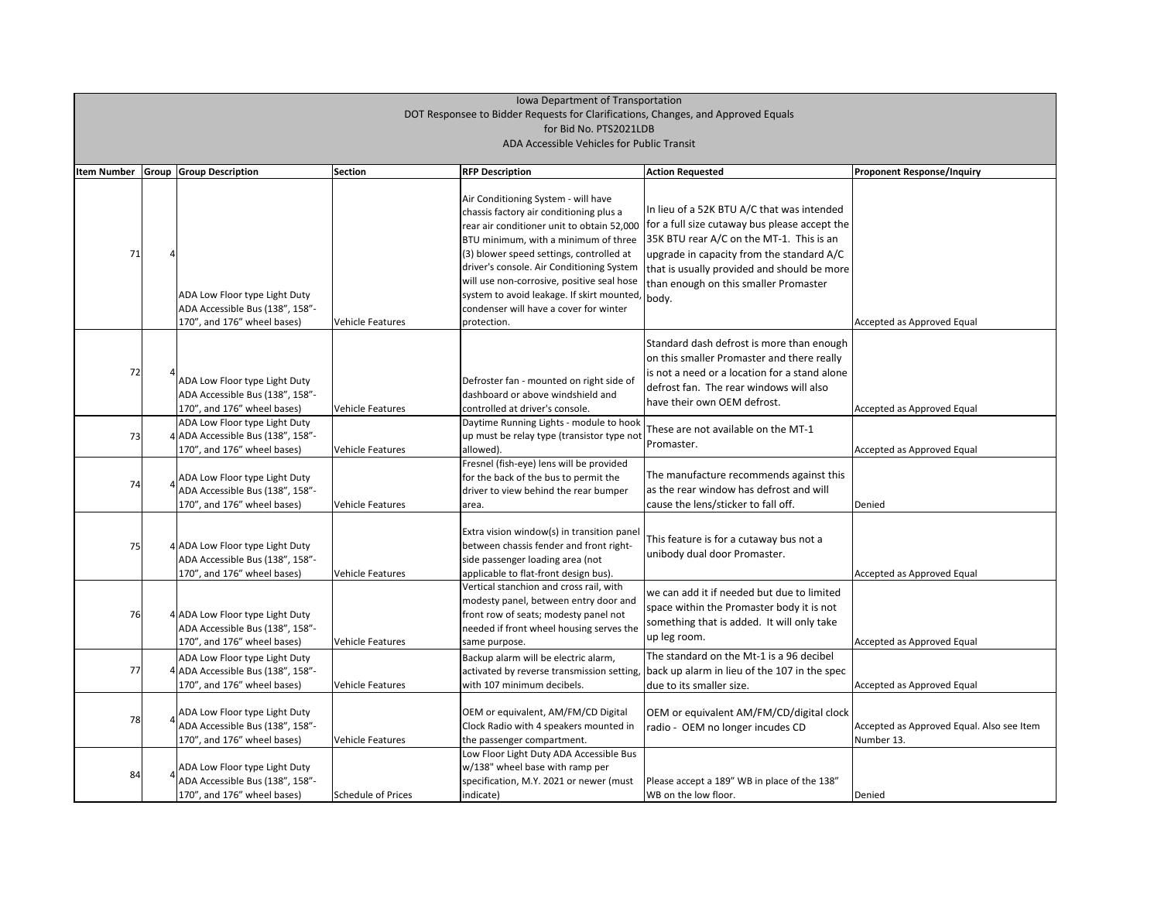| <b>Item Number</b> | <b>Group Group Description</b>                                                                    | <b>Section</b>          | <b>RFP Description</b>                                                                                                                                                                                                                                                                                                                                                                                             | <b>Action Requested</b>                                                                                                                                                                                                                                                               | <b>Proponent Response/Inquiry</b>                       |
|--------------------|---------------------------------------------------------------------------------------------------|-------------------------|--------------------------------------------------------------------------------------------------------------------------------------------------------------------------------------------------------------------------------------------------------------------------------------------------------------------------------------------------------------------------------------------------------------------|---------------------------------------------------------------------------------------------------------------------------------------------------------------------------------------------------------------------------------------------------------------------------------------|---------------------------------------------------------|
| 71                 | ADA Low Floor type Light Duty<br>ADA Accessible Bus (138", 158"-<br>170", and 176" wheel bases)   | Vehicle Features        | Air Conditioning System - will have<br>chassis factory air conditioning plus a<br>rear air conditioner unit to obtain 52,000<br>BTU minimum, with a minimum of three<br>(3) blower speed settings, controlled at<br>driver's console. Air Conditioning System<br>will use non-corrosive, positive seal hose<br>system to avoid leakage. If skirt mounted,<br>condenser will have a cover for winter<br>protection. | In lieu of a 52K BTU A/C that was intended<br>for a full size cutaway bus please accept the<br>35K BTU rear A/C on the MT-1. This is an<br>upgrade in capacity from the standard A/C<br>that is usually provided and should be more<br>than enough on this smaller Promaster<br>body. | Accepted as Approved Equal                              |
| 72                 | ADA Low Floor type Light Duty<br>ADA Accessible Bus (138", 158"-<br>170", and 176" wheel bases)   | <b>Vehicle Features</b> | Defroster fan - mounted on right side of<br>dashboard or above windshield and<br>controlled at driver's console.                                                                                                                                                                                                                                                                                                   | Standard dash defrost is more than enough<br>on this smaller Promaster and there really<br>is not a need or a location for a stand alone<br>defrost fan. The rear windows will also<br>have their own OEM defrost.                                                                    | Accepted as Approved Equal                              |
| 73                 | ADA Low Floor type Light Duty<br>4 ADA Accessible Bus (138", 158"-<br>170", and 176" wheel bases) | <b>Vehicle Features</b> | Daytime Running Lights - module to hook<br>up must be relay type (transistor type not<br>allowed).                                                                                                                                                                                                                                                                                                                 | These are not available on the MT-1<br>Promaster.                                                                                                                                                                                                                                     | Accepted as Approved Equal                              |
| 74                 | ADA Low Floor type Light Duty<br>ADA Accessible Bus (138", 158"-<br>170", and 176" wheel bases)   | <b>Vehicle Features</b> | Fresnel (fish-eye) lens will be provided<br>for the back of the bus to permit the<br>driver to view behind the rear bumper<br>area.                                                                                                                                                                                                                                                                                | The manufacture recommends against this<br>as the rear window has defrost and will<br>cause the lens/sticker to fall off.                                                                                                                                                             | Denied                                                  |
| 75                 | 4 ADA Low Floor type Light Duty<br>ADA Accessible Bus (138", 158"-<br>170", and 176" wheel bases) | <b>Vehicle Features</b> | Extra vision window(s) in transition panel<br>between chassis fender and front right-<br>side passenger loading area (not<br>applicable to flat-front design bus).                                                                                                                                                                                                                                                 | This feature is for a cutaway bus not a<br>unibody dual door Promaster.                                                                                                                                                                                                               | Accepted as Approved Equal                              |
| 76                 | 4 ADA Low Floor type Light Duty<br>ADA Accessible Bus (138", 158"-<br>170", and 176" wheel bases) | <b>Vehicle Features</b> | Vertical stanchion and cross rail, with<br>modesty panel, between entry door and<br>front row of seats; modesty panel not<br>needed if front wheel housing serves the<br>same purpose.                                                                                                                                                                                                                             | we can add it if needed but due to limited<br>space within the Promaster body it is not<br>something that is added. It will only take<br>up leg room.                                                                                                                                 | Accepted as Approved Equal                              |
| 77                 | ADA Low Floor type Light Duty<br>4 ADA Accessible Bus (138", 158"-<br>170", and 176" wheel bases) | Vehicle Features        | Backup alarm will be electric alarm,<br>activated by reverse transmission setting,<br>with 107 minimum decibels.                                                                                                                                                                                                                                                                                                   | The standard on the Mt-1 is a 96 decibel<br>back up alarm in lieu of the 107 in the spec<br>due to its smaller size.                                                                                                                                                                  | Accepted as Approved Equal                              |
| 78                 | ADA Low Floor type Light Duty<br>ADA Accessible Bus (138", 158"-<br>170", and 176" wheel bases)   | <b>Vehicle Features</b> | OEM or equivalent, AM/FM/CD Digital<br>Clock Radio with 4 speakers mounted in<br>the passenger compartment.                                                                                                                                                                                                                                                                                                        | OEM or equivalent AM/FM/CD/digital clock<br>radio - OEM no longer incudes CD                                                                                                                                                                                                          | Accepted as Approved Equal. Also see Item<br>Number 13. |
| 84                 | ADA Low Floor type Light Duty<br>ADA Accessible Bus (138", 158"-<br>170", and 176" wheel bases)   | Schedule of Prices      | Low Floor Light Duty ADA Accessible Bus<br>w/138" wheel base with ramp per<br>specification, M.Y. 2021 or newer (must<br>indicate)                                                                                                                                                                                                                                                                                 | Please accept a 189" WB in place of the 138"<br>WB on the low floor.                                                                                                                                                                                                                  | Denied                                                  |

| <b>Proponent Response/Inquiry</b>         |
|-------------------------------------------|
|                                           |
|                                           |
|                                           |
|                                           |
|                                           |
|                                           |
| Accepted as Approved Equal                |
|                                           |
|                                           |
|                                           |
| Accepted as Approved Equal                |
|                                           |
| Accepted as Approved Equal                |
|                                           |
|                                           |
| Denied                                    |
|                                           |
|                                           |
| Accepted as Approved Equal                |
|                                           |
|                                           |
| Accepted as Approved Equal                |
|                                           |
| Accepted as Approved Equal                |
|                                           |
| Accepted as Approved Equal. Also see Item |
| Number 13.                                |
|                                           |
| Denied                                    |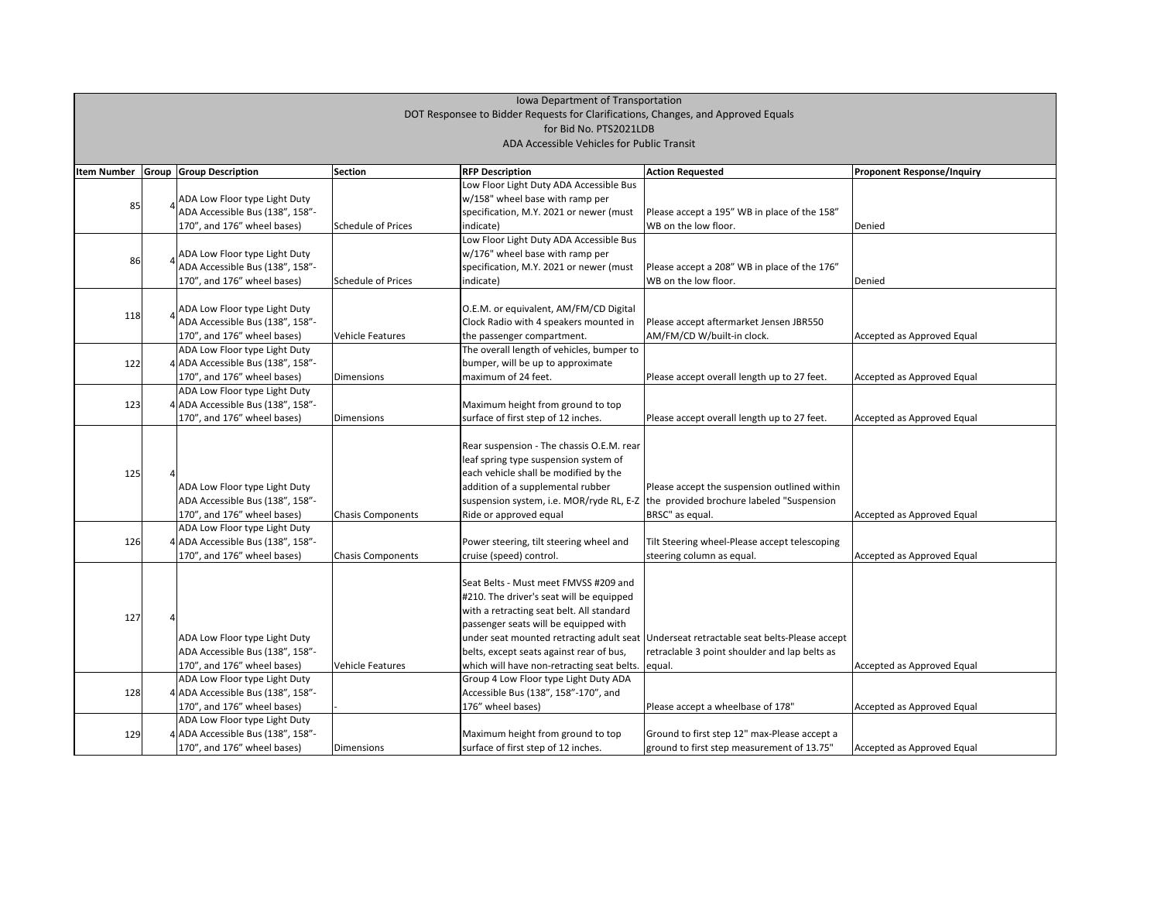# Iowa Department of Transportation DOT Responsee to Bidder Requests for Clarifications, Changes, and Approved Equals for Bid No. PTS2021LDB

| Iowa Department of Transportation                                                 |                                            |                                                                    |                          |                                                   |                                                                                         |                                   |  |  |  |
|-----------------------------------------------------------------------------------|--------------------------------------------|--------------------------------------------------------------------|--------------------------|---------------------------------------------------|-----------------------------------------------------------------------------------------|-----------------------------------|--|--|--|
| DOT Responsee to Bidder Requests for Clarifications, Changes, and Approved Equals |                                            |                                                                    |                          |                                                   |                                                                                         |                                   |  |  |  |
| for Bid No. PTS2021LDB                                                            |                                            |                                                                    |                          |                                                   |                                                                                         |                                   |  |  |  |
|                                                                                   | ADA Accessible Vehicles for Public Transit |                                                                    |                          |                                                   |                                                                                         |                                   |  |  |  |
|                                                                                   |                                            |                                                                    |                          |                                                   |                                                                                         |                                   |  |  |  |
| <b>Item Number</b>                                                                |                                            | <b>Group Group Description</b>                                     | Section                  | <b>RFP Description</b>                            | <b>Action Requested</b>                                                                 | <b>Proponent Response/Inquiry</b> |  |  |  |
|                                                                                   |                                            |                                                                    |                          | Low Floor Light Duty ADA Accessible Bus           |                                                                                         |                                   |  |  |  |
|                                                                                   |                                            | ADA Low Floor type Light Duty                                      |                          | w/158" wheel base with ramp per                   |                                                                                         |                                   |  |  |  |
| 85                                                                                |                                            | ADA Accessible Bus (138", 158"-                                    |                          | specification, M.Y. 2021 or newer (must           | Please accept a 195" WB in place of the 158"                                            |                                   |  |  |  |
|                                                                                   |                                            | 170", and 176" wheel bases)                                        | Schedule of Prices       | indicate)                                         | WB on the low floor.                                                                    | Denied                            |  |  |  |
|                                                                                   |                                            |                                                                    |                          | Low Floor Light Duty ADA Accessible Bus           |                                                                                         |                                   |  |  |  |
|                                                                                   |                                            | ADA Low Floor type Light Duty                                      |                          | w/176" wheel base with ramp per                   |                                                                                         |                                   |  |  |  |
| 86                                                                                |                                            | ADA Accessible Bus (138", 158"-                                    |                          | specification, M.Y. 2021 or newer (must           | Please accept a 208" WB in place of the 176"                                            |                                   |  |  |  |
|                                                                                   |                                            | 170", and 176" wheel bases)                                        | Schedule of Prices       | indicate)                                         | WB on the low floor.                                                                    | Denied                            |  |  |  |
|                                                                                   |                                            |                                                                    |                          |                                                   |                                                                                         |                                   |  |  |  |
| 118                                                                               |                                            | ADA Low Floor type Light Duty                                      |                          | O.E.M. or equivalent, AM/FM/CD Digital            |                                                                                         |                                   |  |  |  |
|                                                                                   |                                            | ADA Accessible Bus (138", 158"-                                    |                          | Clock Radio with 4 speakers mounted in            | Please accept aftermarket Jensen JBR550                                                 |                                   |  |  |  |
|                                                                                   |                                            | 170", and 176" wheel bases)                                        | Vehicle Features         | the passenger compartment.                        | AM/FM/CD W/built-in clock.                                                              | Accepted as Approved Equal        |  |  |  |
|                                                                                   |                                            | ADA Low Floor type Light Duty                                      |                          | The overall length of vehicles, bumper to         |                                                                                         |                                   |  |  |  |
| 122                                                                               |                                            | 4 ADA Accessible Bus (138", 158"-                                  |                          | bumper, will be up to approximate                 |                                                                                         |                                   |  |  |  |
|                                                                                   |                                            | 170", and 176" wheel bases)                                        | Dimensions               | maximum of 24 feet.                               | Please accept overall length up to 27 feet.                                             | Accepted as Approved Equal        |  |  |  |
|                                                                                   |                                            | ADA Low Floor type Light Duty                                      |                          |                                                   |                                                                                         |                                   |  |  |  |
| 123                                                                               |                                            | 4 ADA Accessible Bus (138", 158"-                                  |                          | Maximum height from ground to top                 |                                                                                         |                                   |  |  |  |
|                                                                                   |                                            | 170", and 176" wheel bases)                                        | Dimensions               | surface of first step of 12 inches.               | Please accept overall length up to 27 feet.                                             | Accepted as Approved Equal        |  |  |  |
|                                                                                   |                                            |                                                                    |                          |                                                   |                                                                                         |                                   |  |  |  |
|                                                                                   |                                            |                                                                    |                          | Rear suspension - The chassis O.E.M. rear         |                                                                                         |                                   |  |  |  |
|                                                                                   |                                            |                                                                    |                          | leaf spring type suspension system of             |                                                                                         |                                   |  |  |  |
| 125                                                                               |                                            |                                                                    |                          | each vehicle shall be modified by the             |                                                                                         |                                   |  |  |  |
|                                                                                   |                                            | ADA Low Floor type Light Duty                                      |                          | addition of a supplemental rubber                 | Please accept the suspension outlined within                                            |                                   |  |  |  |
|                                                                                   |                                            | ADA Accessible Bus (138", 158"-                                    |                          |                                                   | suspension system, i.e. MOR/ryde RL, E-Z the provided brochure labeled "Suspension      |                                   |  |  |  |
|                                                                                   |                                            | 170", and 176" wheel bases)                                        | <b>Chasis Components</b> | Ride or approved equal                            | BRSC" as equal.                                                                         | Accepted as Approved Equal        |  |  |  |
|                                                                                   |                                            | ADA Low Floor type Light Duty<br>4 ADA Accessible Bus (138", 158"- |                          | Power steering, tilt steering wheel and           | Tilt Steering wheel-Please accept telescoping                                           |                                   |  |  |  |
| 126                                                                               |                                            | 170", and 176" wheel bases)                                        | <b>Chasis Components</b> | cruise (speed) control.                           | steering column as equal.                                                               | Accepted as Approved Equal        |  |  |  |
|                                                                                   |                                            |                                                                    |                          |                                                   |                                                                                         |                                   |  |  |  |
|                                                                                   |                                            |                                                                    |                          | Seat Belts - Must meet FMVSS #209 and             |                                                                                         |                                   |  |  |  |
|                                                                                   |                                            |                                                                    |                          | #210. The driver's seat will be equipped          |                                                                                         |                                   |  |  |  |
|                                                                                   |                                            |                                                                    |                          | with a retracting seat belt. All standard         |                                                                                         |                                   |  |  |  |
| 127                                                                               |                                            |                                                                    |                          | passenger seats will be equipped with             |                                                                                         |                                   |  |  |  |
|                                                                                   |                                            | ADA Low Floor type Light Duty                                      |                          |                                                   | under seat mounted retracting adult seat Underseat retractable seat belts-Please accept |                                   |  |  |  |
|                                                                                   |                                            | ADA Accessible Bus (138", 158"-                                    |                          | belts, except seats against rear of bus,          | retraclable 3 point shoulder and lap belts as                                           |                                   |  |  |  |
|                                                                                   |                                            | 170", and 176" wheel bases)                                        | Vehicle Features         | which will have non-retracting seat belts. equal. |                                                                                         | Accepted as Approved Equal        |  |  |  |
|                                                                                   |                                            | ADA Low Floor type Light Duty                                      |                          | Group 4 Low Floor type Light Duty ADA             |                                                                                         |                                   |  |  |  |
| 128                                                                               |                                            | 4 ADA Accessible Bus (138", 158"-                                  |                          | Accessible Bus (138", 158"-170", and              |                                                                                         |                                   |  |  |  |
|                                                                                   |                                            | 170", and 176" wheel bases)                                        |                          | 176" wheel bases)                                 | Please accept a wheelbase of 178"                                                       | Accepted as Approved Equal        |  |  |  |
|                                                                                   |                                            | ADA Low Floor type Light Duty                                      |                          |                                                   |                                                                                         |                                   |  |  |  |
| 129                                                                               |                                            | 4 ADA Accessible Bus (138", 158"-                                  |                          | Maximum height from ground to top                 | Ground to first step 12" max-Please accept a                                            |                                   |  |  |  |
|                                                                                   |                                            | 170", and 176" wheel bases)                                        | Dimensions               | surface of first step of 12 inches.               | ground to first step measurement of 13.75"                                              | Accepted as Approved Equal        |  |  |  |
|                                                                                   |                                            |                                                                    |                          |                                                   |                                                                                         |                                   |  |  |  |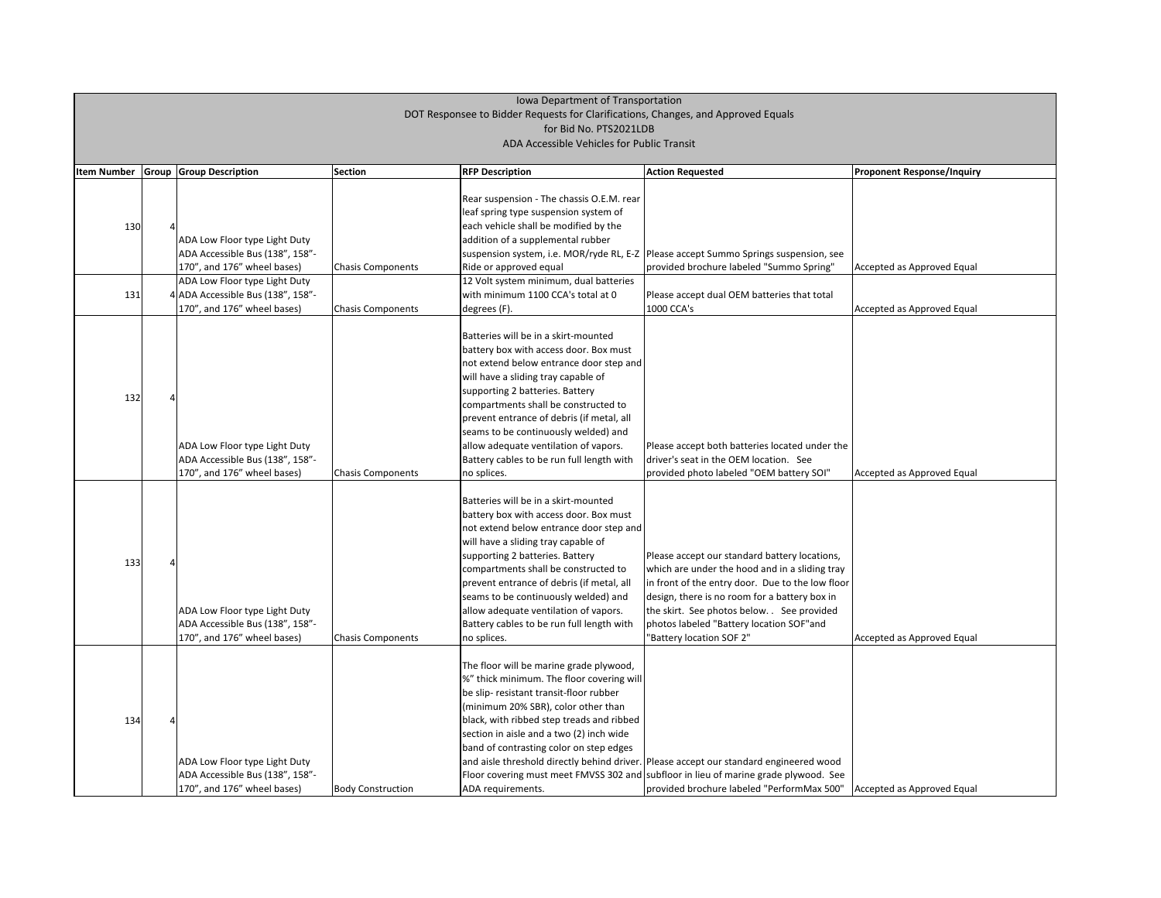| <b>Item Number</b> | Group | <b>Group Description</b>                                                                                                         | <b>Section</b>           | <b>RFP Description</b>                                                                                                                                                                                                                                                                                                                                                                                                                | <b>Action Requested</b>                                                                                                                                                                                                                                                                                                   | <b>Proponent Response/Inquiry</b> |
|--------------------|-------|----------------------------------------------------------------------------------------------------------------------------------|--------------------------|---------------------------------------------------------------------------------------------------------------------------------------------------------------------------------------------------------------------------------------------------------------------------------------------------------------------------------------------------------------------------------------------------------------------------------------|---------------------------------------------------------------------------------------------------------------------------------------------------------------------------------------------------------------------------------------------------------------------------------------------------------------------------|-----------------------------------|
| 130                |       | ADA Low Floor type Light Duty<br>ADA Accessible Bus (138", 158"-<br>170", and 176" wheel bases)<br>ADA Low Floor type Light Duty | <b>Chasis Components</b> | Rear suspension - The chassis O.E.M. rear<br>leaf spring type suspension system of<br>each vehicle shall be modified by the<br>addition of a supplemental rubber<br>Ride or approved equal<br>12 Volt system minimum, dual batteries                                                                                                                                                                                                  | suspension system, i.e. MOR/ryde RL, E-Z   Please accept Summo Springs suspension, see<br>provided brochure labeled "Summo Spring"                                                                                                                                                                                        | Accepted as Approved Equal        |
| 131                |       | 4 ADA Accessible Bus (138", 158"-<br>170", and 176" wheel bases)                                                                 | <b>Chasis Components</b> | with minimum 1100 CCA's total at 0<br>degrees (F).                                                                                                                                                                                                                                                                                                                                                                                    | Please accept dual OEM batteries that total<br>1000 CCA's                                                                                                                                                                                                                                                                 | Accepted as Approved Equal        |
| 132                |       | ADA Low Floor type Light Duty<br>ADA Accessible Bus (138", 158"-<br>170", and 176" wheel bases)                                  | <b>Chasis Components</b> | Batteries will be in a skirt-mounted<br>battery box with access door. Box must<br>not extend below entrance door step and<br>will have a sliding tray capable of<br>supporting 2 batteries. Battery<br>compartments shall be constructed to<br>prevent entrance of debris (if metal, all<br>seams to be continuously welded) and<br>allow adequate ventilation of vapors.<br>Battery cables to be run full length with<br>no splices. | Please accept both batteries located under the<br>driver's seat in the OEM location. See<br>provided photo labeled "OEM battery SOI"                                                                                                                                                                                      | Accepted as Approved Equal        |
| 133                |       | ADA Low Floor type Light Duty<br>ADA Accessible Bus (138", 158"-<br>170", and 176" wheel bases)                                  | <b>Chasis Components</b> | Batteries will be in a skirt-mounted<br>battery box with access door. Box must<br>not extend below entrance door step and<br>will have a sliding tray capable of<br>supporting 2 batteries. Battery<br>compartments shall be constructed to<br>prevent entrance of debris (if metal, all<br>seams to be continuously welded) and<br>allow adequate ventilation of vapors.<br>Battery cables to be run full length with<br>no splices. | Please accept our standard battery locations,<br>which are under the hood and in a sliding tray<br>in front of the entry door. Due to the low floor<br>design, there is no room for a battery box in<br>the skirt. See photos below. See provided<br>photos labeled "Battery location SOF"and<br>"Battery location SOF 2" | Accepted as Approved Equal        |
| 134                |       | ADA Low Floor type Light Duty<br>ADA Accessible Bus (138", 158"-<br>170", and 176" wheel bases)                                  | <b>Body Construction</b> | The floor will be marine grade plywood,<br>%" thick minimum. The floor covering will<br>be slip- resistant transit-floor rubber<br>(minimum 20% SBR), color other than<br>black, with ribbed step treads and ribbed<br>section in aisle and a two (2) inch wide<br>band of contrasting color on step edges<br>ADA requirements.                                                                                                       | and aisle threshold directly behind driver. Please accept our standard engineered wood<br>Floor covering must meet FMVSS 302 and subfloor in lieu of marine grade plywood. See<br>provided brochure labeled "PerformMax 500"                                                                                              | Accepted as Approved Equal        |

| <b>Proponent Response/Inquiry</b> |
|-----------------------------------|
|                                   |
|                                   |
|                                   |
|                                   |
| Accepted as Approved Equal        |
|                                   |
| Accepted as Approved Equal        |
|                                   |
|                                   |
|                                   |
|                                   |
|                                   |
|                                   |
|                                   |
|                                   |
| Accepted as Approved Equal        |
|                                   |
|                                   |
|                                   |
|                                   |
|                                   |
|                                   |
|                                   |
| Accepted as Approved Equal        |
|                                   |
|                                   |
|                                   |
|                                   |
|                                   |
|                                   |
|                                   |
| <b>Accepted as Approved Equal</b> |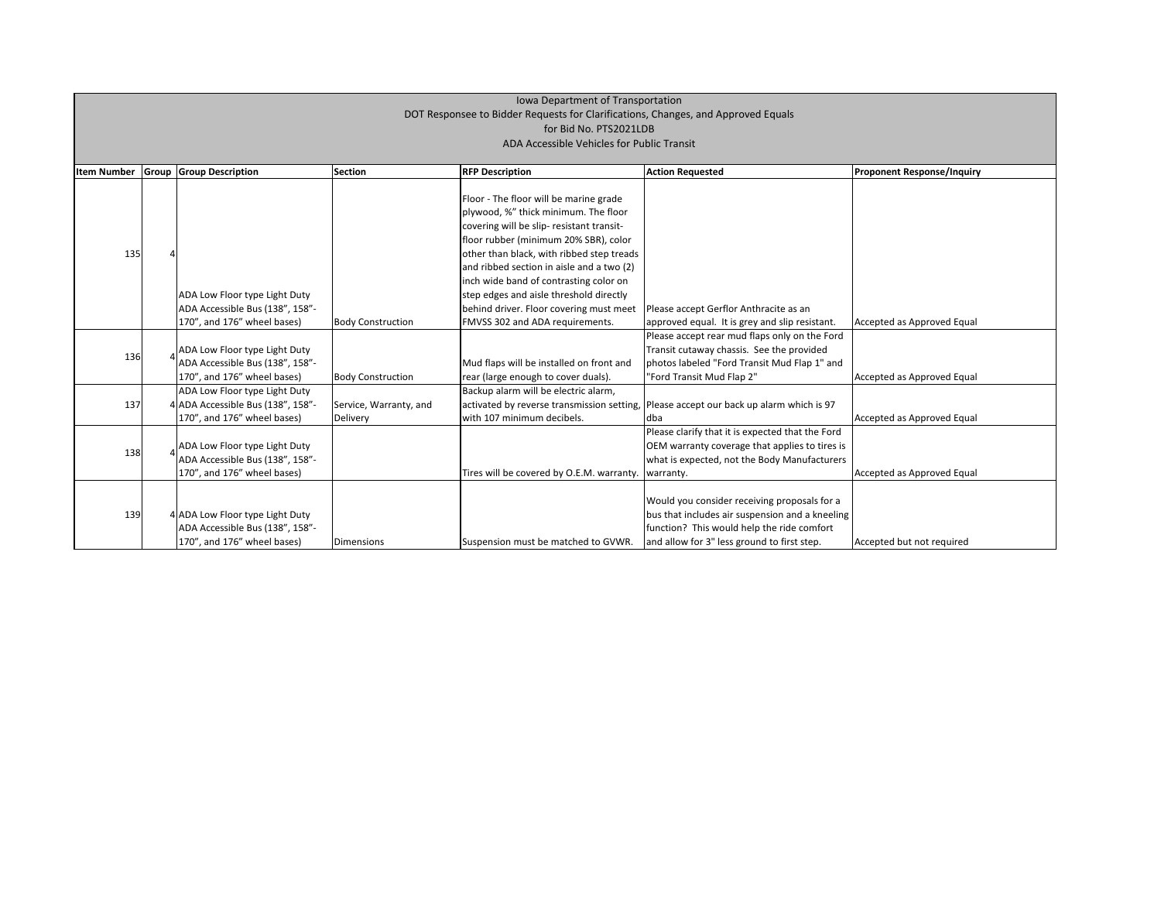| <b>Item Number</b> | Group | <b>Group Description</b>          | <b>Section</b>           | <b>RFP Description</b>                     | <b>Action Requested</b>                          | <b>Proponent Response/Inquiry</b> |
|--------------------|-------|-----------------------------------|--------------------------|--------------------------------------------|--------------------------------------------------|-----------------------------------|
|                    |       |                                   |                          |                                            |                                                  |                                   |
|                    |       |                                   |                          | Floor - The floor will be marine grade     |                                                  |                                   |
|                    |       |                                   |                          | plywood, %" thick minimum. The floor       |                                                  |                                   |
|                    |       |                                   |                          | covering will be slip-resistant transit-   |                                                  |                                   |
|                    |       |                                   |                          | floor rubber (minimum 20% SBR), color      |                                                  |                                   |
| 135                |       |                                   |                          | other than black, with ribbed step treads  |                                                  |                                   |
|                    |       |                                   |                          | and ribbed section in aisle and a two (2)  |                                                  |                                   |
|                    |       |                                   |                          | linch wide band of contrasting color on    |                                                  |                                   |
|                    |       | ADA Low Floor type Light Duty     |                          | step edges and aisle threshold directly    |                                                  |                                   |
|                    |       | ADA Accessible Bus (138", 158"-   |                          | behind driver. Floor covering must meet    | Please accept Gerflor Anthracite as an           |                                   |
|                    |       | 170", and 176" wheel bases)       | <b>Body Construction</b> | FMVSS 302 and ADA requirements.            | approved equal. It is grey and slip resistant.   | Accepted as Approved Equal        |
|                    |       |                                   |                          |                                            | Please accept rear mud flaps only on the Ford    |                                   |
|                    |       | ADA Low Floor type Light Duty     |                          |                                            | Transit cutaway chassis. See the provided        |                                   |
| 136                |       | ADA Accessible Bus (138", 158"-   |                          | Mud flaps will be installed on front and   | photos labeled "Ford Transit Mud Flap 1" and     |                                   |
|                    |       | 170", and 176" wheel bases)       | <b>Body Construction</b> | rear (large enough to cover duals).        | "Ford Transit Mud Flap 2"                        | Accepted as Approved Equal        |
|                    |       | ADA Low Floor type Light Duty     |                          | Backup alarm will be electric alarm,       |                                                  |                                   |
| 137                |       | 4 ADA Accessible Bus (138", 158"- | Service, Warranty, and   | activated by reverse transmission setting, | Please accept our back up alarm which is 97      |                                   |
|                    |       | 170", and 176" wheel bases)       | Delivery                 | with 107 minimum decibels.                 | dba                                              | Accepted as Approved Equal        |
|                    |       |                                   |                          |                                            | Please clarify that it is expected that the Ford |                                   |
|                    |       | ADA Low Floor type Light Duty     |                          |                                            | OEM warranty coverage that applies to tires is   |                                   |
| 138                |       | ADA Accessible Bus (138", 158"-   |                          |                                            | what is expected, not the Body Manufacturers     |                                   |
|                    |       | 170", and 176" wheel bases)       |                          | Tires will be covered by O.E.M. warranty.  | warranty.                                        | Accepted as Approved Equal        |
|                    |       |                                   |                          |                                            |                                                  |                                   |
| 139                |       |                                   |                          |                                            | Would you consider receiving proposals for a     |                                   |
|                    |       | 4 ADA Low Floor type Light Duty   |                          |                                            | bus that includes air suspension and a kneeling  |                                   |
|                    |       | ADA Accessible Bus (138", 158"-   |                          |                                            | function? This would help the ride comfort       |                                   |
|                    |       | 170", and 176" wheel bases)       | <b>Dimensions</b>        | Suspension must be matched to GVWR.        | and allow for 3" less ground to first step.      | Accepted but not required         |

| <b>Proponent Response/Inquiry</b> |
|-----------------------------------|
|                                   |
|                                   |
|                                   |
|                                   |
|                                   |
|                                   |
| Accepted as Approved Equal        |
|                                   |
| Accepted as Approved Equal        |
|                                   |
| Accepted as Approved Equal        |
|                                   |
|                                   |
| Accepted as Approved Equal        |
|                                   |
|                                   |
| Accepted but not required         |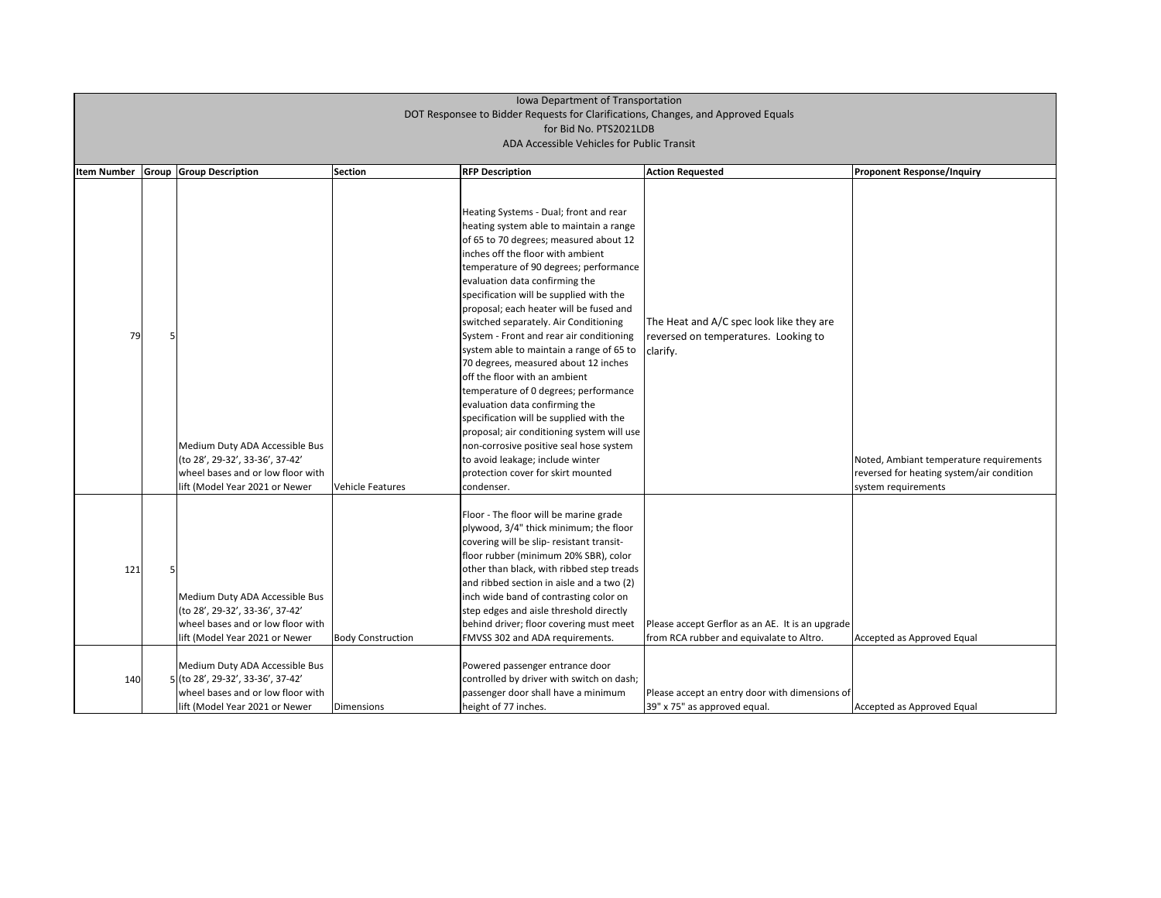| <b>Item Number</b> | <b>Group Group Description</b>                                                                                                                                                                                                                       | Section                  | <b>RFP Description</b>                                                                                                                                                                                                                                                                                                                                                                                                                                                                                                                                                                                                                                                                                                                                                                                                                              | <b>Action Requested</b>                                                                                                                        | <b>Proponent Response/Inquiry</b>                                                 |
|--------------------|------------------------------------------------------------------------------------------------------------------------------------------------------------------------------------------------------------------------------------------------------|--------------------------|-----------------------------------------------------------------------------------------------------------------------------------------------------------------------------------------------------------------------------------------------------------------------------------------------------------------------------------------------------------------------------------------------------------------------------------------------------------------------------------------------------------------------------------------------------------------------------------------------------------------------------------------------------------------------------------------------------------------------------------------------------------------------------------------------------------------------------------------------------|------------------------------------------------------------------------------------------------------------------------------------------------|-----------------------------------------------------------------------------------|
| 79                 | Medium Duty ADA Accessible Bus<br>(to 28', 29-32', 33-36', 37-42'<br>wheel bases and or low floor with<br>lift (Model Year 2021 or Newer                                                                                                             | <b>Vehicle Features</b>  | Heating Systems - Dual; front and rear<br>heating system able to maintain a range<br>of 65 to 70 degrees; measured about 12<br>inches off the floor with ambient<br>temperature of 90 degrees; performance<br>evaluation data confirming the<br>specification will be supplied with the<br>proposal; each heater will be fused and<br>switched separately. Air Conditioning<br>System - Front and rear air conditioning<br>system able to maintain a range of 65 to<br>70 degrees, measured about 12 inches<br>off the floor with an ambient<br>temperature of 0 degrees; performance<br>evaluation data confirming the<br>specification will be supplied with the<br>proposal; air conditioning system will use<br>non-corrosive positive seal hose system<br>to avoid leakage; include winter<br>protection cover for skirt mounted<br>condenser. | The Heat and A/C spec look like they are<br>reversed on temperatures. Looking to<br>clarify.                                                   | Noted, Ambiant temperature<br>reversed for heating system/<br>system requirements |
| 121<br>140         | Medium Duty ADA Accessible Bus<br>(to 28', 29-32', 33-36', 37-42'<br>wheel bases and or low floor with<br>lift (Model Year 2021 or Newer<br>Medium Duty ADA Accessible Bus<br>5 (to 28', 29-32', 33-36', 37-42'<br>wheel bases and or low floor with | <b>Body Construction</b> | Floor - The floor will be marine grade<br>plywood, 3/4" thick minimum; the floor<br>covering will be slip- resistant transit-<br>floor rubber (minimum 20% SBR), color<br>other than black, with ribbed step treads<br>and ribbed section in aisle and a two (2)<br>inch wide band of contrasting color on<br>step edges and aisle threshold directly<br>behind driver; floor covering must meet<br>FMVSS 302 and ADA requirements.<br>Powered passenger entrance door<br>controlled by driver with switch on dash;<br>passenger door shall have a minimum                                                                                                                                                                                                                                                                                          | Please accept Gerflor as an AE. It is an upgrade<br>from RCA rubber and equivalate to Altro.<br>Please accept an entry door with dimensions of | Accepted as Approved Equal                                                        |

| <b>Proponent Response/Inquiry</b>         |
|-------------------------------------------|
|                                           |
|                                           |
|                                           |
|                                           |
|                                           |
|                                           |
|                                           |
|                                           |
|                                           |
|                                           |
|                                           |
|                                           |
|                                           |
|                                           |
| Noted, Ambiant temperature requirements   |
| reversed for heating system/air condition |
| system requirements                       |
|                                           |
|                                           |
|                                           |
|                                           |
|                                           |
|                                           |
|                                           |
| Accepted as Approved Equal                |
|                                           |
|                                           |
|                                           |
| Accepted as Approved Equal                |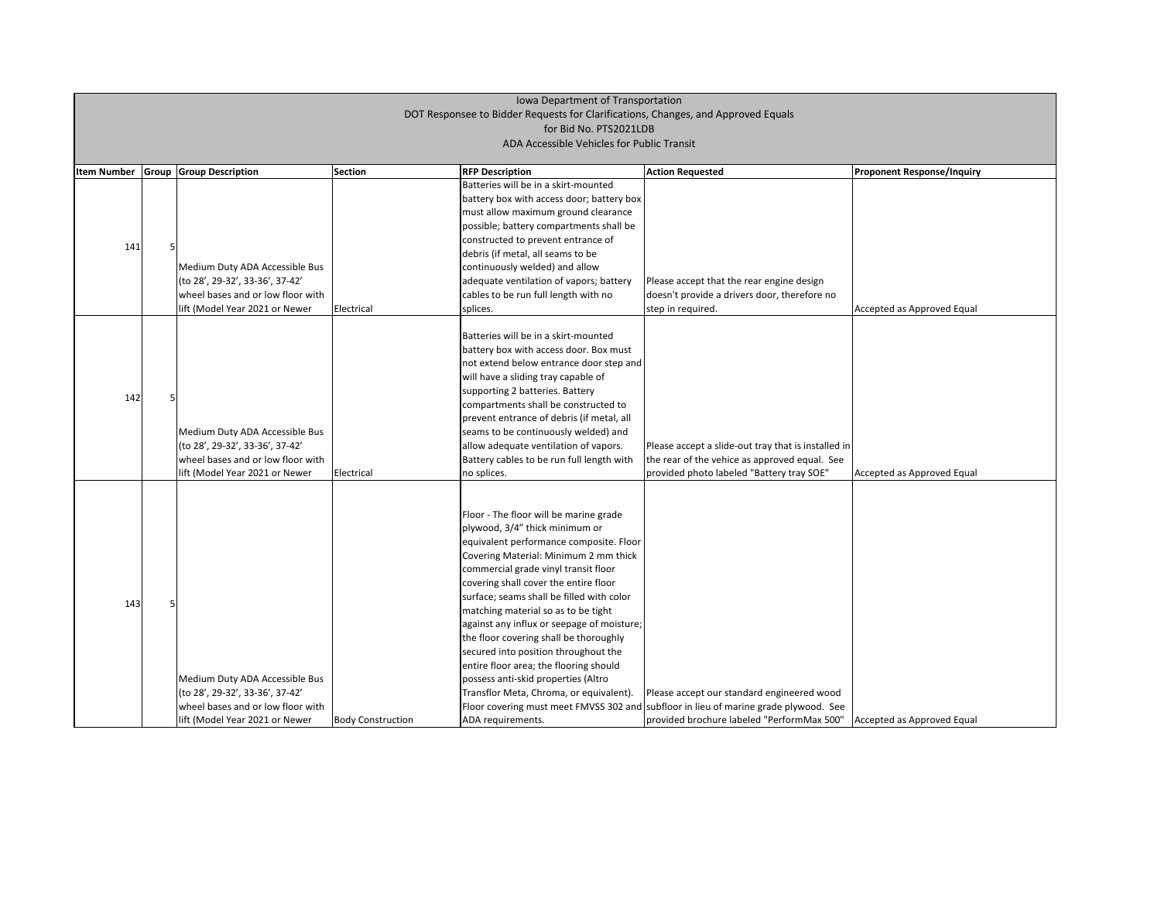| <b>Item Number</b> |   | <b>Group Group Description</b>                                                                                                           | Section                  | <b>RFP Description</b>                                                                                                                                                                                                                                                                                                                                                                                                                                                                                                                                                                                             | <b>Action Requested</b>                                                                                                                                                          | <b>Proponent Response/Inquiry</b> |
|--------------------|---|------------------------------------------------------------------------------------------------------------------------------------------|--------------------------|--------------------------------------------------------------------------------------------------------------------------------------------------------------------------------------------------------------------------------------------------------------------------------------------------------------------------------------------------------------------------------------------------------------------------------------------------------------------------------------------------------------------------------------------------------------------------------------------------------------------|----------------------------------------------------------------------------------------------------------------------------------------------------------------------------------|-----------------------------------|
| 141                | 5 | Medium Duty ADA Accessible Bus<br>(to 28', 29-32', 33-36', 37-42'<br>wheel bases and or low floor with<br>lift (Model Year 2021 or Newer | Electrical               | Batteries will be in a skirt-mounted<br>battery box with access door; battery box<br>must allow maximum ground clearance<br>possible; battery compartments shall be<br>constructed to prevent entrance of<br>debris (if metal, all seams to be<br>continuously welded) and allow<br>adequate ventilation of vapors; battery<br>cables to be run full length with no<br>splices.                                                                                                                                                                                                                                    | Please accept that the rear engine design<br>doesn't provide a drivers door, therefore no<br>step in required.                                                                   | Accepted as Approved Equal        |
| 142                |   | Medium Duty ADA Accessible Bus<br>(to 28', 29-32', 33-36', 37-42'<br>wheel bases and or low floor with<br>lift (Model Year 2021 or Newer | Electrical               | Batteries will be in a skirt-mounted<br>battery box with access door. Box must<br>not extend below entrance door step and<br>will have a sliding tray capable of<br>supporting 2 batteries. Battery<br>compartments shall be constructed to<br>prevent entrance of debris (if metal, all<br>seams to be continuously welded) and<br>allow adequate ventilation of vapors.<br>Battery cables to be run full length with<br>no splices.                                                                                                                                                                              | Please accept a slide-out tray that is installed in<br>the rear of the vehice as approved equal. See<br>provided photo labeled "Battery tray SOE"                                | Accepted as Approved Equal        |
| 143                |   | Medium Duty ADA Accessible Bus<br>(to 28', 29-32', 33-36', 37-42'<br>wheel bases and or low floor with<br>lift (Model Year 2021 or Newer | <b>Body Construction</b> | Floor - The floor will be marine grade<br>plywood, 3/4" thick minimum or<br>equivalent performance composite. Floor<br>Covering Material: Minimum 2 mm thick<br>commercial grade vinyl transit floor<br>covering shall cover the entire floor<br>surface; seams shall be filled with color<br>matching material so as to be tight<br>against any influx or seepage of moisture;<br>the floor covering shall be thoroughly<br>secured into position throughout the<br>entire floor area; the flooring should<br>possess anti-skid properties (Altro<br>Transflor Meta, Chroma, or equivalent).<br>ADA requirements. | Please accept our standard engineered wood<br>Floor covering must meet FMVSS 302 and subfloor in lieu of marine grade plywood. See<br>provided brochure labeled "PerformMax 500" | Accepted as Approved Equal        |

| Proponent Response/Inquiry |
|----------------------------|
|                            |
|                            |
|                            |
|                            |
| Accepted as Approved Equal |
|                            |
|                            |
|                            |
|                            |
|                            |
| Accepted as Approved Equal |
|                            |
|                            |
|                            |
|                            |
|                            |
|                            |
|                            |
| Accepted as Approved Equal |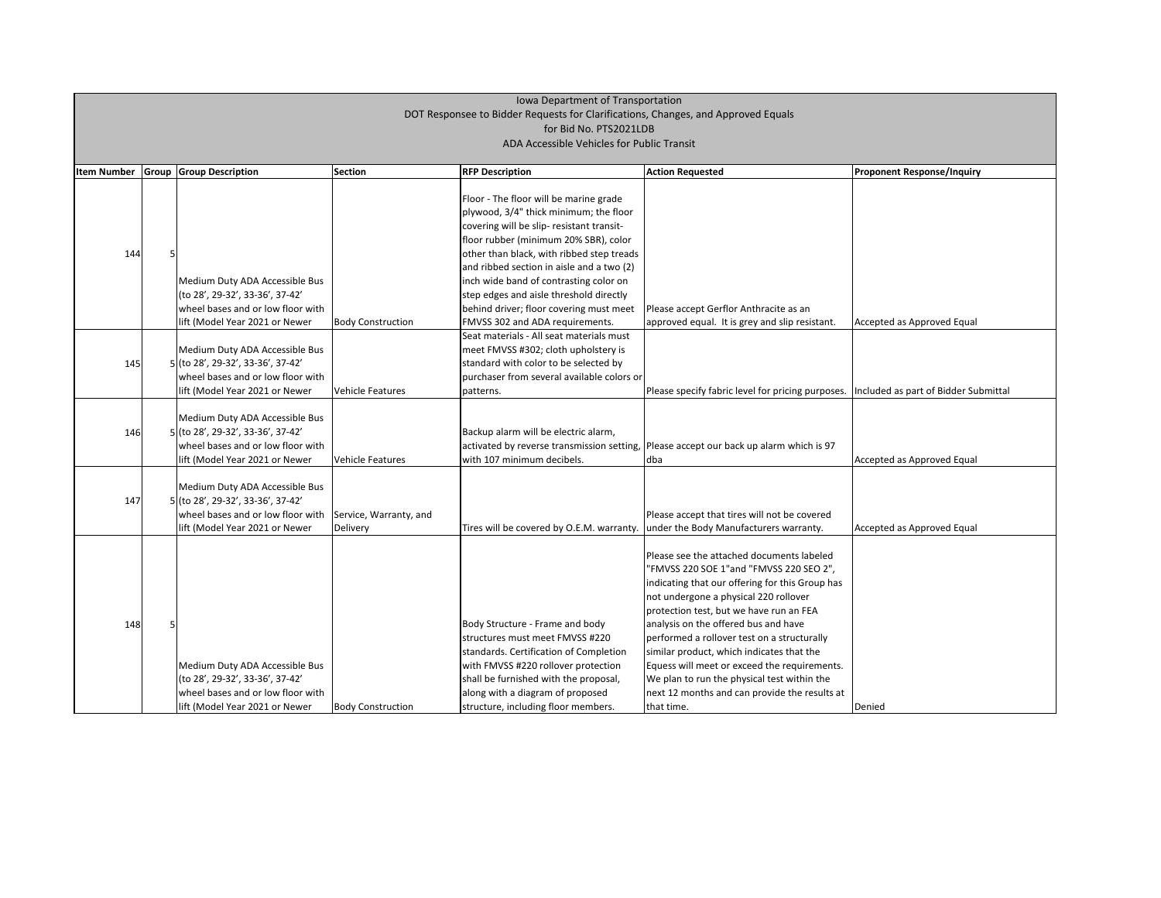| <b>Item Number</b> | <b>Group Group Description</b>                                                                                                             | <b>Section</b>                     | <b>RFP Description</b>                                                                                                                                                                                                                                                  | <b>Action Requested</b>                                                                                                                                                                                                                                                                                                                                                                                                                                                                                                       | <b>Proponent Response/Inquiry</b>    |
|--------------------|--------------------------------------------------------------------------------------------------------------------------------------------|------------------------------------|-------------------------------------------------------------------------------------------------------------------------------------------------------------------------------------------------------------------------------------------------------------------------|-------------------------------------------------------------------------------------------------------------------------------------------------------------------------------------------------------------------------------------------------------------------------------------------------------------------------------------------------------------------------------------------------------------------------------------------------------------------------------------------------------------------------------|--------------------------------------|
|                    |                                                                                                                                            |                                    | Floor - The floor will be marine grade<br>plywood, 3/4" thick minimum; the floor<br>covering will be slip- resistant transit-                                                                                                                                           |                                                                                                                                                                                                                                                                                                                                                                                                                                                                                                                               |                                      |
| 144                |                                                                                                                                            |                                    | floor rubber (minimum 20% SBR), color<br>other than black, with ribbed step treads<br>and ribbed section in aisle and a two (2)                                                                                                                                         |                                                                                                                                                                                                                                                                                                                                                                                                                                                                                                                               |                                      |
|                    | Medium Duty ADA Accessible Bus<br>(to 28', 29-32', 33-36', 37-42'<br>wheel bases and or low floor with                                     |                                    | inch wide band of contrasting color on<br>step edges and aisle threshold directly<br>behind driver; floor covering must meet                                                                                                                                            | Please accept Gerflor Anthracite as an                                                                                                                                                                                                                                                                                                                                                                                                                                                                                        |                                      |
|                    | lift (Model Year 2021 or Newer                                                                                                             | <b>Body Construction</b>           | FMVSS 302 and ADA requirements.                                                                                                                                                                                                                                         | approved equal. It is grey and slip resistant.                                                                                                                                                                                                                                                                                                                                                                                                                                                                                | Accepted as Approved Equal           |
| 145                | Medium Duty ADA Accessible Bus<br>5 (to 28', 29-32', 33-36', 37-42'<br>wheel bases and or low floor with<br>lift (Model Year 2021 or Newer | Vehicle Features                   | Seat materials - All seat materials must<br>meet FMVSS #302; cloth upholstery is<br>standard with color to be selected by<br>purchaser from several available colors or<br>patterns.                                                                                    | Please specify fabric level for pricing purposes.                                                                                                                                                                                                                                                                                                                                                                                                                                                                             | Included as part of Bidder Submittal |
| 146                | Medium Duty ADA Accessible Bus<br>5 (to 28', 29-32', 33-36', 37-42'<br>wheel bases and or low floor with<br>lift (Model Year 2021 or Newer | Vehicle Features                   | Backup alarm will be electric alarm,<br>activated by reverse transmission setting,<br>with 107 minimum decibels.                                                                                                                                                        | Please accept our back up alarm which is 97<br>dba                                                                                                                                                                                                                                                                                                                                                                                                                                                                            | Accepted as Approved Equal           |
| 147                | Medium Duty ADA Accessible Bus<br>5 (to 28', 29-32', 33-36', 37-42'<br>wheel bases and or low floor with<br>lift (Model Year 2021 or Newer | Service, Warranty, and<br>Delivery | Tires will be covered by O.E.M. warranty.                                                                                                                                                                                                                               | Please accept that tires will not be covered<br>under the Body Manufacturers warranty.                                                                                                                                                                                                                                                                                                                                                                                                                                        | Accepted as Approved Equal           |
| 148                | Medium Duty ADA Accessible Bus<br>(to 28', 29-32', 33-36', 37-42'<br>wheel bases and or low floor with<br>lift (Model Year 2021 or Newer   | <b>Body Construction</b>           | Body Structure - Frame and body<br>structures must meet FMVSS #220<br>standards. Certification of Completion<br>with FMVSS #220 rollover protection<br>shall be furnished with the proposal,<br>along with a diagram of proposed<br>structure, including floor members. | Please see the attached documents labeled<br>"FMVSS 220 SOE 1"and "FMVSS 220 SEO 2",<br>indicating that our offering for this Group has<br>not undergone a physical 220 rollover<br>protection test, but we have run an FEA<br>analysis on the offered bus and have<br>performed a rollover test on a structurally<br>similar product, which indicates that the<br>Equess will meet or exceed the requirements.<br>We plan to run the physical test within the<br>next 12 months and can provide the results at<br>that time. | Denied                               |

| <b>Proponent Response/Inquiry</b>   |
|-------------------------------------|
|                                     |
|                                     |
|                                     |
|                                     |
|                                     |
| Accepted as Approved Equal          |
|                                     |
|                                     |
| ncluded as part of Bidder Submittal |
|                                     |
|                                     |
| Accepted as Approved Equal          |
|                                     |
| Accepted as Approved Equal          |
|                                     |
|                                     |
|                                     |
|                                     |
|                                     |
|                                     |
| <b>Denied</b>                       |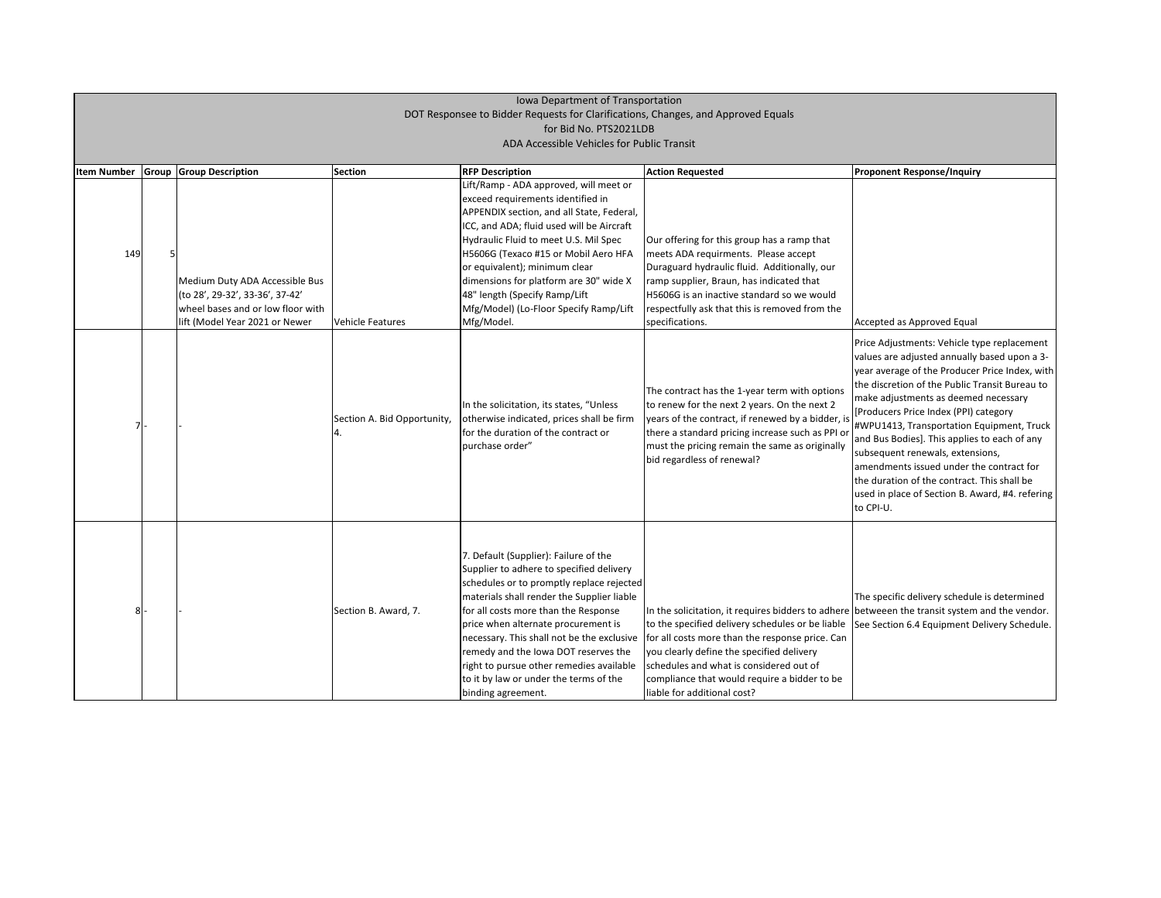| <b>Item Number</b> | <b>Group Group Description</b>                                                                                                           | <b>Section</b>                    | <b>RFP Description</b>                                                                                                                                                                                                                                                                                                                                                                                                                                        | <b>Action Requested</b>                                                                                                                                                                                                                                                                                                          |
|--------------------|------------------------------------------------------------------------------------------------------------------------------------------|-----------------------------------|---------------------------------------------------------------------------------------------------------------------------------------------------------------------------------------------------------------------------------------------------------------------------------------------------------------------------------------------------------------------------------------------------------------------------------------------------------------|----------------------------------------------------------------------------------------------------------------------------------------------------------------------------------------------------------------------------------------------------------------------------------------------------------------------------------|
| 149                | Medium Duty ADA Accessible Bus<br>(to 28', 29-32', 33-36', 37-42'<br>wheel bases and or low floor with<br>lift (Model Year 2021 or Newer | <b>Vehicle Features</b>           | Lift/Ramp - ADA approved, will meet or<br>exceed requirements identified in<br>APPENDIX section, and all State, Federal,<br>ICC, and ADA; fluid used will be Aircraft<br>Hydraulic Fluid to meet U.S. Mil Spec<br>H5606G (Texaco #15 or Mobil Aero HFA<br>or equivalent); minimum clear<br>dimensions for platform are 30" wide X<br>48" length (Specify Ramp/Lift<br>Mfg/Model) (Lo-Floor Specify Ramp/Lift<br>Mfg/Model.                                    | Our offering for this group has a ramp that<br>meets ADA requirments. Please accept<br>Duraguard hydraulic fluid. Additionally, our<br>ramp supplier, Braun, has indicated that<br>H5606G is an inactive standard so we would<br>respectfully ask that this is removed from the<br>specifications.                               |
| 7 <sup>1</sup>     |                                                                                                                                          | Section A. Bid Opportunity,<br>4. | In the solicitation, its states, "Unless<br>otherwise indicated, prices shall be firm<br>for the duration of the contract or<br>purchase order"                                                                                                                                                                                                                                                                                                               | The contract has the 1-year term with options<br>to renew for the next 2 years. On the next 2<br>years of the contract, if renewed by a bidder, is<br>there a standard pricing increase such as PPI or<br>must the pricing remain the same as originally<br>bid regardless of renewal?                                           |
| 8 <sup>1</sup>     |                                                                                                                                          | Section B. Award, 7.              | 7. Default (Supplier): Failure of the<br>Supplier to adhere to specified delivery<br>schedules or to promptly replace rejected<br>materials shall render the Supplier liable<br>for all costs more than the Response<br>price when alternate procurement is<br>necessary. This shall not be the exclusive<br>remedy and the Iowa DOT reserves the<br>right to pursue other remedies available<br>to it by law or under the terms of the<br>binding agreement. | In the solicitation, it requires bidders to adhere<br>to the specified delivery schedules or be liable<br>for all costs more than the response price. Can<br>you clearly define the specified delivery<br>schedules and what is considered out of<br>compliance that would require a bidder to be<br>liable for additional cost? |

#### **Proponent Response/Inquiry**

#### Accepted as Approved Equal

Price Adjustments: Vehicle type replacement values are adjusted annually based upon a 3 year average of the Producer Price Index, with the discretion of the Public Transit Bureau to make adjustments as deemed necessary [Producers Price Index (PPI) category #WPU1413, Transportation Equipment, Truck and Bus Bodies]. This applies to each of any subsequent renewals, extensions, amendments issued under the contract for the duration of the contract. This shall be used in place of Section B. Award, #4. refering to CPI-U.

The specific delivery schedule is determined betweeen the transit system and the vendor. See Section 6.4 Equipment Delivery Schedule.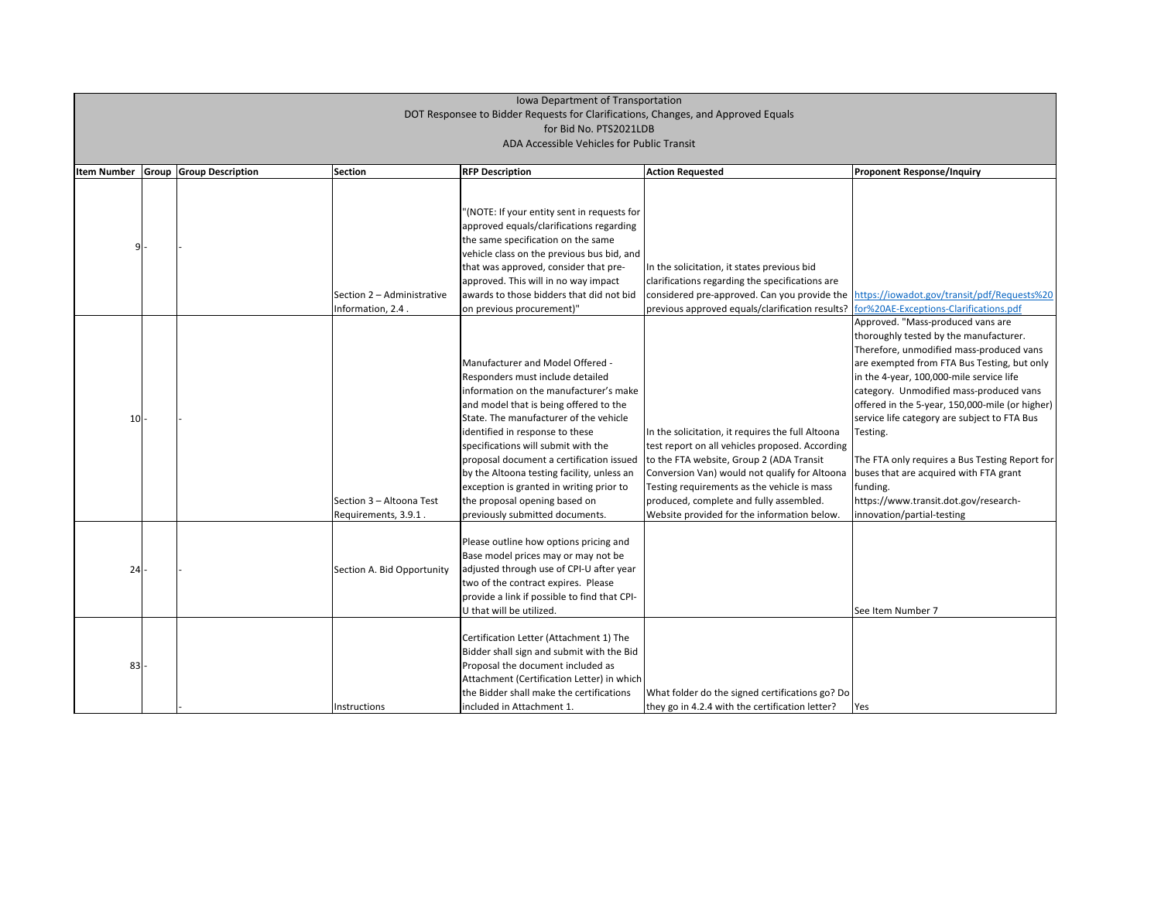| <b>Item Number</b> | <b>Group Group Description</b> | <b>Section</b>                                   | <b>RFP Description</b>                                                                                                                                                                                                                                                                                                                                                                                                                                                                        | <b>Action Requested</b>                                                                                                                                                                                                                                                                                                                    | <b>Proponent Response/Inquiry</b>                                                                                                                                                                                                                                                                                                                                                                                    |
|--------------------|--------------------------------|--------------------------------------------------|-----------------------------------------------------------------------------------------------------------------------------------------------------------------------------------------------------------------------------------------------------------------------------------------------------------------------------------------------------------------------------------------------------------------------------------------------------------------------------------------------|--------------------------------------------------------------------------------------------------------------------------------------------------------------------------------------------------------------------------------------------------------------------------------------------------------------------------------------------|----------------------------------------------------------------------------------------------------------------------------------------------------------------------------------------------------------------------------------------------------------------------------------------------------------------------------------------------------------------------------------------------------------------------|
| ٩I                 |                                | Section 2 - Administrative<br>Information, 2.4.  | '(NOTE: If your entity sent in requests for<br>approved equals/clarifications regarding<br>the same specification on the same<br>vehicle class on the previous bus bid, and<br>that was approved, consider that pre-<br>approved. This will in no way impact<br>awards to those bidders that did not bid<br>on previous procurement)"                                                                                                                                                         | In the solicitation, it states previous bid<br>clarifications regarding the specifications are<br>considered pre-approved. Can you provide the<br>previous approved equals/clarification results?                                                                                                                                          | https://iowadot.gov/transit/r<br>for%20AE-Exceptions-Clarifica                                                                                                                                                                                                                                                                                                                                                       |
| 10                 |                                | Section 3 - Altoona Test<br>Requirements, 3.9.1. | <b>Manufacturer and Model Offered -</b><br>Responders must include detailed<br>information on the manufacturer's make<br>and model that is being offered to the<br>State. The manufacturer of the vehicle<br>identified in response to these<br>specifications will submit with the<br>proposal document a certification issued<br>by the Altoona testing facility, unless an<br>exception is granted in writing prior to<br>the proposal opening based on<br>previously submitted documents. | In the solicitation, it requires the full Altoona<br>test report on all vehicles proposed. According<br>to the FTA website, Group 2 (ADA Transit<br>Conversion Van) would not qualify for Altoona<br>Testing requirements as the vehicle is mass<br>produced, complete and fully assembled.<br>Website provided for the information below. | Approved. "Mass-produced v<br>thoroughly tested by the mar<br>Therefore, unmodified mass-<br>are exempted from FTA Bus 1<br>in the 4-year, 100,000-mile se<br>category. Unmodified mass-<br>offered in the 5-year, 150,000<br>service life category are subje<br>Testing.<br>The FTA only requires a Bus T<br>buses that are acquired with<br>funding.<br>https://www.transit.dot.gov/<br>innovation/partial-testing |
| 24                 |                                | Section A. Bid Opportunity                       | Please outline how options pricing and<br>Base model prices may or may not be<br>adjusted through use of CPI-U after year<br>two of the contract expires. Please<br>provide a link if possible to find that CPI-<br>U that will be utilized.                                                                                                                                                                                                                                                  |                                                                                                                                                                                                                                                                                                                                            | See Item Number 7                                                                                                                                                                                                                                                                                                                                                                                                    |
| 83                 |                                | Instructions                                     | Certification Letter (Attachment 1) The<br>Bidder shall sign and submit with the Bid<br>Proposal the document included as<br>Attachment (Certification Letter) in which<br>the Bidder shall make the certifications<br>included in Attachment 1.                                                                                                                                                                                                                                              | What folder do the signed certifications go? Do<br>they go in 4.2.4 with the certification letter?                                                                                                                                                                                                                                         | Yes                                                                                                                                                                                                                                                                                                                                                                                                                  |

| <b>Proponent Response/Inquiry</b>                                                                                                                                                                                                                                                                                                                                            |
|------------------------------------------------------------------------------------------------------------------------------------------------------------------------------------------------------------------------------------------------------------------------------------------------------------------------------------------------------------------------------|
|                                                                                                                                                                                                                                                                                                                                                                              |
| https://iowadot.gov/transit/pdf/Requests%20<br>for%20AE-Exceptions-Clarifications.pdf                                                                                                                                                                                                                                                                                        |
| Approved. "Mass-produced vans are<br>thoroughly tested by the manufacturer.<br>Therefore, unmodified mass-produced vans<br>are exempted from FTA Bus Testing, but only<br>in the 4-year, 100,000-mile service life<br>category. Unmodified mass-produced vans<br>offered in the 5-year, 150,000-mile (or higher)<br>service life category are subject to FTA Bus<br>Testing. |
| The FTA only requires a Bus Testing Report for<br>buses that are acquired with FTA grant<br>funding.<br>https://www.transit.dot.gov/research-<br>innovation/partial-testing                                                                                                                                                                                                  |
| See Item Number 7                                                                                                                                                                                                                                                                                                                                                            |
|                                                                                                                                                                                                                                                                                                                                                                              |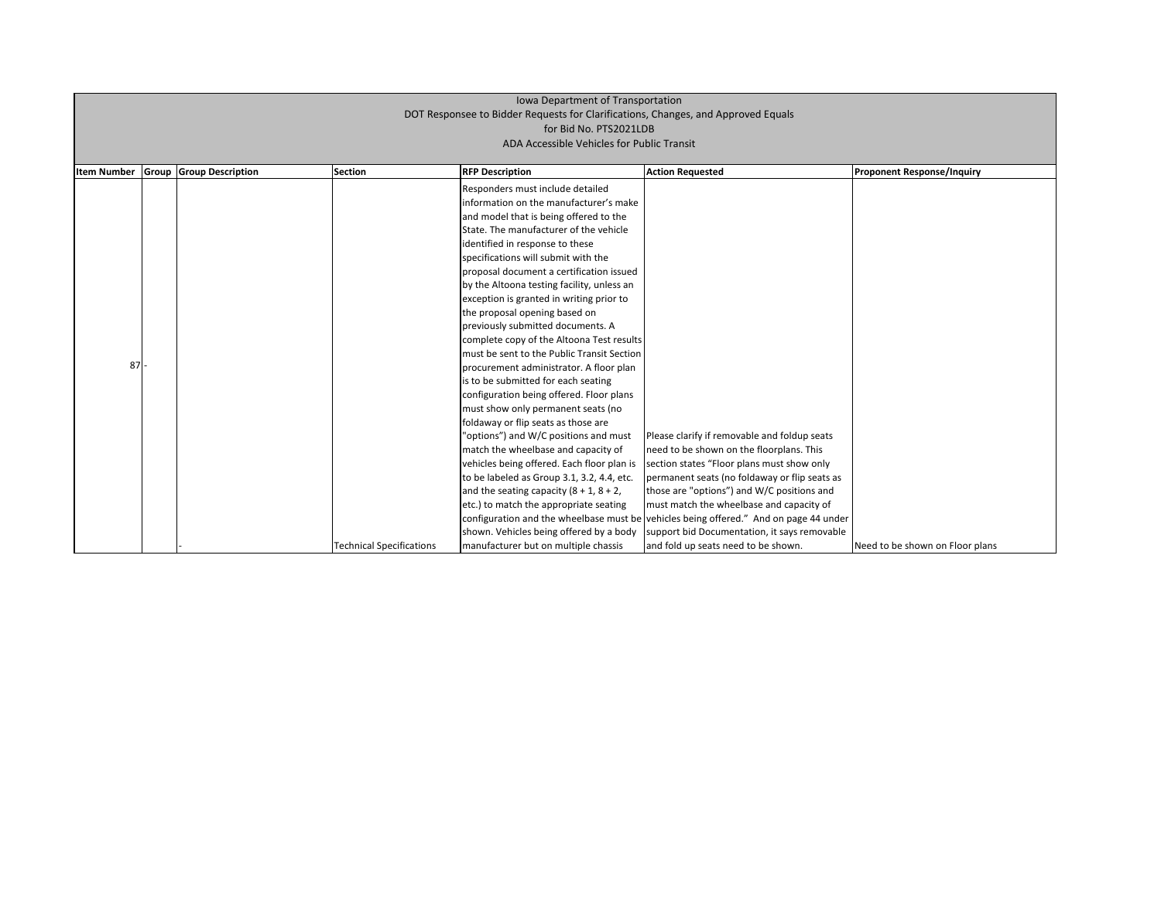| <b>Item Number</b> | Group | <b>Group Description</b> | <b>Section</b>                  | <b>RFP Description</b>                       | <b>Action Requested</b>                                                               |
|--------------------|-------|--------------------------|---------------------------------|----------------------------------------------|---------------------------------------------------------------------------------------|
|                    |       |                          |                                 | Responders must include detailed             |                                                                                       |
|                    |       |                          |                                 | information on the manufacturer's make       |                                                                                       |
|                    |       |                          |                                 | and model that is being offered to the       |                                                                                       |
|                    |       |                          |                                 | State. The manufacturer of the vehicle       |                                                                                       |
|                    |       |                          |                                 | identified in response to these              |                                                                                       |
|                    |       |                          |                                 | specifications will submit with the          |                                                                                       |
|                    |       |                          |                                 | proposal document a certification issued     |                                                                                       |
|                    |       |                          |                                 |                                              |                                                                                       |
|                    |       |                          |                                 | by the Altoona testing facility, unless an   |                                                                                       |
|                    |       |                          |                                 | exception is granted in writing prior to     |                                                                                       |
|                    |       |                          |                                 | the proposal opening based on                |                                                                                       |
|                    |       |                          |                                 | previously submitted documents. A            |                                                                                       |
|                    |       |                          |                                 | complete copy of the Altoona Test results    |                                                                                       |
|                    |       |                          |                                 | must be sent to the Public Transit Section   |                                                                                       |
| 87                 |       |                          |                                 | procurement administrator. A floor plan      |                                                                                       |
|                    |       |                          |                                 | is to be submitted for each seating          |                                                                                       |
|                    |       |                          |                                 | configuration being offered. Floor plans     |                                                                                       |
|                    |       |                          |                                 | must show only permanent seats (no           |                                                                                       |
|                    |       |                          |                                 | foldaway or flip seats as those are          |                                                                                       |
|                    |       |                          |                                 | "options") and W/C positions and must        | Please clarify if removable and foldup seats                                          |
|                    |       |                          |                                 | match the wheelbase and capacity of          | need to be shown on the floorplans. This                                              |
|                    |       |                          |                                 | vehicles being offered. Each floor plan is   | section states "Floor plans must show only                                            |
|                    |       |                          |                                 | to be labeled as Group 3.1, 3.2, 4.4, etc.   | permanent seats (no foldaway or flip seats as                                         |
|                    |       |                          |                                 | and the seating capacity $(8 + 1, 8 + 2, 1)$ | those are "options") and W/C positions and                                            |
|                    |       |                          |                                 | etc.) to match the appropriate seating       | must match the wheelbase and capacity of                                              |
|                    |       |                          |                                 |                                              | configuration and the wheelbase must be vehicles being offered." And on page 44 under |
|                    |       |                          |                                 | shown. Vehicles being offered by a body      | support bid Documentation, it says removable                                          |
|                    |       |                          | <b>Technical Specifications</b> | manufacturer but on multiple chassis         | and fold up seats need to be shown.                                                   |

## **Proponent Response/Inquiry**

Need to be shown on Floor plans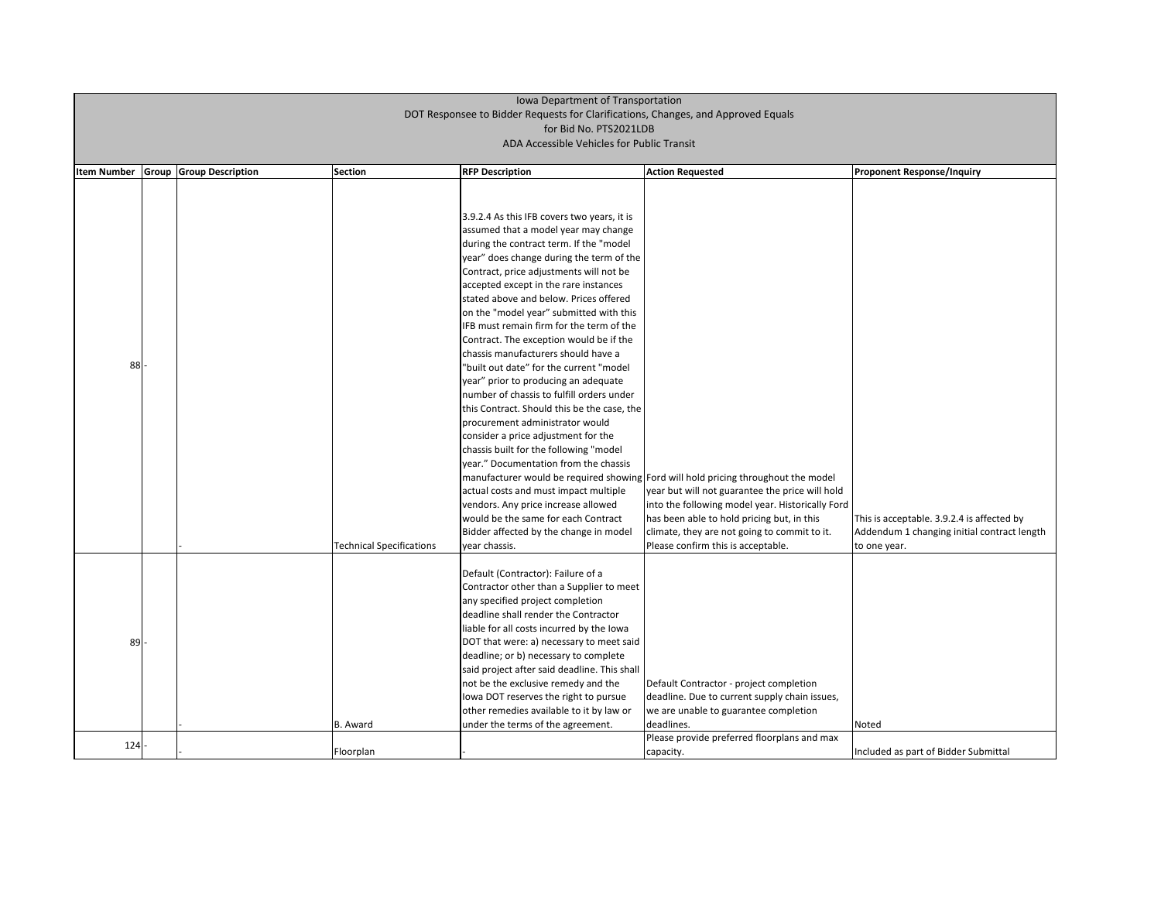| <b>Item Number</b><br>88 | Group | <b>Group Description</b> | <b>Section</b>                  | <b>RFP Description</b><br>3.9.2.4 As this IFB covers two years, it is<br>assumed that a model year may change<br>during the contract term. If the "model<br>year" does change during the term of the<br>Contract, price adjustments will not be<br>accepted except in the rare instances<br>stated above and below. Prices offered<br>on the "model year" submitted with this<br>IFB must remain firm for the term of the<br>Contract. The exception would be if the<br>chassis manufacturers should have a<br>"built out date" for the current "model<br>year" prior to producing an adequate<br>number of chassis to fulfill orders under<br>this Contract. Should this be the case, the<br>procurement administrator would<br>consider a price adjustment for the<br>chassis built for the following "model<br>year." Documentation from the chassis<br>actual costs and must impact multiple<br>vendors. Any price increase allowed<br>would be the same for each Contract | <b>Action Requested</b><br>manufacturer would be required showing Ford will hold pricing throughout the model<br>year but will not guarantee the price will hold<br>into the following model year. Historically Ford<br>has been able to hold pricing but, in this | <b>Proponent Response/Inquiry</b><br>This is acceptable. 3.9.2.4 is affected |
|--------------------------|-------|--------------------------|---------------------------------|--------------------------------------------------------------------------------------------------------------------------------------------------------------------------------------------------------------------------------------------------------------------------------------------------------------------------------------------------------------------------------------------------------------------------------------------------------------------------------------------------------------------------------------------------------------------------------------------------------------------------------------------------------------------------------------------------------------------------------------------------------------------------------------------------------------------------------------------------------------------------------------------------------------------------------------------------------------------------------|--------------------------------------------------------------------------------------------------------------------------------------------------------------------------------------------------------------------------------------------------------------------|------------------------------------------------------------------------------|
|                          |       |                          |                                 | Bidder affected by the change in model                                                                                                                                                                                                                                                                                                                                                                                                                                                                                                                                                                                                                                                                                                                                                                                                                                                                                                                                         | climate, they are not going to commit to it.                                                                                                                                                                                                                       | Addendum 1 changing initial contra                                           |
|                          |       |                          | <b>Technical Specifications</b> | year chassis.                                                                                                                                                                                                                                                                                                                                                                                                                                                                                                                                                                                                                                                                                                                                                                                                                                                                                                                                                                  | Please confirm this is acceptable.                                                                                                                                                                                                                                 | to one year.                                                                 |
| 89                       |       |                          | B. Award                        | Default (Contractor): Failure of a<br>Contractor other than a Supplier to meet<br>any specified project completion<br>deadline shall render the Contractor<br>liable for all costs incurred by the lowa<br>DOT that were: a) necessary to meet said<br>deadline; or b) necessary to complete<br>said project after said deadline. This shall<br>not be the exclusive remedy and the<br>lowa DOT reserves the right to pursue<br>other remedies available to it by law or<br>under the terms of the agreement.                                                                                                                                                                                                                                                                                                                                                                                                                                                                  | Default Contractor - project completion<br>deadline. Due to current supply chain issues,<br>we are unable to guarantee completion<br>deadlines.                                                                                                                    | <b>Noted</b>                                                                 |
| 124                      |       |                          |                                 |                                                                                                                                                                                                                                                                                                                                                                                                                                                                                                                                                                                                                                                                                                                                                                                                                                                                                                                                                                                | Please provide preferred floorplans and max                                                                                                                                                                                                                        |                                                                              |
|                          |       |                          | Floorplan                       |                                                                                                                                                                                                                                                                                                                                                                                                                                                                                                                                                                                                                                                                                                                                                                                                                                                                                                                                                                                | capacity.                                                                                                                                                                                                                                                          | Included as part of Bidder Submittal                                         |

| <b>Proponent Response/Inquiry</b>                           |
|-------------------------------------------------------------|
|                                                             |
|                                                             |
|                                                             |
|                                                             |
|                                                             |
|                                                             |
|                                                             |
|                                                             |
|                                                             |
|                                                             |
|                                                             |
|                                                             |
|                                                             |
|                                                             |
|                                                             |
|                                                             |
|                                                             |
| This is acceptable. 3.9.2.4 is affected by                  |
| Addendum 1 changing initial contract length<br>to one year. |
|                                                             |
|                                                             |
|                                                             |
|                                                             |
|                                                             |
|                                                             |
|                                                             |
|                                                             |
| Noted                                                       |
|                                                             |
| Included as part of Bidder Submittal                        |